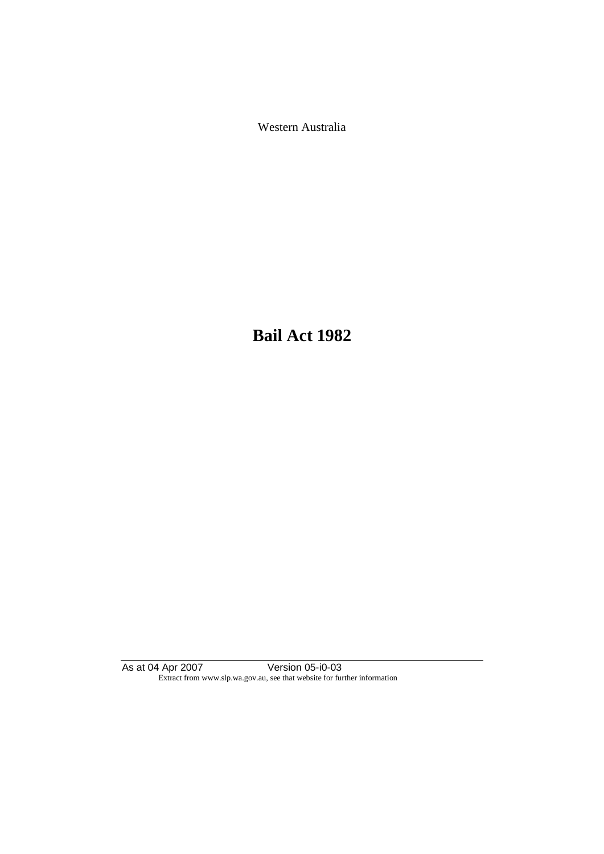Western Australia

**Bail Act 1982**

As at 04 Apr 2007 Version 05-i0-03 Extract from www.slp.wa.gov.au, see that website for further information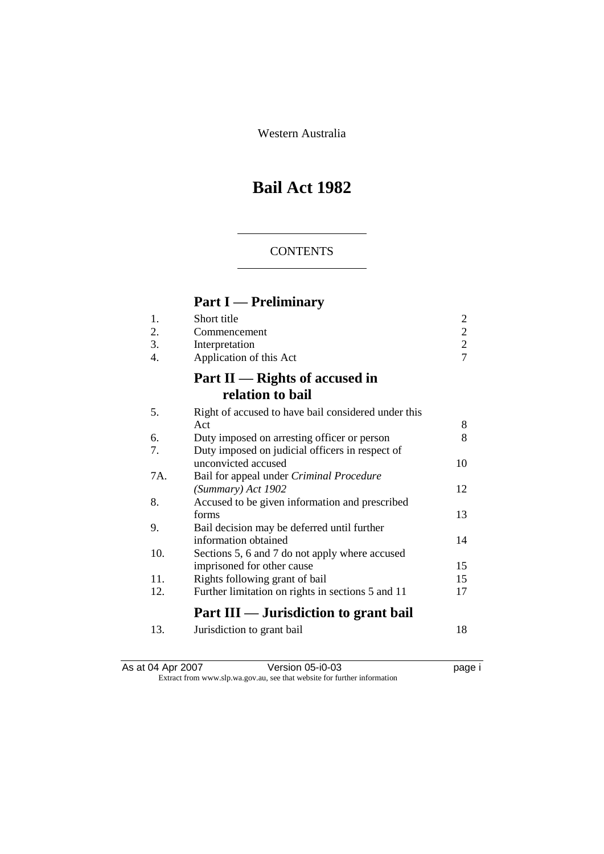Western Australia

# **Bail Act 1982**

## **CONTENTS**

# **Part I — Preliminary**

| 1.  | Short title                                         | $\overline{c}$ |
|-----|-----------------------------------------------------|----------------|
| 2.  | Commencement                                        | $\overline{2}$ |
| 3.  | Interpretation                                      | $\overline{2}$ |
| 4.  | Application of this Act                             | $\overline{7}$ |
|     | Part $II$ — Rights of accused in                    |                |
|     | relation to bail                                    |                |
| 5.  | Right of accused to have bail considered under this |                |
|     | Act                                                 | 8              |
| 6.  | Duty imposed on arresting officer or person         | 8              |
| 7.  | Duty imposed on judicial officers in respect of     |                |
|     | unconvicted accused                                 | 10             |
| 7A. | Bail for appeal under Criminal Procedure            |                |
|     | (Summary) Act 1902                                  | 12             |
| 8.  | Accused to be given information and prescribed      |                |
|     | forms                                               | 13             |
| 9.  | Bail decision may be deferred until further         |                |
|     | information obtained                                | 14             |
| 10. | Sections 5, 6 and 7 do not apply where accused      |                |
|     | imprisoned for other cause                          | 15             |
| 11. | Rights following grant of bail                      | 15             |
| 12. | Further limitation on rights in sections 5 and 11   | 17             |
|     | Part III — Jurisdiction to grant bail               |                |
| 13. | Jurisdiction to grant bail                          | 18             |

| As at 04 Apr 2007 | Version 05-i0-03                                                         | page i |
|-------------------|--------------------------------------------------------------------------|--------|
|                   | Extract from www.slp.wa.gov.au, see that website for further information |        |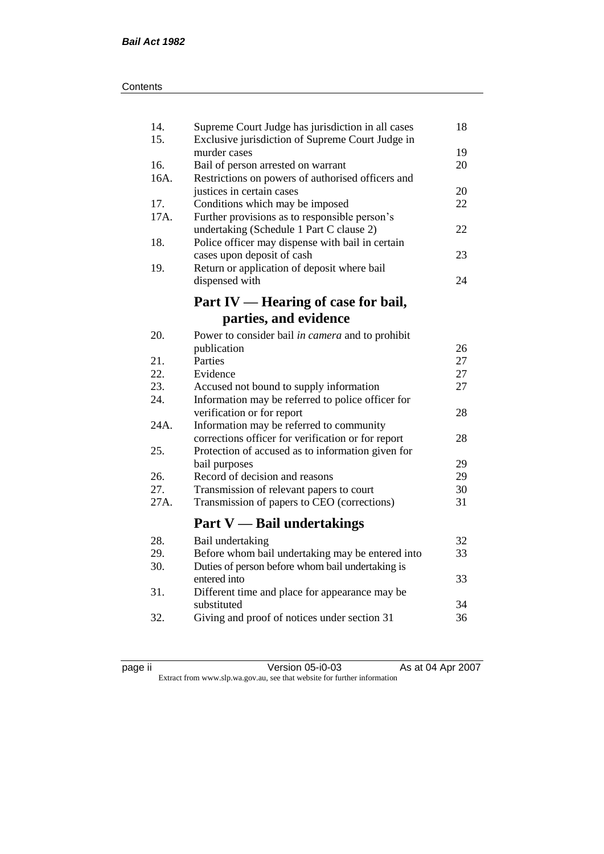| 14.<br>15. | Supreme Court Judge has jurisdiction in all cases<br>Exclusive jurisdiction of Supreme Court Judge in | 18 |
|------------|-------------------------------------------------------------------------------------------------------|----|
|            | murder cases                                                                                          | 19 |
| 16.        | Bail of person arrested on warrant                                                                    | 20 |
| 16A.       | Restrictions on powers of authorised officers and                                                     |    |
|            | justices in certain cases                                                                             | 20 |
| 17.        | Conditions which may be imposed                                                                       | 22 |
| 17A.       | Further provisions as to responsible person's                                                         |    |
|            | undertaking (Schedule 1 Part C clause 2)                                                              | 22 |
| 18.        | Police officer may dispense with bail in certain                                                      |    |
|            | cases upon deposit of cash                                                                            | 23 |
| 19.        | Return or application of deposit where bail                                                           |    |
|            | dispensed with                                                                                        | 24 |
|            |                                                                                                       |    |
|            | Part IV — Hearing of case for bail,                                                                   |    |
|            | parties, and evidence                                                                                 |    |
| 20.        | Power to consider bail in camera and to prohibit                                                      |    |
|            | publication                                                                                           | 26 |
| 21.        | Parties                                                                                               | 27 |
| 22.        | Evidence                                                                                              | 27 |
| 23.        | Accused not bound to supply information                                                               | 27 |
| 24.        | Information may be referred to police officer for                                                     |    |
|            | verification or for report                                                                            | 28 |
| 24A.       | Information may be referred to community                                                              |    |
|            | corrections officer for verification or for report                                                    | 28 |
| 25.        | Protection of accused as to information given for                                                     |    |
|            | bail purposes                                                                                         | 29 |
| 26.        | Record of decision and reasons                                                                        | 29 |
| 27.        | Transmission of relevant papers to court                                                              | 30 |
| 27A.       | Transmission of papers to CEO (corrections)                                                           | 31 |
|            |                                                                                                       |    |
|            | <b>Part V</b> — Bail undertakings                                                                     |    |
| 28.        | Bail undertaking                                                                                      | 32 |
| 29.        | Before whom bail undertaking may be entered into                                                      | 33 |
| 30.        | Duties of person before whom bail undertaking is                                                      |    |
|            | entered into                                                                                          | 33 |
| 31.        | Different time and place for appearance may be                                                        |    |
|            | substituted                                                                                           | 34 |
| 32.        | Giving and proof of notices under section 31                                                          | 36 |
|            |                                                                                                       |    |

page ii Version 05-i0-03 As at 04 Apr 2007 Extract from www.slp.wa.gov.au, see that website for further information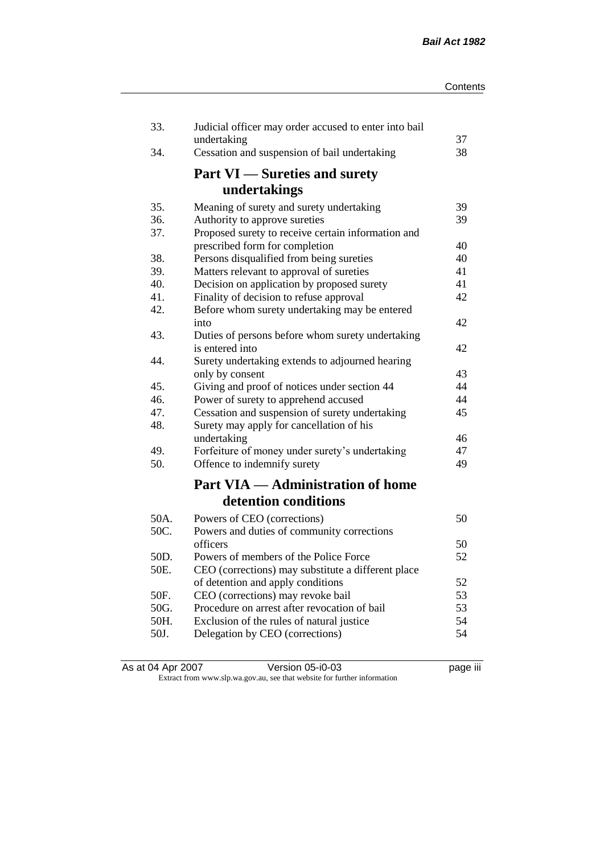| 33.  | Judicial officer may order accused to enter into bail<br>undertaking | 37 |
|------|----------------------------------------------------------------------|----|
| 34.  | Cessation and suspension of bail undertaking                         | 38 |
|      | <b>Part VI</b> — Sureties and surety                                 |    |
|      | undertakings                                                         |    |
| 35.  | Meaning of surety and surety undertaking                             | 39 |
| 36.  | Authority to approve sureties                                        | 39 |
| 37.  | Proposed surety to receive certain information and                   |    |
|      | prescribed form for completion                                       | 40 |
| 38.  | Persons disqualified from being sureties                             | 40 |
| 39.  | Matters relevant to approval of sureties                             | 41 |
| 40.  | Decision on application by proposed surety                           | 41 |
| 41.  | Finality of decision to refuse approval                              | 42 |
| 42.  | Before whom surety undertaking may be entered                        | 42 |
| 43.  | into                                                                 |    |
|      | Duties of persons before whom surety undertaking<br>is entered into  | 42 |
| 44.  | Surety undertaking extends to adjourned hearing                      |    |
|      | only by consent                                                      | 43 |
| 45.  | Giving and proof of notices under section 44                         | 44 |
| 46.  | Power of surety to apprehend accused                                 | 44 |
| 47.  | Cessation and suspension of surety undertaking                       | 45 |
| 48.  | Surety may apply for cancellation of his                             |    |
|      | undertaking                                                          | 46 |
| 49.  | Forfeiture of money under surety's undertaking                       | 47 |
| 50.  | Offence to indemnify surety                                          | 49 |
|      | <b>Part VIA — Administration of home</b>                             |    |
|      | detention conditions                                                 |    |
| 50A. | Powers of CEO (corrections)                                          | 50 |
| 50C. | Powers and duties of community corrections                           |    |
|      | officers                                                             | 50 |
| 50D. | Powers of members of the Police Force                                | 52 |
| 50E. | CEO (corrections) may substitute a different place                   |    |
|      | of detention and apply conditions                                    | 52 |
| 50F. | CEO (corrections) may revoke bail                                    | 53 |
| 50G. | Procedure on arrest after revocation of bail                         | 53 |
| 50H. | Exclusion of the rules of natural justice                            | 54 |
| 50J. | Delegation by CEO (corrections)                                      | 54 |
|      |                                                                      |    |

| As at 04 Apr 2007 | Version 05-i0-03                                                         | <br>page III |
|-------------------|--------------------------------------------------------------------------|--------------|
|                   | Extract from www.slp.wa.gov.au, see that website for further information |              |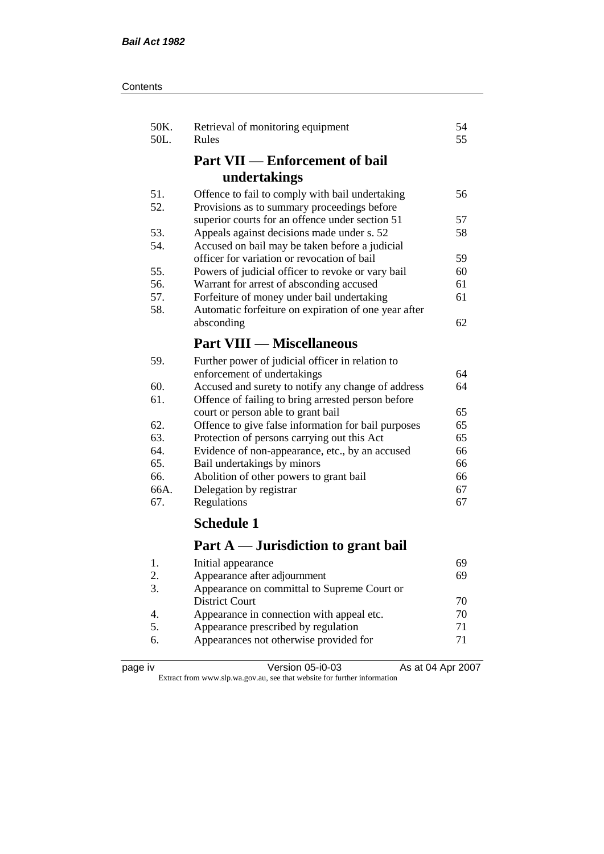| Contents |
|----------|
|----------|

| 50K.<br>50L.  | Retrieval of monitoring equipment<br>Rules           | 54<br>55 |
|---------------|------------------------------------------------------|----------|
|               | <b>Part VII — Enforcement of bail</b>                |          |
|               | undertakings                                         |          |
| 51.           | Offence to fail to comply with bail undertaking      | 56       |
| 52.           | Provisions as to summary proceedings before          |          |
|               | superior courts for an offence under section 51      | 57       |
| 53.           | Appeals against decisions made under s. 52           | 58       |
| 54.           | Accused on bail may be taken before a judicial       |          |
|               | officer for variation or revocation of bail          | 59       |
| 55.           | Powers of judicial officer to revoke or vary bail    | 60       |
| 56.           | Warrant for arrest of absconding accused             | 61       |
| 57.           | Forfeiture of money under bail undertaking           | 61       |
| 58.           | Automatic forfeiture on expiration of one year after |          |
|               | absconding                                           | 62       |
|               | <b>Part VIII — Miscellaneous</b>                     |          |
| 59.           | Further power of judicial officer in relation to     |          |
|               | enforcement of undertakings                          | 64       |
| 60.           | Accused and surety to notify any change of address   | 64       |
| 61.           | Offence of failing to bring arrested person before   |          |
|               | court or person able to grant bail                   | 65       |
| 62.           | Offence to give false information for bail purposes  | 65       |
| 63.           | Protection of persons carrying out this Act          | 65       |
| 64.           | Evidence of non-appearance, etc., by an accused      | 66       |
| 65.           | Bail undertakings by minors                          | 66       |
| 66.           | Abolition of other powers to grant bail              | 66       |
| 66A.          | Delegation by registrar                              | 67       |
| 67.           | Regulations                                          | 67       |
|               | <b>Schedule 1</b>                                    |          |
|               | Part A — Jurisdiction to grant bail                  |          |
| 1.            | Initial appearance                                   | 69       |
| $\mathcal{D}$ | Annearance after adjournment                         | 69       |

| . | mitted appearance                           |    |
|---|---------------------------------------------|----|
|   | Appearance after adjournment                | 69 |
|   | Appearance on committal to Supreme Court or |    |
|   | <b>District Court</b>                       | 70 |
|   | Appearance in connection with appeal etc.   | 70 |
|   | Appearance prescribed by regulation         | 71 |
|   | Appearances not otherwise provided for      | 71 |
|   |                                             |    |

| page | ı٧ |
|------|----|
|------|----|

page iv Version 05-i0-03 As at 04 Apr 2007 Extract from www.slp.wa.gov.au, see that website for further information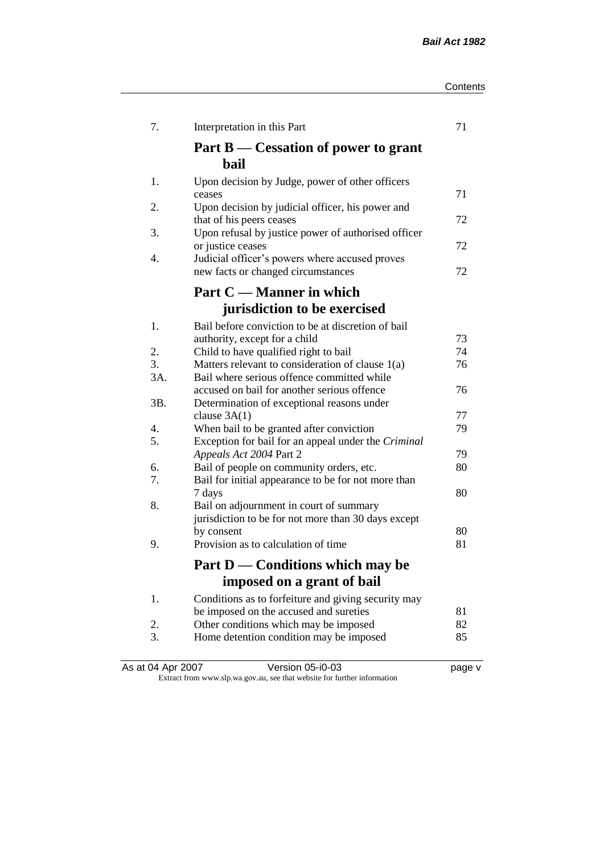| Contents |
|----------|
|----------|

| 7.        | Interpretation in this Part                                                                    | 71 |
|-----------|------------------------------------------------------------------------------------------------|----|
|           | Part $B$ — Cessation of power to grant<br>bail                                                 |    |
| 1.        | Upon decision by Judge, power of other officers<br>ceases                                      | 71 |
| 2.        | Upon decision by judicial officer, his power and                                               | 72 |
| 3.        | that of his peers ceases<br>Upon refusal by justice power of authorised officer                |    |
| 4.        | or justice ceases<br>Judicial officer's powers where accused proves                            | 72 |
|           | new facts or changed circumstances                                                             | 72 |
|           | Part C — Manner in which                                                                       |    |
|           | jurisdiction to be exercised                                                                   |    |
| 1.        | Bail before conviction to be at discretion of bail<br>authority, except for a child            | 73 |
| 2.        | Child to have qualified right to bail                                                          | 74 |
| 3.<br>3A. | Matters relevant to consideration of clause 1(a)<br>Bail where serious offence committed while | 76 |
|           | accused on bail for another serious offence                                                    | 76 |
| 3B.       | Determination of exceptional reasons under                                                     | 77 |
| 4.        | clause $3A(1)$<br>When bail to be granted after conviction                                     | 79 |
| 5.        | Exception for bail for an appeal under the Criminal                                            |    |
|           | Appeals Act 2004 Part 2                                                                        | 79 |
| 6.        | Bail of people on community orders, etc.                                                       | 80 |
| 7.        | Bail for initial appearance to be for not more than                                            |    |
|           | 7 days                                                                                         | 80 |
| 8.        | Bail on adjournment in court of summary<br>jurisdiction to be for not more than 30 days except |    |
|           | by consent                                                                                     | 80 |
| 9.        | Provision as to calculation of time                                                            | 81 |
|           | Part D — Conditions which may be                                                               |    |
|           | imposed on a grant of bail                                                                     |    |
| 1.        | Conditions as to forfeiture and giving security may                                            |    |
|           | be imposed on the accused and sureties                                                         | 81 |
| 2.        | Other conditions which may be imposed                                                          | 82 |
| 3.        | Home detention condition may be imposed                                                        | 85 |

As at 04 Apr 2007 Version 05-i0-03 page v Extract from www.slp.wa.gov.au, see that website for further information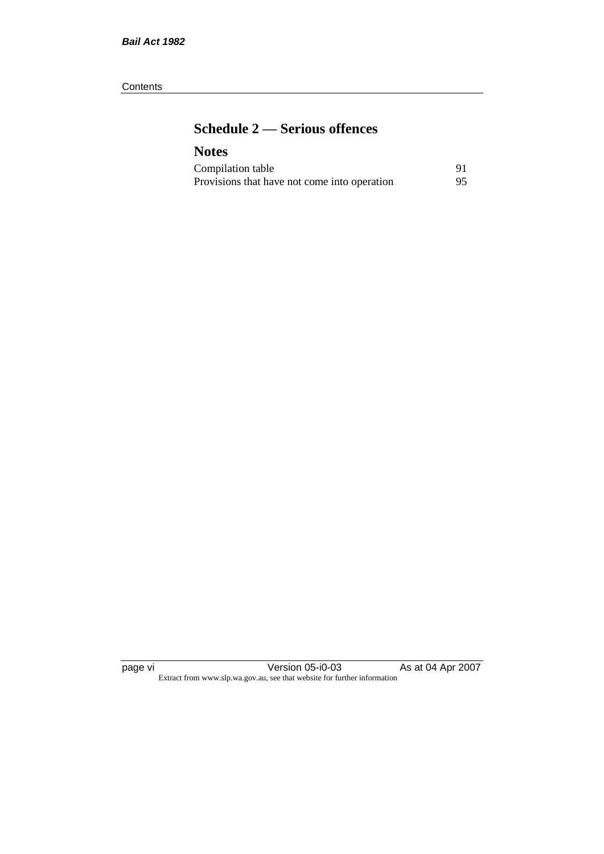#### **Contents**

# **Schedule 2 — Serious offences**

# **Notes**

| Compilation table                            |    |
|----------------------------------------------|----|
| Provisions that have not come into operation | 95 |

page vi Version 05-i0-03 As at 04 Apr 2007 Extract from www.slp.wa.gov.au, see that website for further information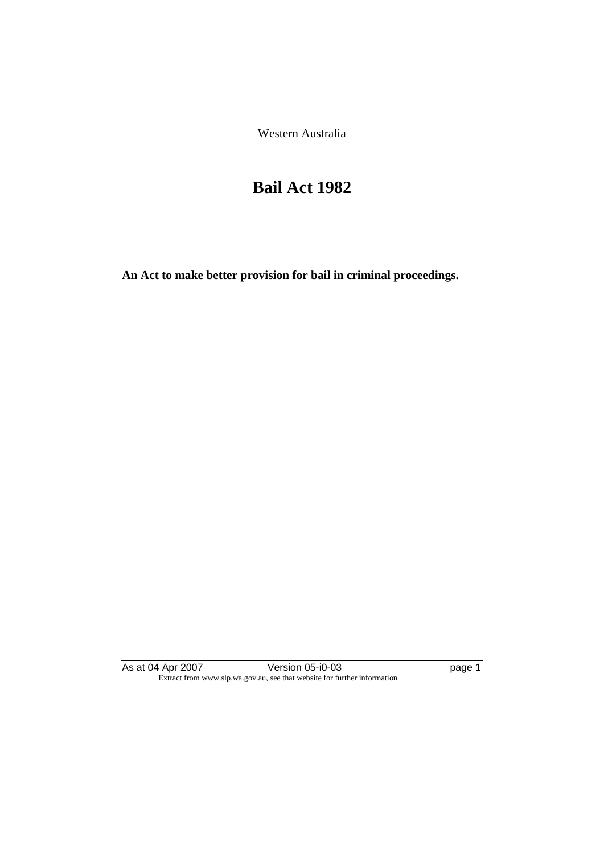Western Australia

# **Bail Act 1982**

**An Act to make better provision for bail in criminal proceedings.** 

As at 04 Apr 2007 Version 05-i0-03 page 1 Extract from www.slp.wa.gov.au, see that website for further information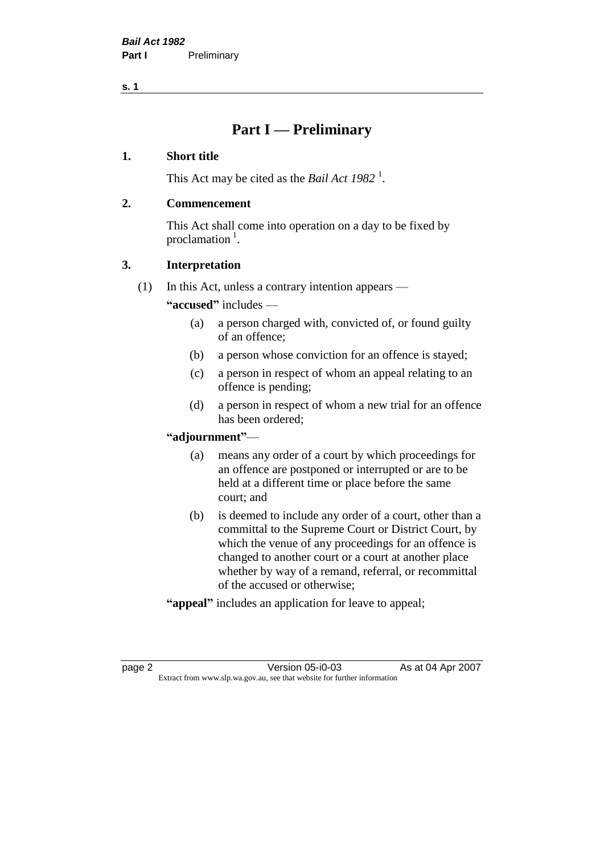# **Part I — Preliminary**

### **1. Short title**

This Act may be cited as the *Bail Act* 1982<sup>1</sup>.

### **2. Commencement**

This Act shall come into operation on a day to be fixed by proclamation  $<sup>1</sup>$ .</sup>

### **3. Interpretation**

(1) In this Act, unless a contrary intention appears —

**"accused"** includes —

- (a) a person charged with, convicted of, or found guilty of an offence;
- (b) a person whose conviction for an offence is stayed;
- (c) a person in respect of whom an appeal relating to an offence is pending;
- (d) a person in respect of whom a new trial for an offence has been ordered;

#### **"adjournment"**—

- (a) means any order of a court by which proceedings for an offence are postponed or interrupted or are to be held at a different time or place before the same court; and
- (b) is deemed to include any order of a court, other than a committal to the Supreme Court or District Court, by which the venue of any proceedings for an offence is changed to another court or a court at another place whether by way of a remand, referral, or recommittal of the accused or otherwise;
- **"appeal"** includes an application for leave to appeal;

page 2 **Version 05-i0-03** As at 04 Apr 2007 Extract from www.slp.wa.gov.au, see that website for further information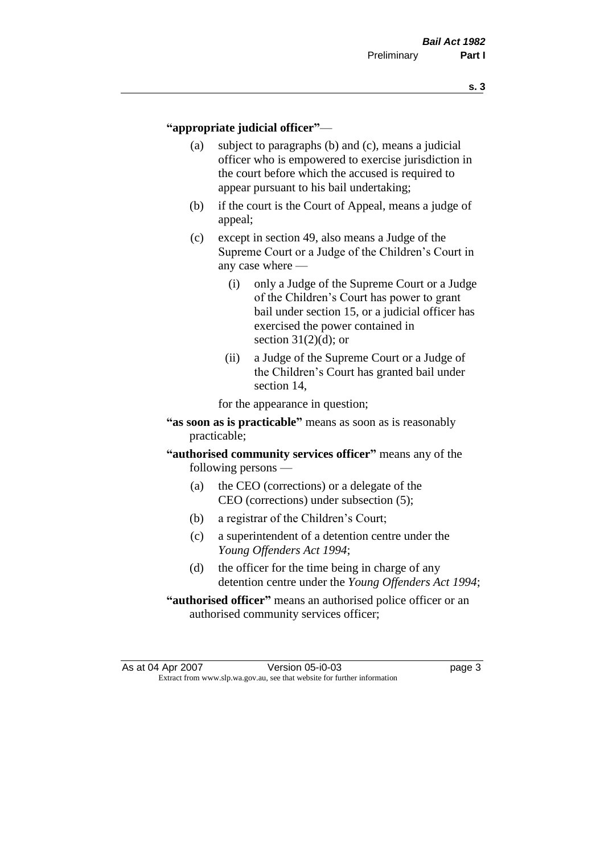#### **"appropriate judicial officer"**—

- (a) subject to paragraphs (b) and (c), means a judicial officer who is empowered to exercise jurisdiction in the court before which the accused is required to appear pursuant to his bail undertaking;
- (b) if the court is the Court of Appeal, means a judge of appeal;
- (c) except in section 49, also means a Judge of the Supreme Court or a Judge of the Children's Court in any case where —
	- (i) only a Judge of the Supreme Court or a Judge of the Children's Court has power to grant bail under section 15, or a judicial officer has exercised the power contained in section  $31(2)(d)$ ; or
	- (ii) a Judge of the Supreme Court or a Judge of the Children's Court has granted bail under section 14,

for the appearance in question;

- **"as soon as is practicable"** means as soon as is reasonably practicable;
- **"authorised community services officer"** means any of the following persons —
	- (a) the CEO (corrections) or a delegate of the CEO (corrections) under subsection (5);
	- (b) a registrar of the Children's Court;
	- (c) a superintendent of a detention centre under the *Young Offenders Act 1994*;
	- (d) the officer for the time being in charge of any detention centre under the *Young Offenders Act 1994*;
- **"authorised officer"** means an authorised police officer or an authorised community services officer;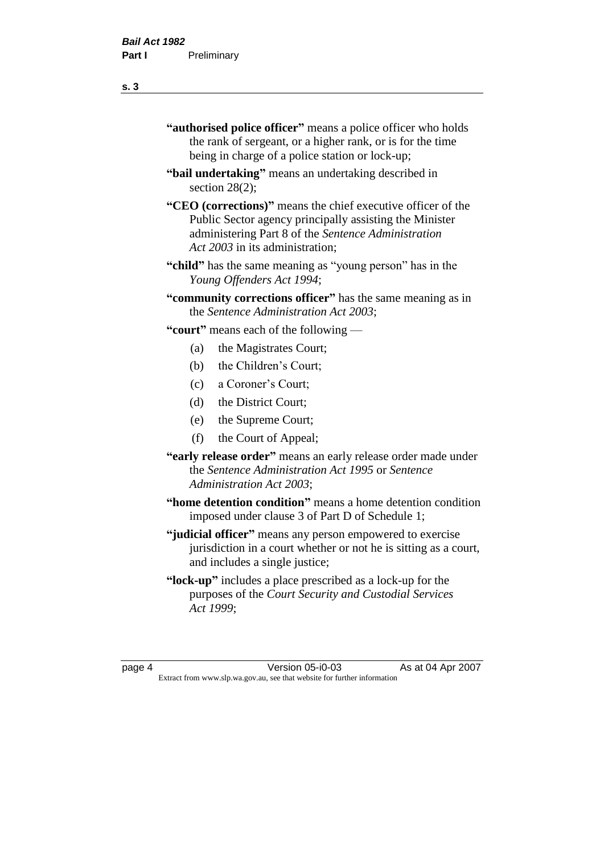- **"authorised police officer"** means a police officer who holds the rank of sergeant, or a higher rank, or is for the time being in charge of a police station or lock-up;
- **"bail undertaking"** means an undertaking described in section 28(2):
- **"CEO (corrections)"** means the chief executive officer of the Public Sector agency principally assisting the Minister administering Part 8 of the *Sentence Administration Act 2003* in its administration;
- **"child"** has the same meaning as "young person" has in the *Young Offenders Act 1994*;
- **"community corrections officer"** has the same meaning as in the *Sentence Administration Act 2003*;

**"court"** means each of the following —

- (a) the Magistrates Court;
- (b) the Children's Court;
- (c) a Coroner's Court;
- (d) the District Court;
- (e) the Supreme Court;
- (f) the Court of Appeal;
- **"early release order"** means an early release order made under the *Sentence Administration Act 1995* or *Sentence Administration Act 2003*;
- **"home detention condition"** means a home detention condition imposed under clause 3 of Part D of Schedule 1;
- **"judicial officer"** means any person empowered to exercise jurisdiction in a court whether or not he is sitting as a court, and includes a single justice;
- **"lock-up"** includes a place prescribed as a lock-up for the purposes of the *Court Security and Custodial Services Act 1999*;

page 4 Version 05-i0-03 As at 04 Apr 2007 Extract from www.slp.wa.gov.au, see that website for further information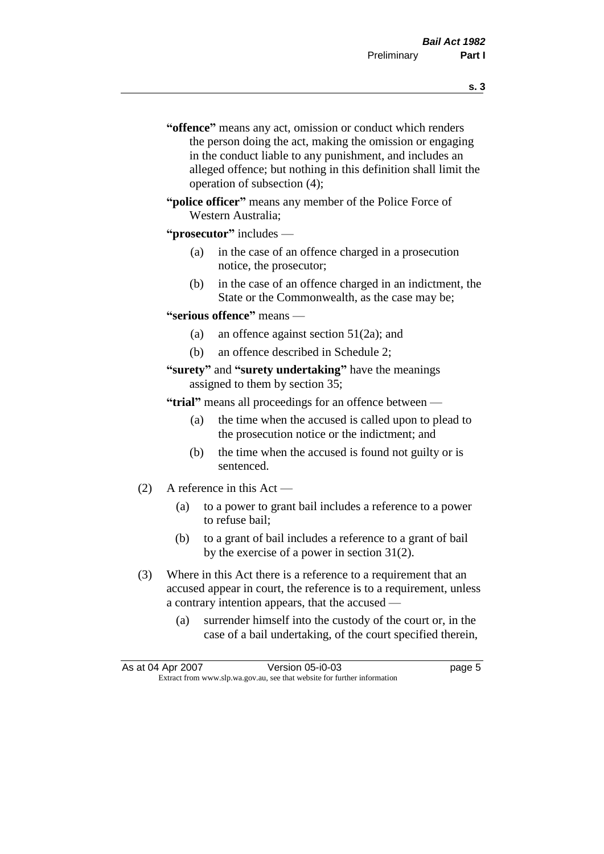- **s. 3**
- **"offence"** means any act, omission or conduct which renders the person doing the act, making the omission or engaging in the conduct liable to any punishment, and includes an alleged offence; but nothing in this definition shall limit the operation of subsection (4);
- **"police officer"** means any member of the Police Force of Western Australia;

#### **"prosecutor"** includes —

- (a) in the case of an offence charged in a prosecution notice, the prosecutor;
- (b) in the case of an offence charged in an indictment, the State or the Commonwealth, as the case may be;

#### **"serious offence"** means —

- (a) an offence against section 51(2a); and
- (b) an offence described in Schedule 2;

#### **"surety"** and **"surety undertaking"** have the meanings assigned to them by section 35;

**"trial"** means all proceedings for an offence between —

- (a) the time when the accused is called upon to plead to the prosecution notice or the indictment; and
- (b) the time when the accused is found not guilty or is sentenced.
- (2) A reference in this Act
	- (a) to a power to grant bail includes a reference to a power to refuse bail;
	- (b) to a grant of bail includes a reference to a grant of bail by the exercise of a power in section 31(2).
- (3) Where in this Act there is a reference to a requirement that an accused appear in court, the reference is to a requirement, unless a contrary intention appears, that the accused —
	- (a) surrender himself into the custody of the court or, in the case of a bail undertaking, of the court specified therein,

| As at 04 Apr 2007 | Version 05-i0-03                                                         | page 5 |
|-------------------|--------------------------------------------------------------------------|--------|
|                   | Extract from www.slp.wa.gov.au, see that website for further information |        |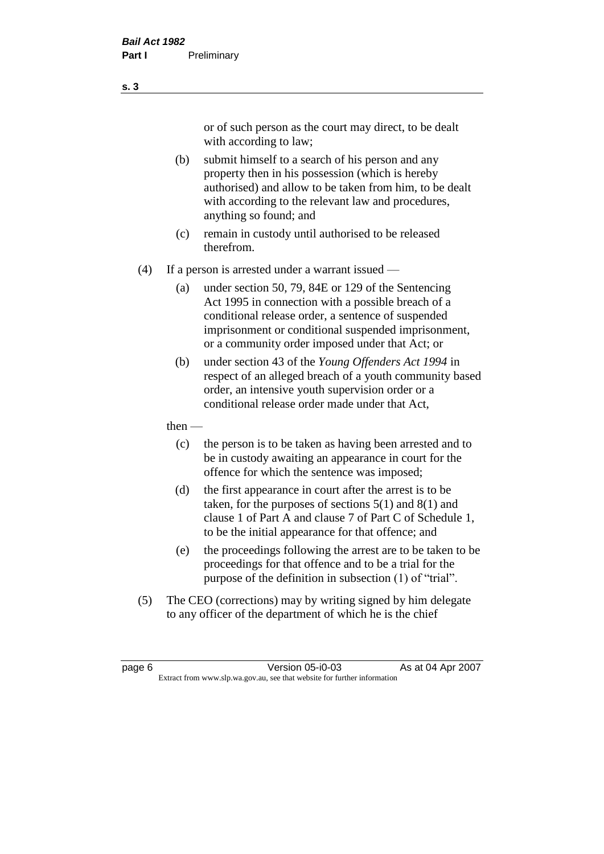or of such person as the court may direct, to be dealt with according to law;

(b) submit himself to a search of his person and any property then in his possession (which is hereby authorised) and allow to be taken from him, to be dealt with according to the relevant law and procedures, anything so found; and

- (c) remain in custody until authorised to be released therefrom.
- (4) If a person is arrested under a warrant issued
	- (a) under section 50, 79, 84E or 129 of the Sentencing Act 1995 in connection with a possible breach of a conditional release order, a sentence of suspended imprisonment or conditional suspended imprisonment, or a community order imposed under that Act; or
	- (b) under section 43 of the *Young Offenders Act 1994* in respect of an alleged breach of a youth community based order, an intensive youth supervision order or a conditional release order made under that Act,
	- then
		- (c) the person is to be taken as having been arrested and to be in custody awaiting an appearance in court for the offence for which the sentence was imposed;
		- (d) the first appearance in court after the arrest is to be taken, for the purposes of sections  $5(1)$  and  $8(1)$  and clause 1 of Part A and clause 7 of Part C of Schedule 1, to be the initial appearance for that offence; and
		- (e) the proceedings following the arrest are to be taken to be proceedings for that offence and to be a trial for the purpose of the definition in subsection (1) of "trial".
- (5) The CEO (corrections) may by writing signed by him delegate to any officer of the department of which he is the chief

page 6 **Version 05-i0-03** As at 04 Apr 2007 Extract from www.slp.wa.gov.au, see that website for further information

#### **s. 3**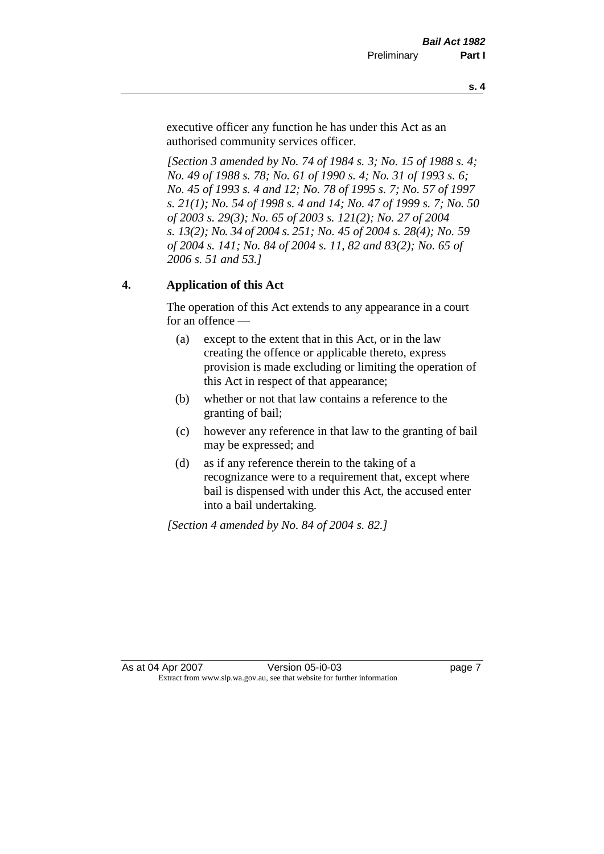executive officer any function he has under this Act as an authorised community services officer.

*[Section 3 amended by No. 74 of 1984 s. 3; No. 15 of 1988 s. 4; No. 49 of 1988 s. 78; No. 61 of 1990 s. 4; No. 31 of 1993 s. 6; No. 45 of 1993 s. 4 and 12; No. 78 of 1995 s. 7; No. 57 of 1997 s. 21(1); No. 54 of 1998 s. 4 and 14; No. 47 of 1999 s. 7; No. 50 of 2003 s. 29(3); No. 65 of 2003 s. 121(2); No. 27 of 2004 s. 13(2); No. 34 of 2004 s. 251; No. 45 of 2004 s. 28(4); No. 59 of 2004 s. 141; No. 84 of 2004 s. 11, 82 and 83(2); No. 65 of 2006 s. 51 and 53.]* 

## **4. Application of this Act**

The operation of this Act extends to any appearance in a court for an offence —

- (a) except to the extent that in this Act, or in the law creating the offence or applicable thereto, express provision is made excluding or limiting the operation of this Act in respect of that appearance;
- (b) whether or not that law contains a reference to the granting of bail;
- (c) however any reference in that law to the granting of bail may be expressed; and
- (d) as if any reference therein to the taking of a recognizance were to a requirement that, except where bail is dispensed with under this Act, the accused enter into a bail undertaking.

*[Section 4 amended by No. 84 of 2004 s. 82.]*

As at 04 Apr 2007 **Version 05-i0-03 Page 7 page 7** Extract from www.slp.wa.gov.au, see that website for further information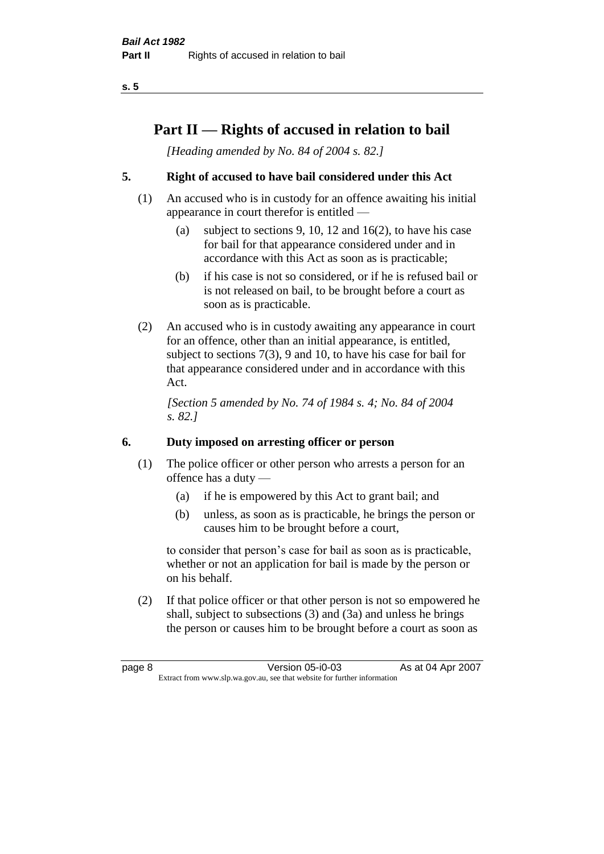# **Part II — Rights of accused in relation to bail**

*[Heading amended by No. 84 of 2004 s. 82.]* 

## **5. Right of accused to have bail considered under this Act**

- (1) An accused who is in custody for an offence awaiting his initial appearance in court therefor is entitled —
	- (a) subject to sections 9, 10, 12 and 16(2), to have his case for bail for that appearance considered under and in accordance with this Act as soon as is practicable;
	- (b) if his case is not so considered, or if he is refused bail or is not released on bail, to be brought before a court as soon as is practicable.
- (2) An accused who is in custody awaiting any appearance in court for an offence, other than an initial appearance, is entitled, subject to sections 7(3), 9 and 10, to have his case for bail for that appearance considered under and in accordance with this Act.

*[Section 5 amended by No. 74 of 1984 s. 4; No. 84 of 2004 s. 82.]* 

### **6. Duty imposed on arresting officer or person**

- (1) The police officer or other person who arrests a person for an offence has a duty —
	- (a) if he is empowered by this Act to grant bail; and
	- (b) unless, as soon as is practicable, he brings the person or causes him to be brought before a court,

to consider that person's case for bail as soon as is practicable, whether or not an application for bail is made by the person or on his behalf.

(2) If that police officer or that other person is not so empowered he shall, subject to subsections (3) and (3a) and unless he brings the person or causes him to be brought before a court as soon as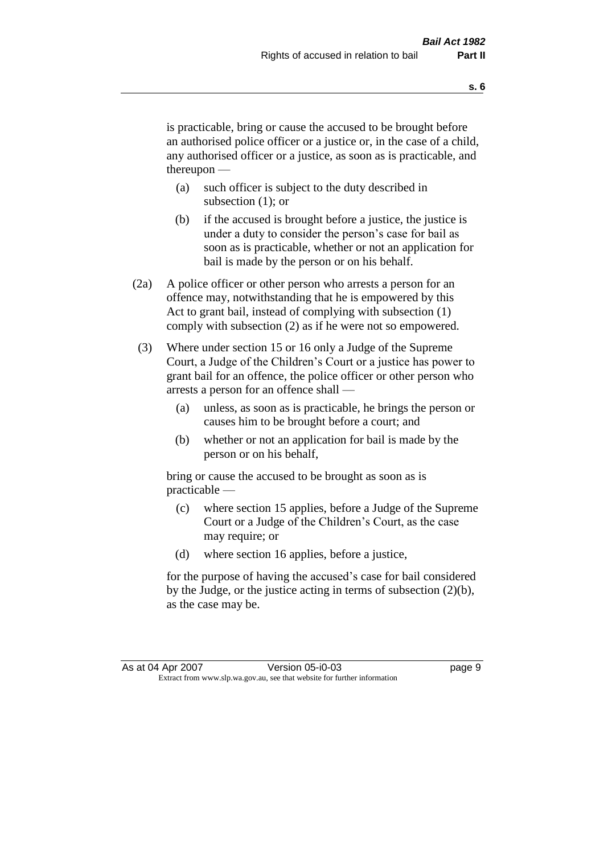is practicable, bring or cause the accused to be brought before an authorised police officer or a justice or, in the case of a child, any authorised officer or a justice, as soon as is practicable, and thereupon —

- (a) such officer is subject to the duty described in subsection (1); or
- (b) if the accused is brought before a justice, the justice is under a duty to consider the person's case for bail as soon as is practicable, whether or not an application for bail is made by the person or on his behalf.
- (2a) A police officer or other person who arrests a person for an offence may, notwithstanding that he is empowered by this Act to grant bail, instead of complying with subsection (1) comply with subsection (2) as if he were not so empowered.
- (3) Where under section 15 or 16 only a Judge of the Supreme Court, a Judge of the Children's Court or a justice has power to grant bail for an offence, the police officer or other person who arrests a person for an offence shall —
	- (a) unless, as soon as is practicable, he brings the person or causes him to be brought before a court; and
	- (b) whether or not an application for bail is made by the person or on his behalf,

bring or cause the accused to be brought as soon as is practicable —

- (c) where section 15 applies, before a Judge of the Supreme Court or a Judge of the Children's Court, as the case may require; or
- (d) where section 16 applies, before a justice,

for the purpose of having the accused's case for bail considered by the Judge, or the justice acting in terms of subsection (2)(b), as the case may be.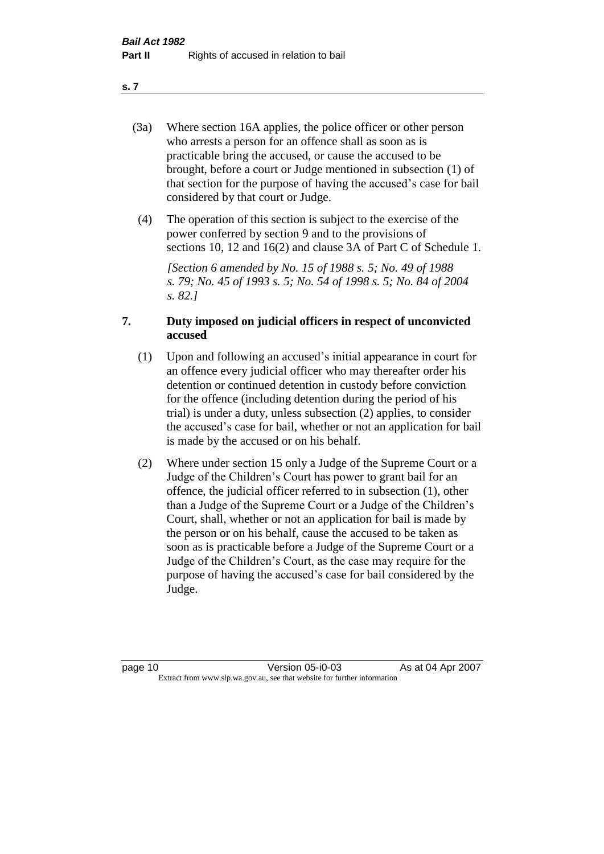- (3a) Where section 16A applies, the police officer or other person who arrests a person for an offence shall as soon as is practicable bring the accused, or cause the accused to be brought, before a court or Judge mentioned in subsection (1) of that section for the purpose of having the accused's case for bail considered by that court or Judge.
- (4) The operation of this section is subject to the exercise of the power conferred by section 9 and to the provisions of sections 10, 12 and 16(2) and clause 3A of Part C of Schedule 1.

*[Section 6 amended by No. 15 of 1988 s. 5; No. 49 of 1988 s. 79; No. 45 of 1993 s. 5; No. 54 of 1998 s. 5; No. 84 of 2004 s. 82.]* 

#### **7. Duty imposed on judicial officers in respect of unconvicted accused**

- (1) Upon and following an accused's initial appearance in court for an offence every judicial officer who may thereafter order his detention or continued detention in custody before conviction for the offence (including detention during the period of his trial) is under a duty, unless subsection (2) applies, to consider the accused's case for bail, whether or not an application for bail is made by the accused or on his behalf.
- (2) Where under section 15 only a Judge of the Supreme Court or a Judge of the Children's Court has power to grant bail for an offence, the judicial officer referred to in subsection (1), other than a Judge of the Supreme Court or a Judge of the Children's Court, shall, whether or not an application for bail is made by the person or on his behalf, cause the accused to be taken as soon as is practicable before a Judge of the Supreme Court or a Judge of the Children's Court, as the case may require for the purpose of having the accused's case for bail considered by the Judge.

**s. 7**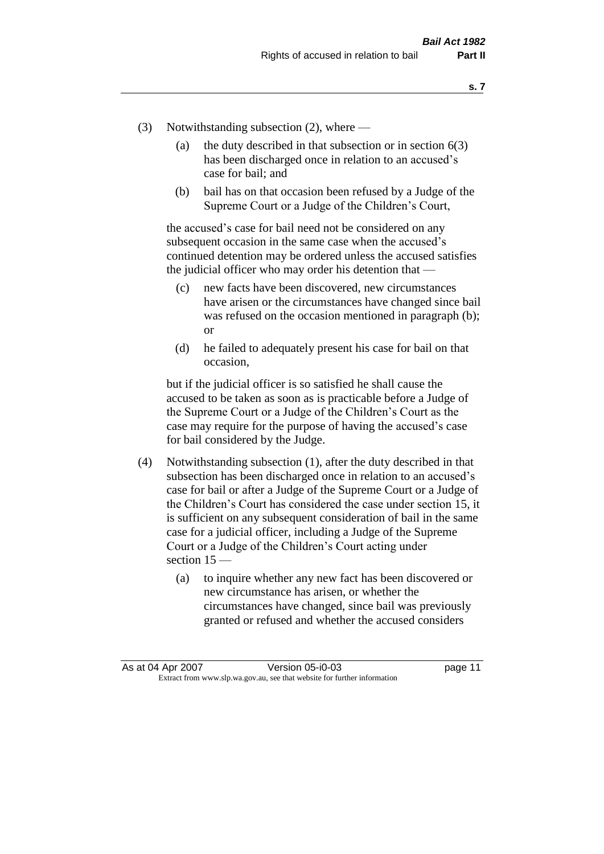- (3) Notwithstanding subsection (2), where
	- (a) the duty described in that subsection or in section  $6(3)$ has been discharged once in relation to an accused's case for bail; and
	- (b) bail has on that occasion been refused by a Judge of the Supreme Court or a Judge of the Children's Court,

the accused's case for bail need not be considered on any subsequent occasion in the same case when the accused's continued detention may be ordered unless the accused satisfies the judicial officer who may order his detention that —

- (c) new facts have been discovered, new circumstances have arisen or the circumstances have changed since bail was refused on the occasion mentioned in paragraph (b); or
- (d) he failed to adequately present his case for bail on that occasion,

but if the judicial officer is so satisfied he shall cause the accused to be taken as soon as is practicable before a Judge of the Supreme Court or a Judge of the Children's Court as the case may require for the purpose of having the accused's case for bail considered by the Judge.

- (4) Notwithstanding subsection (1), after the duty described in that subsection has been discharged once in relation to an accused's case for bail or after a Judge of the Supreme Court or a Judge of the Children's Court has considered the case under section 15, it is sufficient on any subsequent consideration of bail in the same case for a judicial officer, including a Judge of the Supreme Court or a Judge of the Children's Court acting under section 15 —
	- (a) to inquire whether any new fact has been discovered or new circumstance has arisen, or whether the circumstances have changed, since bail was previously granted or refused and whether the accused considers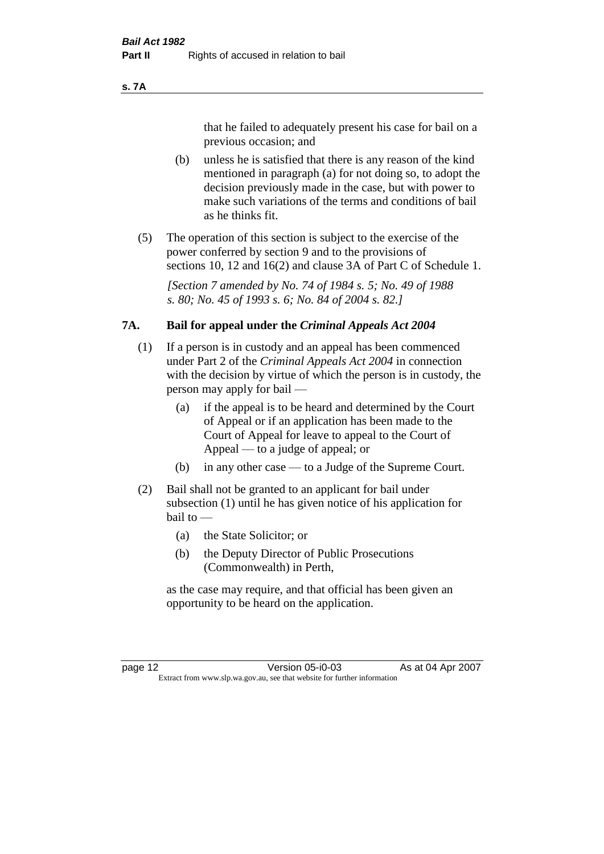#### **s. 7A**

that he failed to adequately present his case for bail on a previous occasion; and

- (b) unless he is satisfied that there is any reason of the kind mentioned in paragraph (a) for not doing so, to adopt the decision previously made in the case, but with power to make such variations of the terms and conditions of bail as he thinks fit.
- (5) The operation of this section is subject to the exercise of the power conferred by section 9 and to the provisions of sections 10, 12 and 16(2) and clause 3A of Part C of Schedule 1.

*[Section 7 amended by No. 74 of 1984 s. 5; No. 49 of 1988 s. 80; No. 45 of 1993 s. 6; No. 84 of 2004 s. 82.]* 

#### **7A. Bail for appeal under the** *Criminal Appeals Act 2004*

- (1) If a person is in custody and an appeal has been commenced under Part 2 of the *Criminal Appeals Act 2004* in connection with the decision by virtue of which the person is in custody, the person may apply for bail —
	- (a) if the appeal is to be heard and determined by the Court of Appeal or if an application has been made to the Court of Appeal for leave to appeal to the Court of Appeal — to a judge of appeal; or
	- (b) in any other case to a Judge of the Supreme Court.
- (2) Bail shall not be granted to an applicant for bail under subsection (1) until he has given notice of his application for bail to —
	- (a) the State Solicitor; or
	- (b) the Deputy Director of Public Prosecutions (Commonwealth) in Perth,

as the case may require, and that official has been given an opportunity to be heard on the application.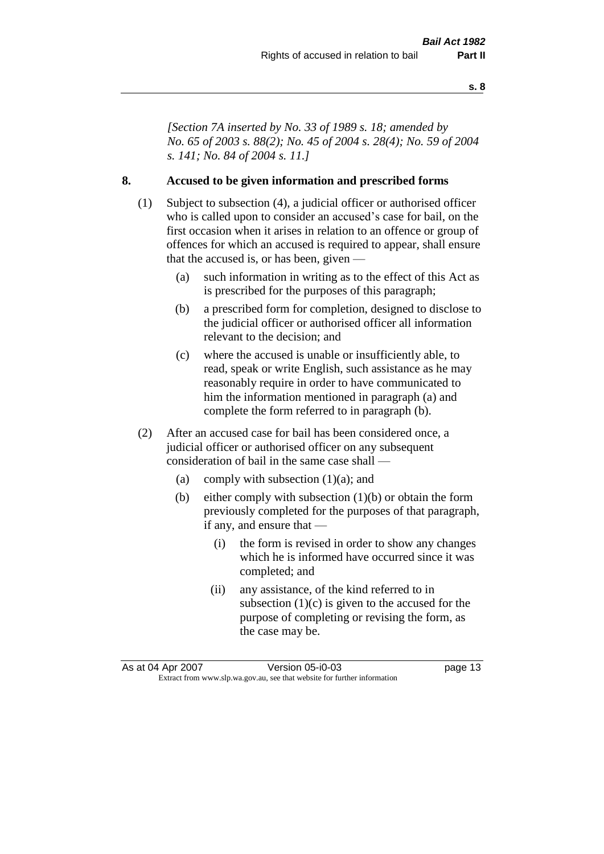*[Section 7A inserted by No. 33 of 1989 s. 18; amended by No. 65 of 2003 s. 88(2); No. 45 of 2004 s. 28(4); No. 59 of 2004 s. 141; No. 84 of 2004 s. 11.]* 

#### **8. Accused to be given information and prescribed forms**

- (1) Subject to subsection (4), a judicial officer or authorised officer who is called upon to consider an accused's case for bail, on the first occasion when it arises in relation to an offence or group of offences for which an accused is required to appear, shall ensure that the accused is, or has been, given —
	- (a) such information in writing as to the effect of this Act as is prescribed for the purposes of this paragraph;
	- (b) a prescribed form for completion, designed to disclose to the judicial officer or authorised officer all information relevant to the decision; and
	- (c) where the accused is unable or insufficiently able, to read, speak or write English, such assistance as he may reasonably require in order to have communicated to him the information mentioned in paragraph (a) and complete the form referred to in paragraph (b).
- (2) After an accused case for bail has been considered once, a judicial officer or authorised officer on any subsequent consideration of bail in the same case shall —
	- (a) comply with subsection  $(1)(a)$ ; and
	- (b) either comply with subsection (1)(b) or obtain the form previously completed for the purposes of that paragraph, if any, and ensure that —
		- (i) the form is revised in order to show any changes which he is informed have occurred since it was completed; and
		- (ii) any assistance, of the kind referred to in subsection  $(1)(c)$  is given to the accused for the purpose of completing or revising the form, as the case may be.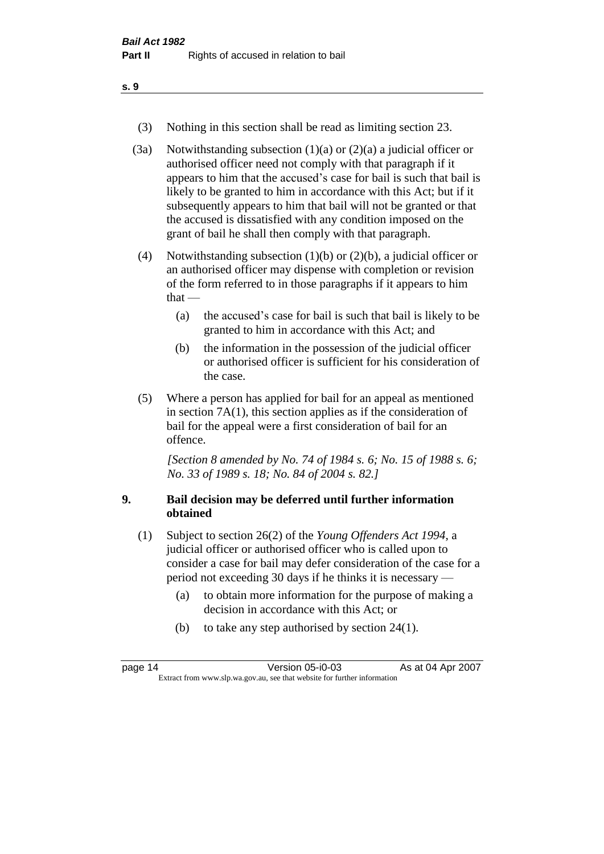- (3) Nothing in this section shall be read as limiting section 23.
- (3a) Notwithstanding subsection  $(1)(a)$  or  $(2)(a)$  a judicial officer or authorised officer need not comply with that paragraph if it appears to him that the accused's case for bail is such that bail is likely to be granted to him in accordance with this Act; but if it subsequently appears to him that bail will not be granted or that the accused is dissatisfied with any condition imposed on the grant of bail he shall then comply with that paragraph.
- (4) Notwithstanding subsection (1)(b) or (2)(b), a judicial officer or an authorised officer may dispense with completion or revision of the form referred to in those paragraphs if it appears to him  $that -$ 
	- (a) the accused's case for bail is such that bail is likely to be granted to him in accordance with this Act; and
	- (b) the information in the possession of the judicial officer or authorised officer is sufficient for his consideration of the case.
- (5) Where a person has applied for bail for an appeal as mentioned in section 7A(1), this section applies as if the consideration of bail for the appeal were a first consideration of bail for an offence.

*[Section 8 amended by No. 74 of 1984 s. 6; No. 15 of 1988 s. 6; No. 33 of 1989 s. 18; No. 84 of 2004 s. 82.]* 

### **9. Bail decision may be deferred until further information obtained**

- (1) Subject to section 26(2) of the *Young Offenders Act 1994*, a judicial officer or authorised officer who is called upon to consider a case for bail may defer consideration of the case for a period not exceeding 30 days if he thinks it is necessary —
	- (a) to obtain more information for the purpose of making a decision in accordance with this Act; or
	- (b) to take any step authorised by section 24(1).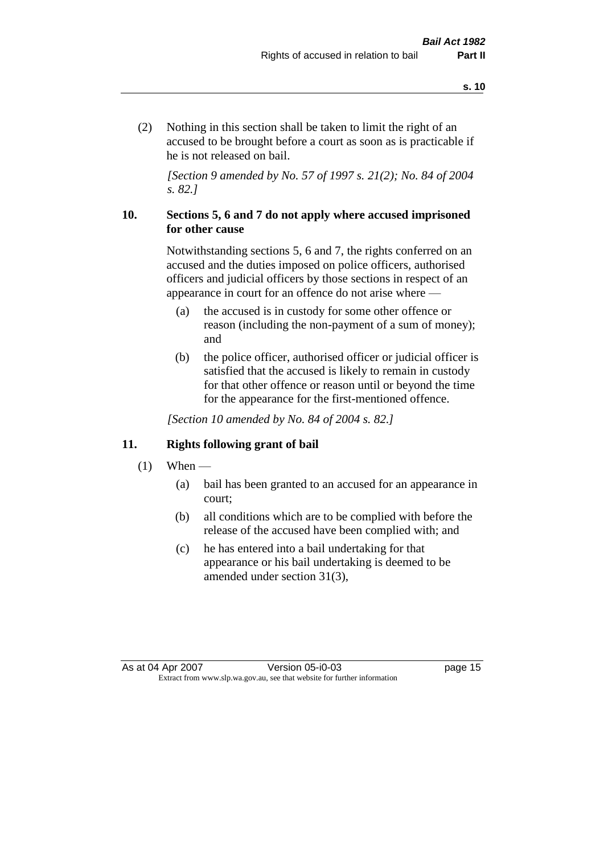(2) Nothing in this section shall be taken to limit the right of an accused to be brought before a court as soon as is practicable if he is not released on bail.

*[Section 9 amended by No. 57 of 1997 s. 21(2); No. 84 of 2004 s. 82.]*

#### **10. Sections 5, 6 and 7 do not apply where accused imprisoned for other cause**

Notwithstanding sections 5, 6 and 7, the rights conferred on an accused and the duties imposed on police officers, authorised officers and judicial officers by those sections in respect of an appearance in court for an offence do not arise where —

- (a) the accused is in custody for some other offence or reason (including the non-payment of a sum of money); and
- (b) the police officer, authorised officer or judicial officer is satisfied that the accused is likely to remain in custody for that other offence or reason until or beyond the time for the appearance for the first-mentioned offence.

*[Section 10 amended by No. 84 of 2004 s. 82.]*

#### **11. Rights following grant of bail**

- $(1)$  When
	- (a) bail has been granted to an accused for an appearance in court;
	- (b) all conditions which are to be complied with before the release of the accused have been complied with; and
	- (c) he has entered into a bail undertaking for that appearance or his bail undertaking is deemed to be amended under section 31(3),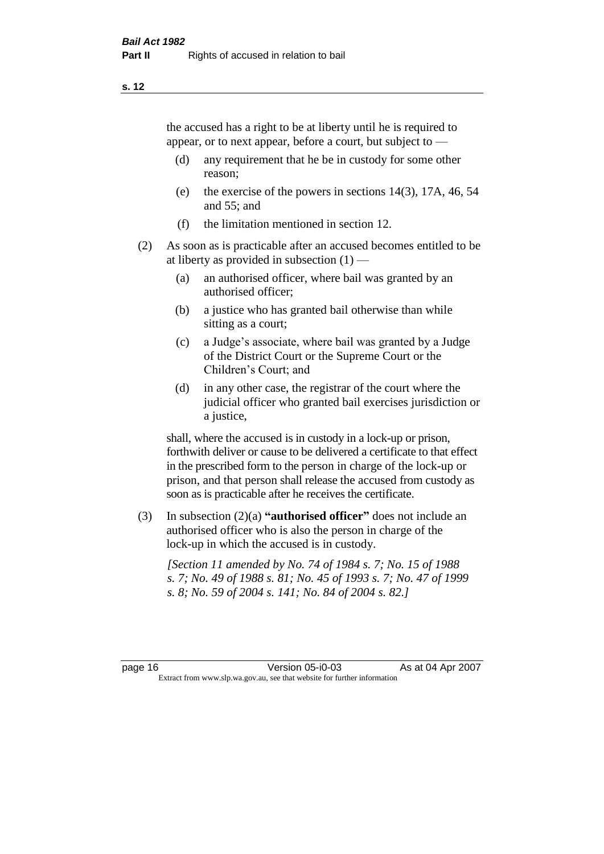the accused has a right to be at liberty until he is required to appear, or to next appear, before a court, but subject to —

- (d) any requirement that he be in custody for some other reason;
- (e) the exercise of the powers in sections 14(3), 17A, 46, 54 and 55; and
- (f) the limitation mentioned in section 12.
- (2) As soon as is practicable after an accused becomes entitled to be at liberty as provided in subsection  $(1)$  —
	- (a) an authorised officer, where bail was granted by an authorised officer;
	- (b) a justice who has granted bail otherwise than while sitting as a court;
	- (c) a Judge's associate, where bail was granted by a Judge of the District Court or the Supreme Court or the Children's Court; and
	- (d) in any other case, the registrar of the court where the judicial officer who granted bail exercises jurisdiction or a justice,

shall, where the accused is in custody in a lock-up or prison, forthwith deliver or cause to be delivered a certificate to that effect in the prescribed form to the person in charge of the lock-up or prison, and that person shall release the accused from custody as soon as is practicable after he receives the certificate.

(3) In subsection (2)(a) **"authorised officer"** does not include an authorised officer who is also the person in charge of the lock-up in which the accused is in custody.

*[Section 11 amended by No. 74 of 1984 s. 7; No. 15 of 1988 s. 7; No. 49 of 1988 s. 81; No. 45 of 1993 s. 7; No. 47 of 1999 s. 8; No. 59 of 2004 s. 141; No. 84 of 2004 s. 82.]*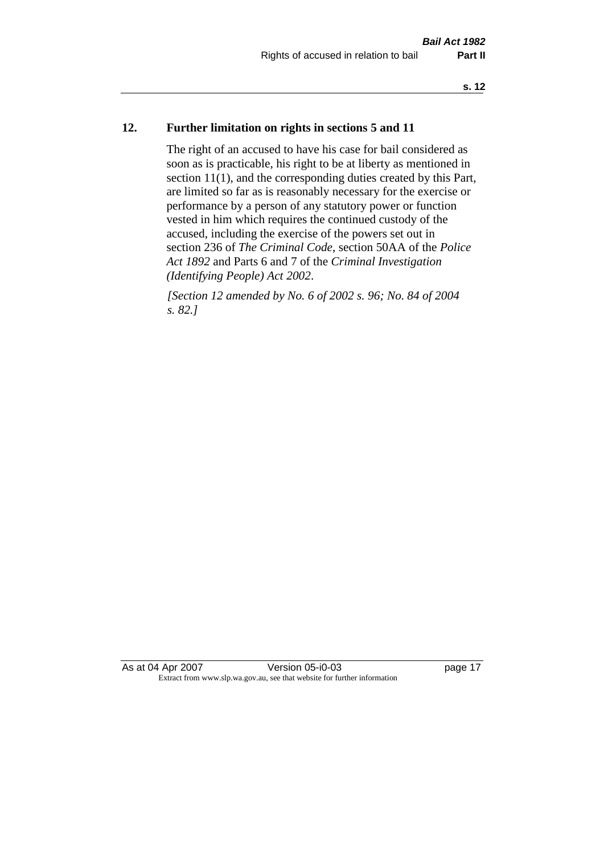### **12. Further limitation on rights in sections 5 and 11**

The right of an accused to have his case for bail considered as soon as is practicable, his right to be at liberty as mentioned in section 11(1), and the corresponding duties created by this Part, are limited so far as is reasonably necessary for the exercise or performance by a person of any statutory power or function vested in him which requires the continued custody of the accused, including the exercise of the powers set out in section 236 of *The Criminal Code*, section 50AA of the *Police Act 1892* and Parts 6 and 7 of the *Criminal Investigation (Identifying People) Act 2002*.

*[Section 12 amended by No. 6 of 2002 s. 96; No. 84 of 2004 s. 82.]*

As at 04 Apr 2007 Version 05-i0-03 page 17 Extract from www.slp.wa.gov.au, see that website for further information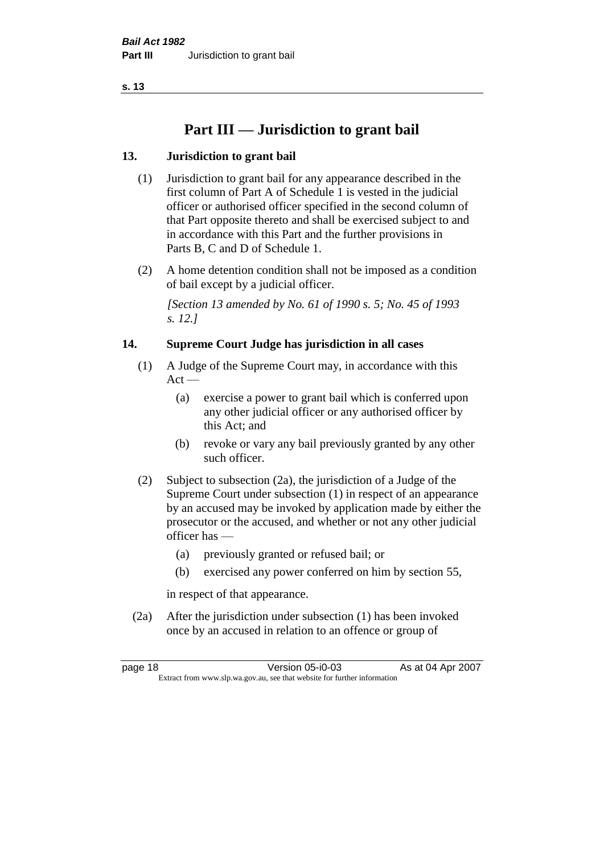# **Part III — Jurisdiction to grant bail**

### **13. Jurisdiction to grant bail**

- (1) Jurisdiction to grant bail for any appearance described in the first column of Part A of Schedule 1 is vested in the judicial officer or authorised officer specified in the second column of that Part opposite thereto and shall be exercised subject to and in accordance with this Part and the further provisions in Parts B, C and D of Schedule 1.
- (2) A home detention condition shall not be imposed as a condition of bail except by a judicial officer.

*[Section 13 amended by No. 61 of 1990 s. 5; No. 45 of 1993 s. 12.]* 

### **14. Supreme Court Judge has jurisdiction in all cases**

- (1) A Judge of the Supreme Court may, in accordance with this  $Act -$ 
	- (a) exercise a power to grant bail which is conferred upon any other judicial officer or any authorised officer by this Act; and
	- (b) revoke or vary any bail previously granted by any other such officer.
- (2) Subject to subsection (2a), the jurisdiction of a Judge of the Supreme Court under subsection (1) in respect of an appearance by an accused may be invoked by application made by either the prosecutor or the accused, and whether or not any other judicial officer has —
	- (a) previously granted or refused bail; or
	- (b) exercised any power conferred on him by section 55,

in respect of that appearance.

(2a) After the jurisdiction under subsection (1) has been invoked once by an accused in relation to an offence or group of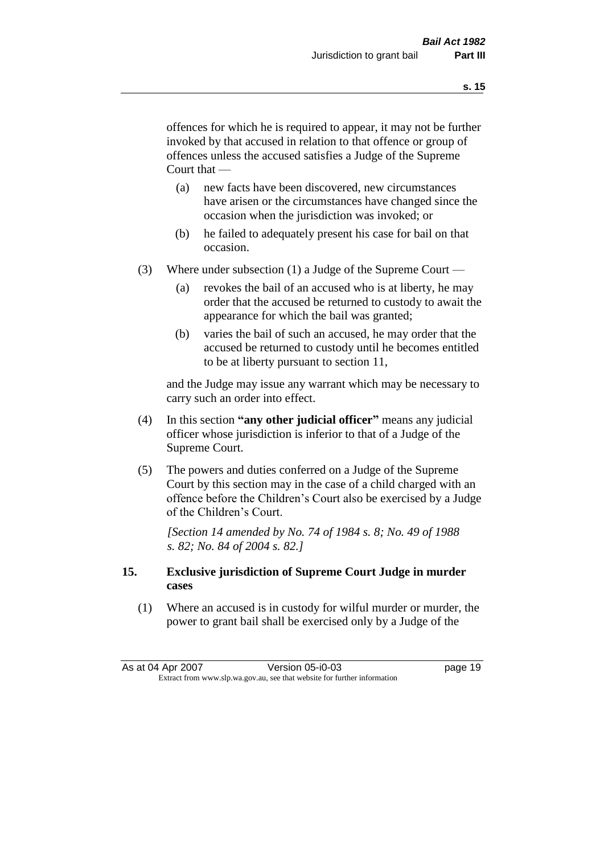offences for which he is required to appear, it may not be further invoked by that accused in relation to that offence or group of offences unless the accused satisfies a Judge of the Supreme Court that —

- (a) new facts have been discovered, new circumstances have arisen or the circumstances have changed since the occasion when the jurisdiction was invoked; or
- (b) he failed to adequately present his case for bail on that occasion.
- (3) Where under subsection (1) a Judge of the Supreme Court
	- (a) revokes the bail of an accused who is at liberty, he may order that the accused be returned to custody to await the appearance for which the bail was granted;
	- (b) varies the bail of such an accused, he may order that the accused be returned to custody until he becomes entitled to be at liberty pursuant to section 11,

and the Judge may issue any warrant which may be necessary to carry such an order into effect.

- (4) In this section **"any other judicial officer"** means any judicial officer whose jurisdiction is inferior to that of a Judge of the Supreme Court.
- (5) The powers and duties conferred on a Judge of the Supreme Court by this section may in the case of a child charged with an offence before the Children's Court also be exercised by a Judge of the Children's Court.

*[Section 14 amended by No. 74 of 1984 s. 8; No. 49 of 1988 s. 82; No. 84 of 2004 s. 82.]* 

#### **15. Exclusive jurisdiction of Supreme Court Judge in murder cases**

(1) Where an accused is in custody for wilful murder or murder, the power to grant bail shall be exercised only by a Judge of the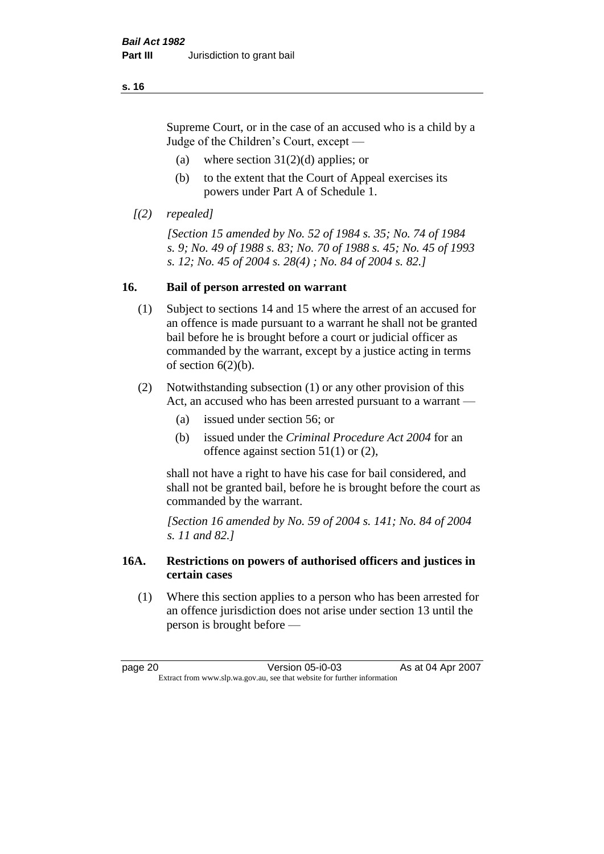Supreme Court, or in the case of an accused who is a child by a Judge of the Children's Court, except —

- (a) where section  $31(2)(d)$  applies; or
- (b) to the extent that the Court of Appeal exercises its powers under Part A of Schedule 1.
- *[(2) repealed]*

*[Section 15 amended by No. 52 of 1984 s. 35; No. 74 of 1984 s. 9; No. 49 of 1988 s. 83; No. 70 of 1988 s. 45; No. 45 of 1993 s. 12; No. 45 of 2004 s. 28(4) ; No. 84 of 2004 s. 82.]* 

### **16. Bail of person arrested on warrant**

- (1) Subject to sections 14 and 15 where the arrest of an accused for an offence is made pursuant to a warrant he shall not be granted bail before he is brought before a court or judicial officer as commanded by the warrant, except by a justice acting in terms of section  $6(2)(b)$ .
- (2) Notwithstanding subsection (1) or any other provision of this Act, an accused who has been arrested pursuant to a warrant —
	- (a) issued under section 56; or
	- (b) issued under the *Criminal Procedure Act 2004* for an offence against section 51(1) or (2),

shall not have a right to have his case for bail considered, and shall not be granted bail, before he is brought before the court as commanded by the warrant.

*[Section 16 amended by No. 59 of 2004 s. 141; No. 84 of 2004 s. 11 and 82.]*

### **16A. Restrictions on powers of authorised officers and justices in certain cases**

(1) Where this section applies to a person who has been arrested for an offence jurisdiction does not arise under section 13 until the person is brought before —

page 20 Version 05-i0-03 As at 04 Apr 2007 Extract from www.slp.wa.gov.au, see that website for further information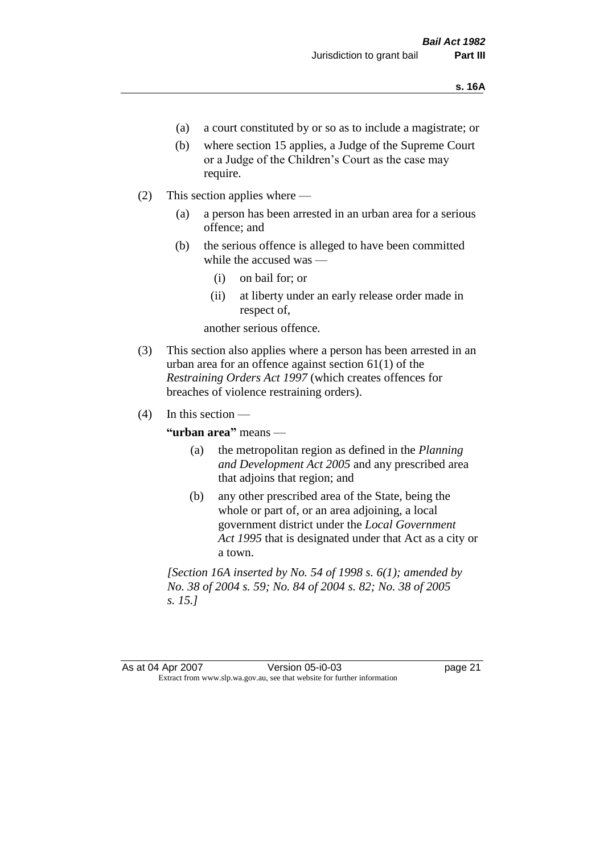- (a) a court constituted by or so as to include a magistrate; or
- (b) where section 15 applies, a Judge of the Supreme Court or a Judge of the Children's Court as the case may require.
- (2) This section applies where
	- (a) a person has been arrested in an urban area for a serious offence; and
	- (b) the serious offence is alleged to have been committed while the accused was —
		- (i) on bail for; or
		- (ii) at liberty under an early release order made in respect of,

another serious offence.

- (3) This section also applies where a person has been arrested in an urban area for an offence against section 61(1) of the *Restraining Orders Act 1997* (which creates offences for breaches of violence restraining orders).
- $(4)$  In this section —

**"urban area"** means —

- (a) the metropolitan region as defined in the *Planning and Development Act 2005* and any prescribed area that adjoins that region; and
- (b) any other prescribed area of the State, being the whole or part of, or an area adjoining, a local government district under the *Local Government Act 1995* that is designated under that Act as a city or a town.

*[Section 16A inserted by No. 54 of 1998 s. 6(1); amended by No. 38 of 2004 s. 59; No. 84 of 2004 s. 82; No. 38 of 2005 s. 15.]*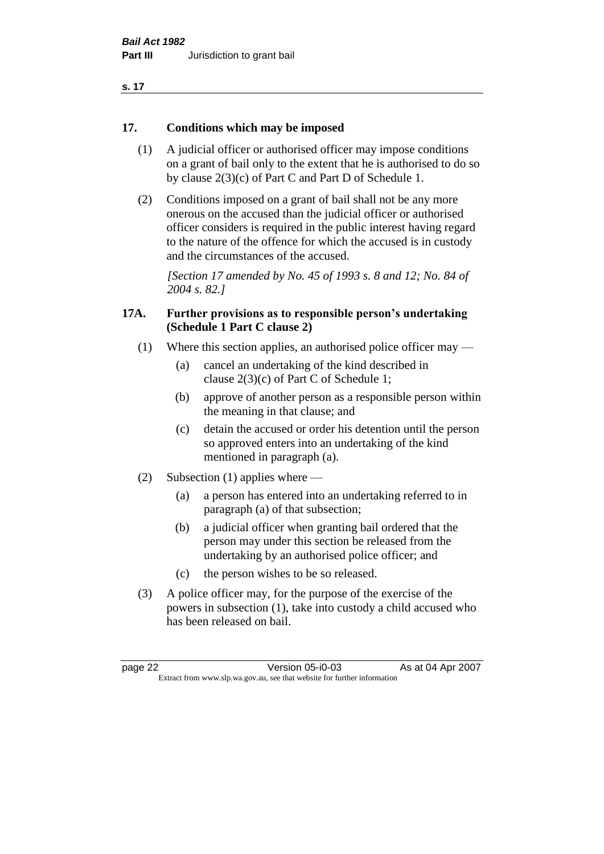| ×<br>. . |  |
|----------|--|
|----------|--|

#### **17. Conditions which may be imposed**

- (1) A judicial officer or authorised officer may impose conditions on a grant of bail only to the extent that he is authorised to do so by clause 2(3)(c) of Part C and Part D of Schedule 1.
- (2) Conditions imposed on a grant of bail shall not be any more onerous on the accused than the judicial officer or authorised officer considers is required in the public interest having regard to the nature of the offence for which the accused is in custody and the circumstances of the accused.

*[Section 17 amended by No. 45 of 1993 s. 8 and 12; No. 84 of 2004 s. 82.]* 

#### **17A. Further provisions as to responsible person's undertaking (Schedule 1 Part C clause 2)**

- (1) Where this section applies, an authorised police officer may
	- (a) cancel an undertaking of the kind described in clause 2(3)(c) of Part C of Schedule 1;
	- (b) approve of another person as a responsible person within the meaning in that clause; and
	- (c) detain the accused or order his detention until the person so approved enters into an undertaking of the kind mentioned in paragraph (a).
- (2) Subsection (1) applies where
	- (a) a person has entered into an undertaking referred to in paragraph (a) of that subsection;
	- (b) a judicial officer when granting bail ordered that the person may under this section be released from the undertaking by an authorised police officer; and
	- (c) the person wishes to be so released.
- (3) A police officer may, for the purpose of the exercise of the powers in subsection (1), take into custody a child accused who has been released on bail.

page 22 Version 05-i0-03 As at 04 Apr 2007 Extract from www.slp.wa.gov.au, see that website for further information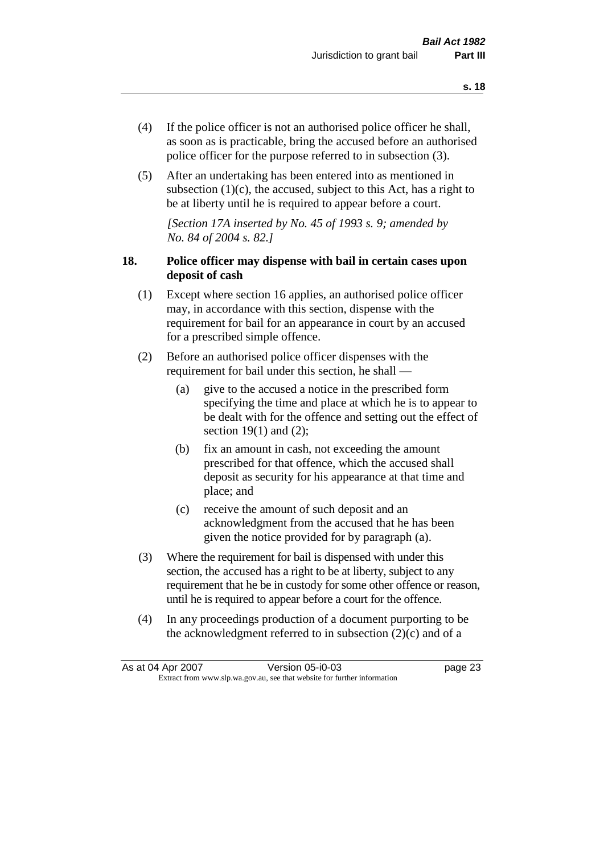- (4) If the police officer is not an authorised police officer he shall, as soon as is practicable, bring the accused before an authorised police officer for the purpose referred to in subsection (3).
- (5) After an undertaking has been entered into as mentioned in subsection  $(1)(c)$ , the accused, subject to this Act, has a right to be at liberty until he is required to appear before a court.

*[Section 17A inserted by No. 45 of 1993 s. 9; amended by No. 84 of 2004 s. 82.]* 

### **18. Police officer may dispense with bail in certain cases upon deposit of cash**

- (1) Except where section 16 applies, an authorised police officer may, in accordance with this section, dispense with the requirement for bail for an appearance in court by an accused for a prescribed simple offence.
- (2) Before an authorised police officer dispenses with the requirement for bail under this section, he shall —
	- (a) give to the accused a notice in the prescribed form specifying the time and place at which he is to appear to be dealt with for the offence and setting out the effect of section  $19(1)$  and  $(2)$ ;
	- (b) fix an amount in cash, not exceeding the amount prescribed for that offence, which the accused shall deposit as security for his appearance at that time and place; and
	- (c) receive the amount of such deposit and an acknowledgment from the accused that he has been given the notice provided for by paragraph (a).
- (3) Where the requirement for bail is dispensed with under this section, the accused has a right to be at liberty, subject to any requirement that he be in custody for some other offence or reason, until he is required to appear before a court for the offence.
- (4) In any proceedings production of a document purporting to be the acknowledgment referred to in subsection  $(2)(c)$  and of a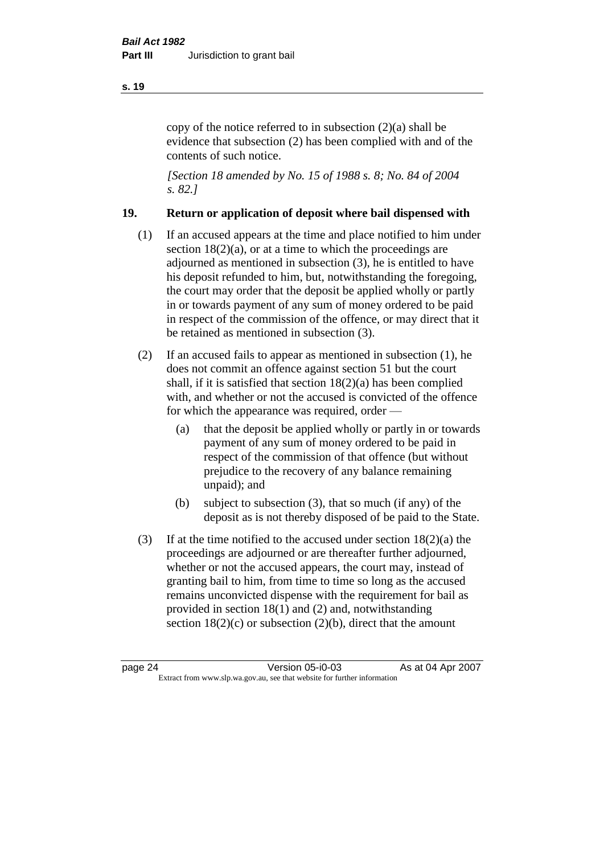copy of the notice referred to in subsection (2)(a) shall be evidence that subsection (2) has been complied with and of the contents of such notice.

*[Section 18 amended by No. 15 of 1988 s. 8; No. 84 of 2004 s. 82.]* 

### **19. Return or application of deposit where bail dispensed with**

- (1) If an accused appears at the time and place notified to him under section  $18(2)(a)$ , or at a time to which the proceedings are adjourned as mentioned in subsection (3), he is entitled to have his deposit refunded to him, but, notwithstanding the foregoing, the court may order that the deposit be applied wholly or partly in or towards payment of any sum of money ordered to be paid in respect of the commission of the offence, or may direct that it be retained as mentioned in subsection (3).
- (2) If an accused fails to appear as mentioned in subsection (1), he does not commit an offence against section 51 but the court shall, if it is satisfied that section 18(2)(a) has been complied with, and whether or not the accused is convicted of the offence for which the appearance was required, order —
	- (a) that the deposit be applied wholly or partly in or towards payment of any sum of money ordered to be paid in respect of the commission of that offence (but without prejudice to the recovery of any balance remaining unpaid); and
	- (b) subject to subsection (3), that so much (if any) of the deposit as is not thereby disposed of be paid to the State.
- (3) If at the time notified to the accused under section  $18(2)(a)$  the proceedings are adjourned or are thereafter further adjourned, whether or not the accused appears, the court may, instead of granting bail to him, from time to time so long as the accused remains unconvicted dispense with the requirement for bail as provided in section 18(1) and (2) and, notwithstanding section  $18(2)(c)$  or subsection  $(2)(b)$ , direct that the amount

#### **s. 19**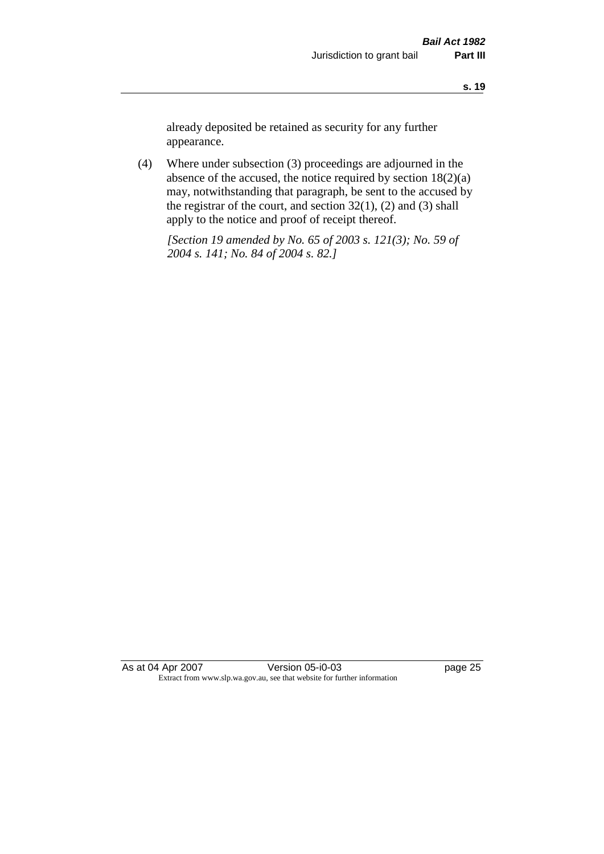already deposited be retained as security for any further appearance.

(4) Where under subsection (3) proceedings are adjourned in the absence of the accused, the notice required by section 18(2)(a) may, notwithstanding that paragraph, be sent to the accused by the registrar of the court, and section  $32(1)$ ,  $(2)$  and  $(3)$  shall apply to the notice and proof of receipt thereof.

*[Section 19 amended by No. 65 of 2003 s. 121(3); No. 59 of 2004 s. 141; No. 84 of 2004 s. 82.]*

As at 04 Apr 2007 Version 05-i0-03 page 25 Extract from www.slp.wa.gov.au, see that website for further information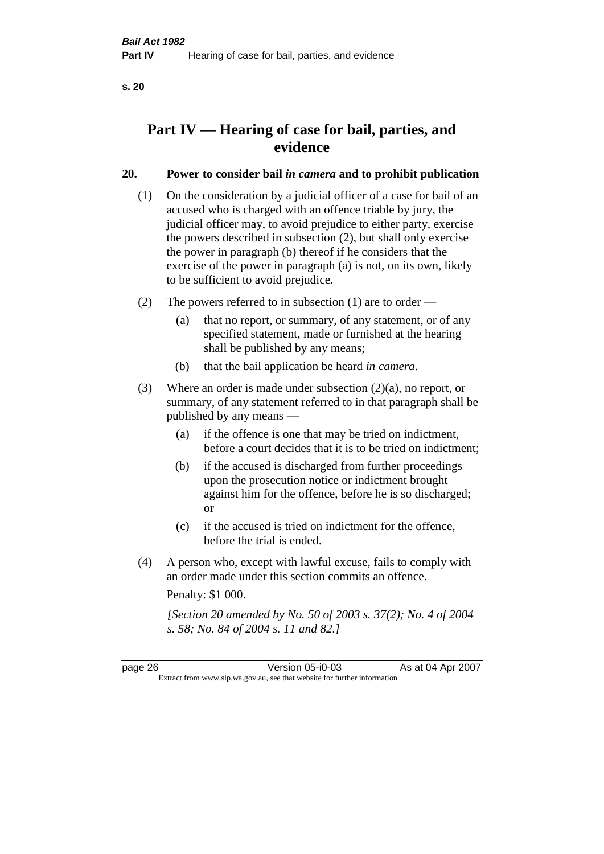# **Part IV — Hearing of case for bail, parties, and evidence**

### **20. Power to consider bail** *in camera* **and to prohibit publication**

- (1) On the consideration by a judicial officer of a case for bail of an accused who is charged with an offence triable by jury, the judicial officer may, to avoid prejudice to either party, exercise the powers described in subsection (2), but shall only exercise the power in paragraph (b) thereof if he considers that the exercise of the power in paragraph (a) is not, on its own, likely to be sufficient to avoid prejudice.
- (2) The powers referred to in subsection (1) are to order
	- (a) that no report, or summary, of any statement, or of any specified statement, made or furnished at the hearing shall be published by any means;
	- (b) that the bail application be heard *in camera*.
- (3) Where an order is made under subsection (2)(a), no report, or summary, of any statement referred to in that paragraph shall be published by any means —
	- (a) if the offence is one that may be tried on indictment, before a court decides that it is to be tried on indictment;
	- (b) if the accused is discharged from further proceedings upon the prosecution notice or indictment brought against him for the offence, before he is so discharged; or
	- (c) if the accused is tried on indictment for the offence, before the trial is ended.
- (4) A person who, except with lawful excuse, fails to comply with an order made under this section commits an offence.

Penalty: \$1 000.

*[Section 20 amended by No. 50 of 2003 s. 37(2); No. 4 of 2004 s. 58; No. 84 of 2004 s. 11 and 82.]*

page 26 Version 05-i0-03 As at 04 Apr 2007 Extract from www.slp.wa.gov.au, see that website for further information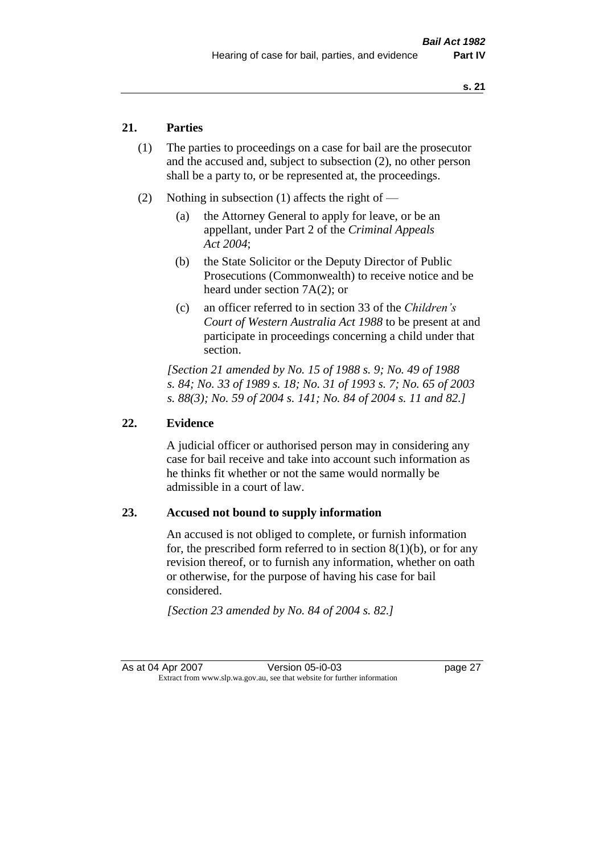### **21. Parties**

- (1) The parties to proceedings on a case for bail are the prosecutor and the accused and, subject to subsection (2), no other person shall be a party to, or be represented at, the proceedings.
- (2) Nothing in subsection (1) affects the right of
	- (a) the Attorney General to apply for leave, or be an appellant, under Part 2 of the *Criminal Appeals Act 2004*;
	- (b) the State Solicitor or the Deputy Director of Public Prosecutions (Commonwealth) to receive notice and be heard under section 7A(2); or
	- (c) an officer referred to in section 33 of the *Children's Court of Western Australia Act 1988* to be present at and participate in proceedings concerning a child under that section.

*[Section 21 amended by No. 15 of 1988 s. 9; No. 49 of 1988 s. 84; No. 33 of 1989 s. 18; No. 31 of 1993 s. 7; No. 65 of 2003 s. 88(3); No. 59 of 2004 s. 141; No. 84 of 2004 s. 11 and 82.]* 

#### **22. Evidence**

A judicial officer or authorised person may in considering any case for bail receive and take into account such information as he thinks fit whether or not the same would normally be admissible in a court of law.

#### **23. Accused not bound to supply information**

An accused is not obliged to complete, or furnish information for, the prescribed form referred to in section  $8(1)(b)$ , or for any revision thereof, or to furnish any information, whether on oath or otherwise, for the purpose of having his case for bail considered.

*[Section 23 amended by No. 84 of 2004 s. 82.]*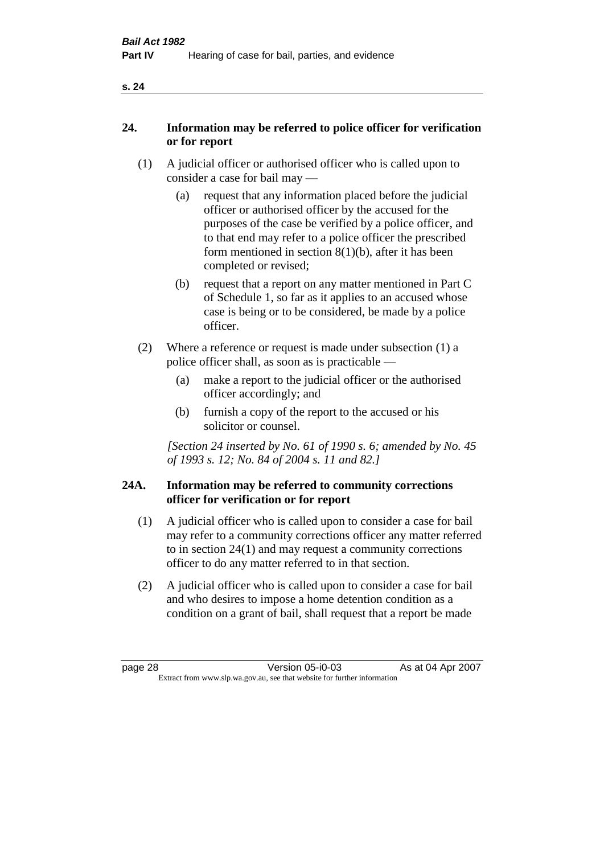### **24. Information may be referred to police officer for verification or for report**

- (1) A judicial officer or authorised officer who is called upon to consider a case for bail may —
	- (a) request that any information placed before the judicial officer or authorised officer by the accused for the purposes of the case be verified by a police officer, and to that end may refer to a police officer the prescribed form mentioned in section 8(1)(b), after it has been completed or revised;
	- (b) request that a report on any matter mentioned in Part C of Schedule 1, so far as it applies to an accused whose case is being or to be considered, be made by a police officer.
- (2) Where a reference or request is made under subsection (1) a police officer shall, as soon as is practicable —
	- (a) make a report to the judicial officer or the authorised officer accordingly; and
	- (b) furnish a copy of the report to the accused or his solicitor or counsel.

*[Section 24 inserted by No. 61 of 1990 s. 6; amended by No. 45 of 1993 s. 12; No. 84 of 2004 s. 11 and 82.]* 

#### **24A. Information may be referred to community corrections officer for verification or for report**

- (1) A judicial officer who is called upon to consider a case for bail may refer to a community corrections officer any matter referred to in section 24(1) and may request a community corrections officer to do any matter referred to in that section.
- (2) A judicial officer who is called upon to consider a case for bail and who desires to impose a home detention condition as a condition on a grant of bail, shall request that a report be made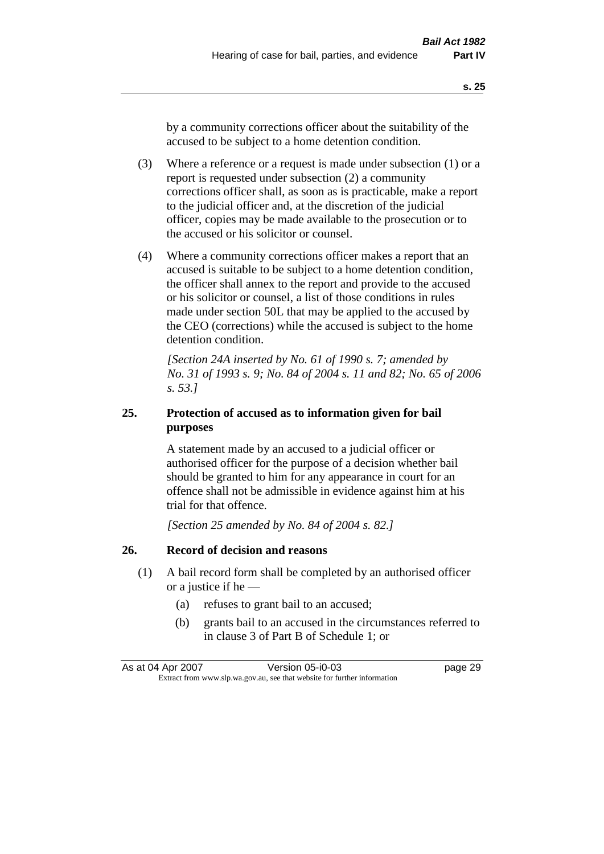by a community corrections officer about the suitability of the accused to be subject to a home detention condition.

- (3) Where a reference or a request is made under subsection (1) or a report is requested under subsection (2) a community corrections officer shall, as soon as is practicable, make a report to the judicial officer and, at the discretion of the judicial officer, copies may be made available to the prosecution or to the accused or his solicitor or counsel.
- (4) Where a community corrections officer makes a report that an accused is suitable to be subject to a home detention condition, the officer shall annex to the report and provide to the accused or his solicitor or counsel, a list of those conditions in rules made under section 50L that may be applied to the accused by the CEO (corrections) while the accused is subject to the home detention condition.

*[Section 24A inserted by No. 61 of 1990 s. 7; amended by No. 31 of 1993 s. 9; No. 84 of 2004 s. 11 and 82; No. 65 of 2006 s. 53.]* 

# **25. Protection of accused as to information given for bail purposes**

A statement made by an accused to a judicial officer or authorised officer for the purpose of a decision whether bail should be granted to him for any appearance in court for an offence shall not be admissible in evidence against him at his trial for that offence.

*[Section 25 amended by No. 84 of 2004 s. 82.]* 

# **26. Record of decision and reasons**

- (1) A bail record form shall be completed by an authorised officer or a justice if he —
	- (a) refuses to grant bail to an accused;
	- (b) grants bail to an accused in the circumstances referred to in clause 3 of Part B of Schedule 1; or

As at 04 Apr 2007 Version 05-i0-03 page 29 Extract from www.slp.wa.gov.au, see that website for further information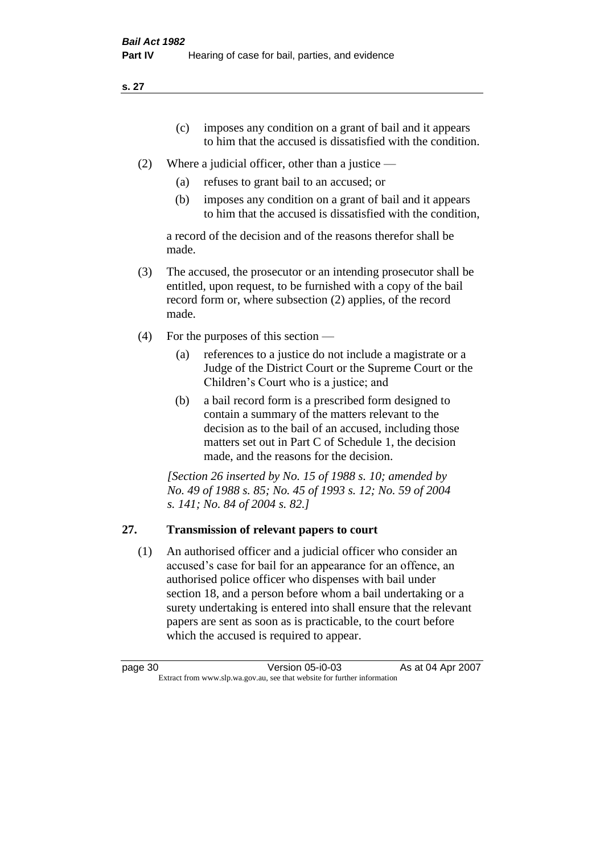**s. 27**

- (c) imposes any condition on a grant of bail and it appears to him that the accused is dissatisfied with the condition.
- (2) Where a judicial officer, other than a justice
	- (a) refuses to grant bail to an accused; or
	- (b) imposes any condition on a grant of bail and it appears to him that the accused is dissatisfied with the condition,

a record of the decision and of the reasons therefor shall be made.

- (3) The accused, the prosecutor or an intending prosecutor shall be entitled, upon request, to be furnished with a copy of the bail record form or, where subsection (2) applies, of the record made.
- (4) For the purposes of this section
	- (a) references to a justice do not include a magistrate or a Judge of the District Court or the Supreme Court or the Children's Court who is a justice; and
	- (b) a bail record form is a prescribed form designed to contain a summary of the matters relevant to the decision as to the bail of an accused, including those matters set out in Part C of Schedule 1, the decision made, and the reasons for the decision.

*[Section 26 inserted by No. 15 of 1988 s. 10; amended by No. 49 of 1988 s. 85; No. 45 of 1993 s. 12; No. 59 of 2004 s. 141; No. 84 of 2004 s. 82.]* 

# **27. Transmission of relevant papers to court**

(1) An authorised officer and a judicial officer who consider an accused's case for bail for an appearance for an offence, an authorised police officer who dispenses with bail under section 18, and a person before whom a bail undertaking or a surety undertaking is entered into shall ensure that the relevant papers are sent as soon as is practicable, to the court before which the accused is required to appear.

| page 30 | Version 05-i0-03                                                         | As at 04 Apr 2007 |
|---------|--------------------------------------------------------------------------|-------------------|
|         | Extract from www.slp.wa.gov.au, see that website for further information |                   |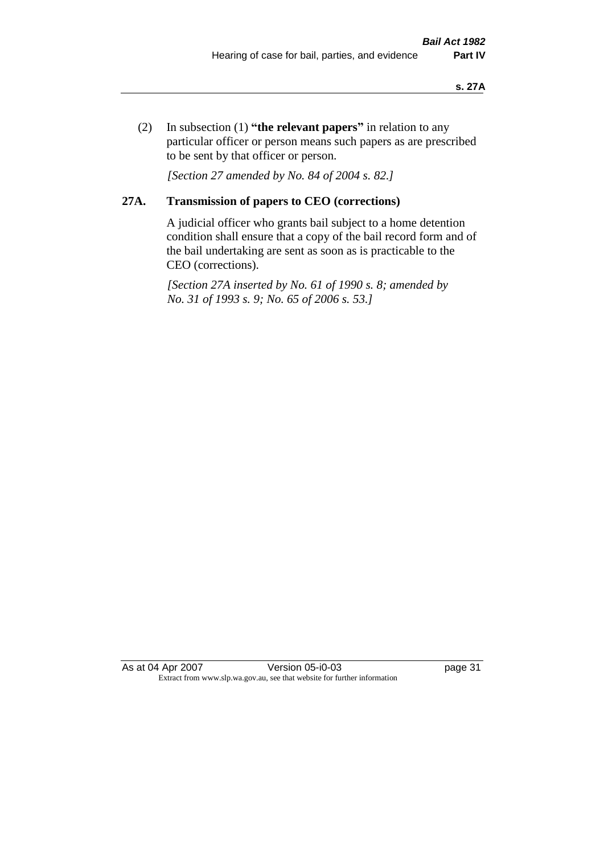(2) In subsection (1) **"the relevant papers"** in relation to any particular officer or person means such papers as are prescribed to be sent by that officer or person.

*[Section 27 amended by No. 84 of 2004 s. 82.]* 

# **27A. Transmission of papers to CEO (corrections)**

A judicial officer who grants bail subject to a home detention condition shall ensure that a copy of the bail record form and of the bail undertaking are sent as soon as is practicable to the CEO (corrections).

*[Section 27A inserted by No. 61 of 1990 s. 8; amended by No. 31 of 1993 s. 9; No. 65 of 2006 s. 53.]* 

As at 04 Apr 2007 Version 05-i0-03 page 31 Extract from www.slp.wa.gov.au, see that website for further information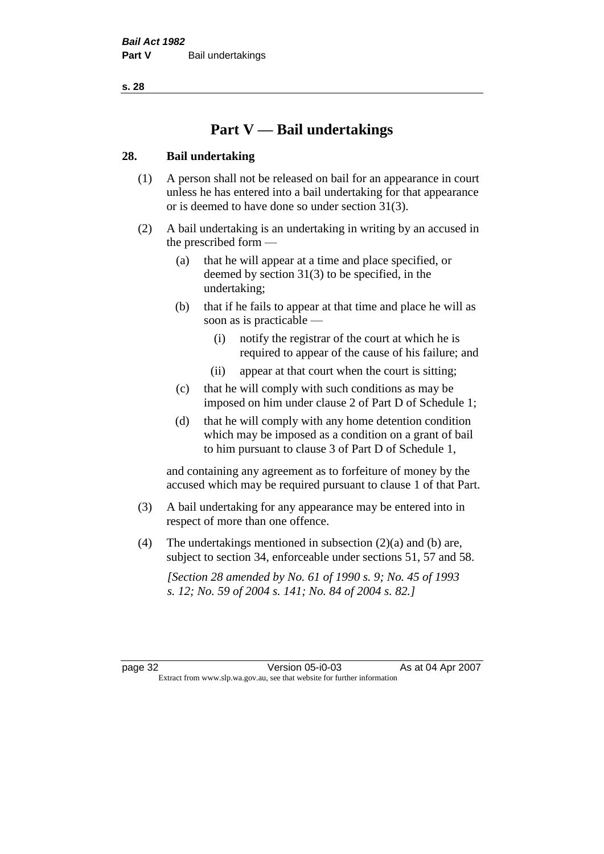**s. 28**

# **Part V — Bail undertakings**

## **28. Bail undertaking**

- (1) A person shall not be released on bail for an appearance in court unless he has entered into a bail undertaking for that appearance or is deemed to have done so under section 31(3).
- (2) A bail undertaking is an undertaking in writing by an accused in the prescribed form —
	- (a) that he will appear at a time and place specified, or deemed by section 31(3) to be specified, in the undertaking;
	- (b) that if he fails to appear at that time and place he will as soon as is practicable —
		- (i) notify the registrar of the court at which he is required to appear of the cause of his failure; and
		- (ii) appear at that court when the court is sitting;
	- (c) that he will comply with such conditions as may be imposed on him under clause 2 of Part D of Schedule 1;
	- (d) that he will comply with any home detention condition which may be imposed as a condition on a grant of bail to him pursuant to clause 3 of Part D of Schedule 1,

and containing any agreement as to forfeiture of money by the accused which may be required pursuant to clause 1 of that Part.

- (3) A bail undertaking for any appearance may be entered into in respect of more than one offence.
- (4) The undertakings mentioned in subsection  $(2)(a)$  and (b) are, subject to section 34, enforceable under sections 51, 57 and 58.

*[Section 28 amended by No. 61 of 1990 s. 9; No. 45 of 1993 s. 12; No. 59 of 2004 s. 141; No. 84 of 2004 s. 82.]* 

page 32 Version 05-i0-03 As at 04 Apr 2007 Extract from www.slp.wa.gov.au, see that website for further information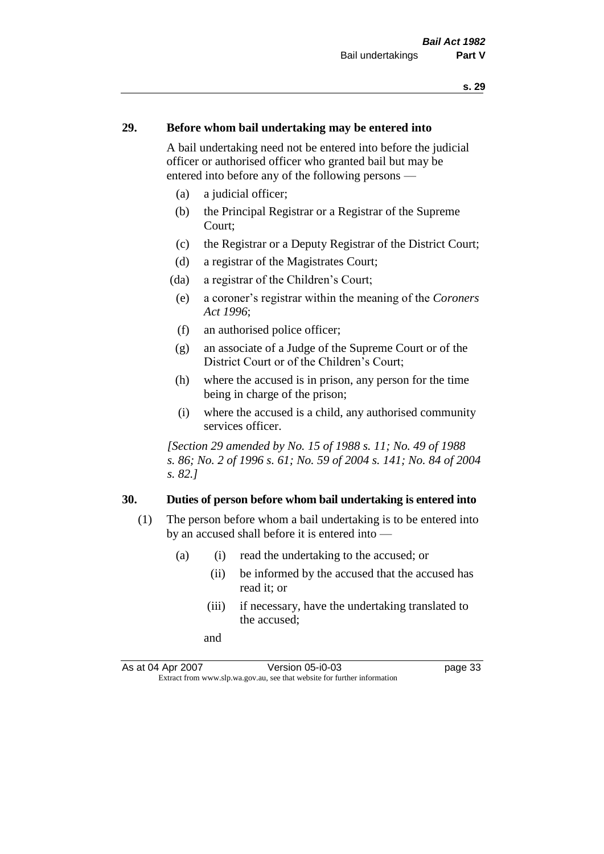### **29. Before whom bail undertaking may be entered into**

A bail undertaking need not be entered into before the judicial officer or authorised officer who granted bail but may be entered into before any of the following persons —

- (a) a judicial officer;
- (b) the Principal Registrar or a Registrar of the Supreme Court;
- (c) the Registrar or a Deputy Registrar of the District Court;
- (d) a registrar of the Magistrates Court;
- (da) a registrar of the Children's Court;
- (e) a coroner's registrar within the meaning of the *Coroners Act 1996*;
- (f) an authorised police officer;
- (g) an associate of a Judge of the Supreme Court or of the District Court or of the Children's Court;
- (h) where the accused is in prison, any person for the time being in charge of the prison;
- (i) where the accused is a child, any authorised community services officer.

*[Section 29 amended by No. 15 of 1988 s. 11; No. 49 of 1988 s. 86; No. 2 of 1996 s. 61; No. 59 of 2004 s. 141; No. 84 of 2004 s. 82.]* 

#### **30. Duties of person before whom bail undertaking is entered into**

- (1) The person before whom a bail undertaking is to be entered into by an accused shall before it is entered into —
	- (a) (i) read the undertaking to the accused; or
		- (ii) be informed by the accused that the accused has read it; or
		- (iii) if necessary, have the undertaking translated to the accused;
		- and

As at 04 Apr 2007 Version 05-i0-03 page 33 Extract from www.slp.wa.gov.au, see that website for further information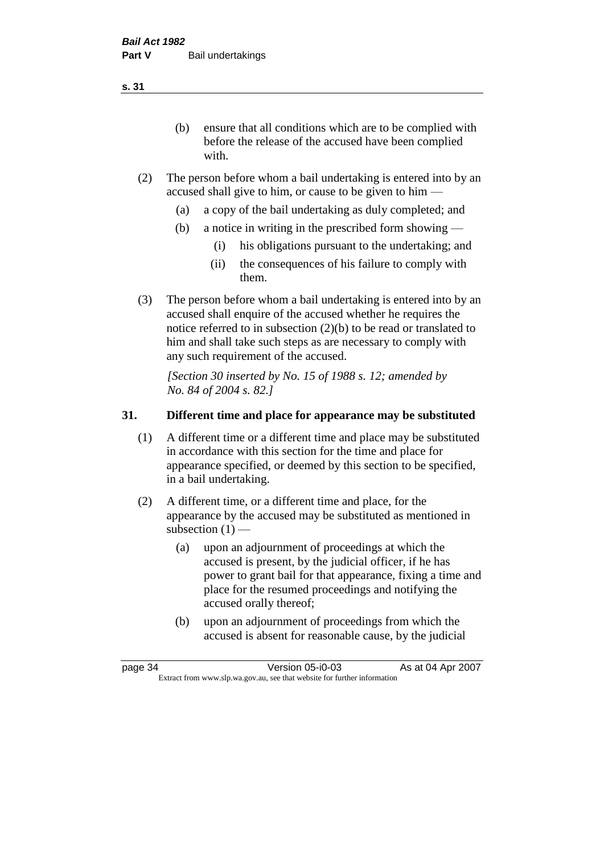(b) ensure that all conditions which are to be complied with before the release of the accused have been complied with.

- (2) The person before whom a bail undertaking is entered into by an accused shall give to him, or cause to be given to him —
	- (a) a copy of the bail undertaking as duly completed; and
	- (b) a notice in writing in the prescribed form showing
		- (i) his obligations pursuant to the undertaking; and
		- (ii) the consequences of his failure to comply with them.
- (3) The person before whom a bail undertaking is entered into by an accused shall enquire of the accused whether he requires the notice referred to in subsection (2)(b) to be read or translated to him and shall take such steps as are necessary to comply with any such requirement of the accused.

*[Section 30 inserted by No. 15 of 1988 s. 12; amended by No. 84 of 2004 s. 82.]* 

## **31. Different time and place for appearance may be substituted**

- (1) A different time or a different time and place may be substituted in accordance with this section for the time and place for appearance specified, or deemed by this section to be specified, in a bail undertaking.
- (2) A different time, or a different time and place, for the appearance by the accused may be substituted as mentioned in subsection  $(1)$  —
	- (a) upon an adjournment of proceedings at which the accused is present, by the judicial officer, if he has power to grant bail for that appearance, fixing a time and place for the resumed proceedings and notifying the accused orally thereof;
	- (b) upon an adjournment of proceedings from which the accused is absent for reasonable cause, by the judicial

page 34 Version 05-i0-03 As at 04 Apr 2007 Extract from www.slp.wa.gov.au, see that website for further information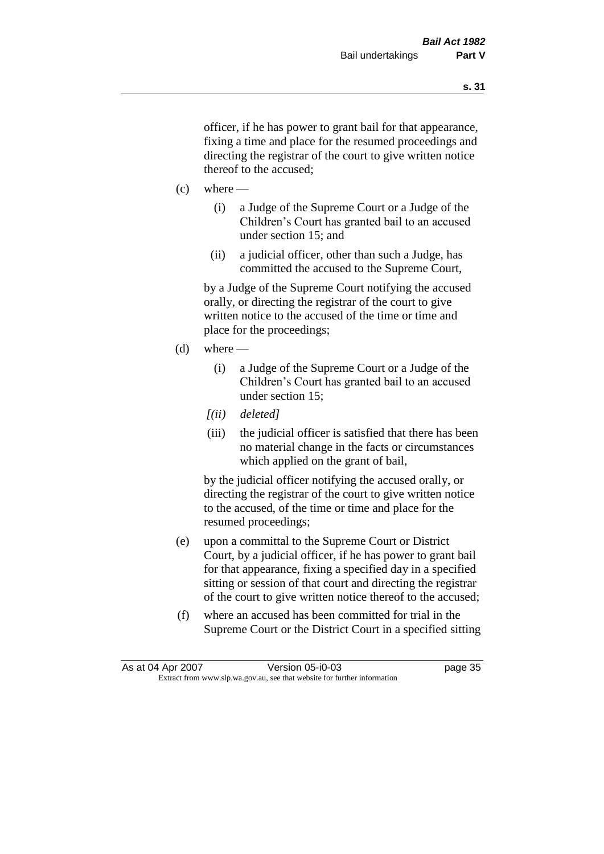officer, if he has power to grant bail for that appearance, fixing a time and place for the resumed proceedings and directing the registrar of the court to give written notice thereof to the accused;

- $(c)$  where
	- (i) a Judge of the Supreme Court or a Judge of the Children's Court has granted bail to an accused under section 15; and
	- (ii) a judicial officer, other than such a Judge, has committed the accused to the Supreme Court,

by a Judge of the Supreme Court notifying the accused orally, or directing the registrar of the court to give written notice to the accused of the time or time and place for the proceedings;

- $(d)$  where
	- (i) a Judge of the Supreme Court or a Judge of the Children's Court has granted bail to an accused under section 15;
	- *[(ii) deleted]*
	- (iii) the judicial officer is satisfied that there has been no material change in the facts or circumstances which applied on the grant of bail,

by the judicial officer notifying the accused orally, or directing the registrar of the court to give written notice to the accused, of the time or time and place for the resumed proceedings;

- (e) upon a committal to the Supreme Court or District Court, by a judicial officer, if he has power to grant bail for that appearance, fixing a specified day in a specified sitting or session of that court and directing the registrar of the court to give written notice thereof to the accused;
- (f) where an accused has been committed for trial in the Supreme Court or the District Court in a specified sitting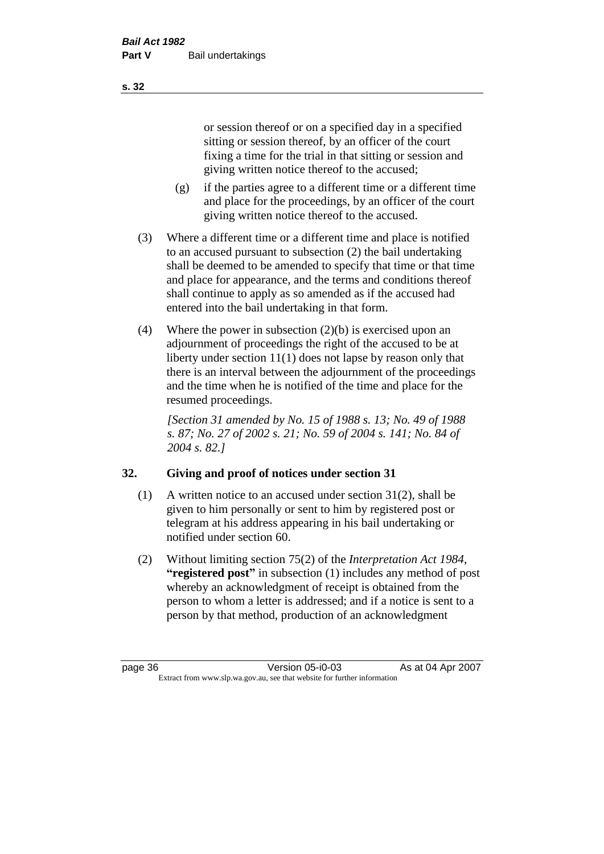or session thereof or on a specified day in a specified sitting or session thereof, by an officer of the court fixing a time for the trial in that sitting or session and giving written notice thereof to the accused;

- (g) if the parties agree to a different time or a different time and place for the proceedings, by an officer of the court giving written notice thereof to the accused.
- (3) Where a different time or a different time and place is notified to an accused pursuant to subsection (2) the bail undertaking shall be deemed to be amended to specify that time or that time and place for appearance, and the terms and conditions thereof shall continue to apply as so amended as if the accused had entered into the bail undertaking in that form.
- (4) Where the power in subsection (2)(b) is exercised upon an adjournment of proceedings the right of the accused to be at liberty under section 11(1) does not lapse by reason only that there is an interval between the adjournment of the proceedings and the time when he is notified of the time and place for the resumed proceedings.

*[Section 31 amended by No. 15 of 1988 s. 13; No. 49 of 1988 s. 87; No. 27 of 2002 s. 21; No. 59 of 2004 s. 141; No. 84 of 2004 s. 82.]* 

# **32. Giving and proof of notices under section 31**

- (1) A written notice to an accused under section 31(2), shall be given to him personally or sent to him by registered post or telegram at his address appearing in his bail undertaking or notified under section 60.
- (2) Without limiting section 75(2) of the *Interpretation Act 1984*, **"registered post"** in subsection (1) includes any method of post whereby an acknowledgment of receipt is obtained from the person to whom a letter is addressed; and if a notice is sent to a person by that method, production of an acknowledgment

page 36 Version 05-i0-03 As at 04 Apr 2007 Extract from www.slp.wa.gov.au, see that website for further information

**s. 32**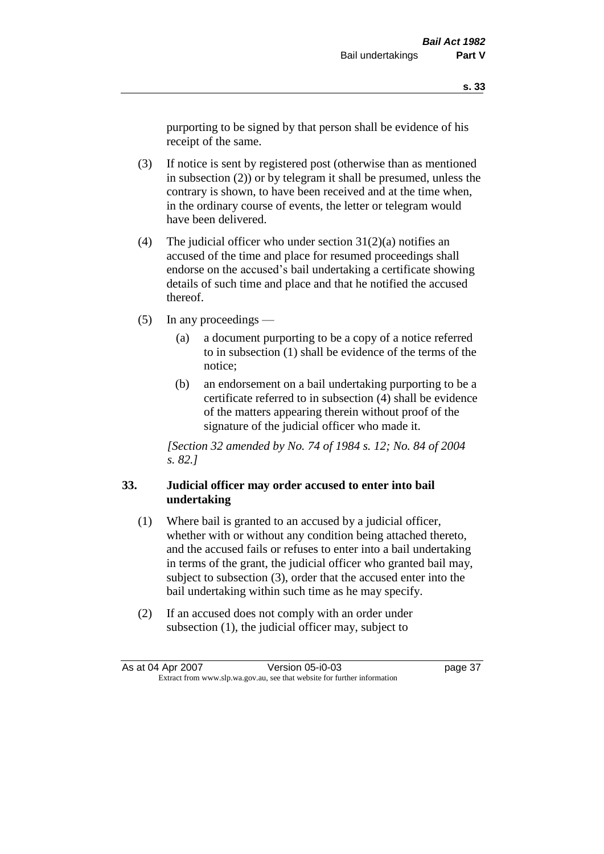purporting to be signed by that person shall be evidence of his receipt of the same.

- (3) If notice is sent by registered post (otherwise than as mentioned in subsection (2)) or by telegram it shall be presumed, unless the contrary is shown, to have been received and at the time when, in the ordinary course of events, the letter or telegram would have been delivered.
- (4) The judicial officer who under section  $31(2)(a)$  notifies an accused of the time and place for resumed proceedings shall endorse on the accused's bail undertaking a certificate showing details of such time and place and that he notified the accused thereof.
- (5) In any proceedings
	- (a) a document purporting to be a copy of a notice referred to in subsection (1) shall be evidence of the terms of the notice;
	- (b) an endorsement on a bail undertaking purporting to be a certificate referred to in subsection (4) shall be evidence of the matters appearing therein without proof of the signature of the judicial officer who made it.

*[Section 32 amended by No. 74 of 1984 s. 12; No. 84 of 2004 s. 82.]* 

## **33. Judicial officer may order accused to enter into bail undertaking**

- (1) Where bail is granted to an accused by a judicial officer, whether with or without any condition being attached thereto, and the accused fails or refuses to enter into a bail undertaking in terms of the grant, the judicial officer who granted bail may, subject to subsection (3), order that the accused enter into the bail undertaking within such time as he may specify.
- (2) If an accused does not comply with an order under subsection (1), the judicial officer may, subject to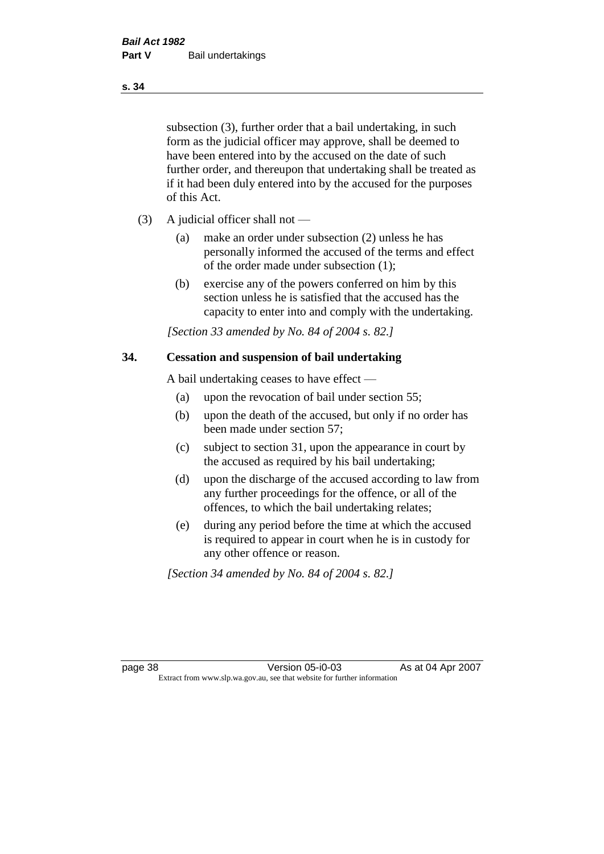subsection (3), further order that a bail undertaking, in such form as the judicial officer may approve, shall be deemed to have been entered into by the accused on the date of such further order, and thereupon that undertaking shall be treated as if it had been duly entered into by the accused for the purposes of this Act.

- (3) A judicial officer shall not
	- (a) make an order under subsection (2) unless he has personally informed the accused of the terms and effect of the order made under subsection (1);
	- (b) exercise any of the powers conferred on him by this section unless he is satisfied that the accused has the capacity to enter into and comply with the undertaking.

*[Section 33 amended by No. 84 of 2004 s. 82.]* 

#### **34. Cessation and suspension of bail undertaking**

A bail undertaking ceases to have effect —

- (a) upon the revocation of bail under section 55;
- (b) upon the death of the accused, but only if no order has been made under section 57;
- (c) subject to section 31, upon the appearance in court by the accused as required by his bail undertaking;
- (d) upon the discharge of the accused according to law from any further proceedings for the offence, or all of the offences, to which the bail undertaking relates;
- (e) during any period before the time at which the accused is required to appear in court when he is in custody for any other offence or reason.

*[Section 34 amended by No. 84 of 2004 s. 82.]* 

page 38 Version 05-i0-03 As at 04 Apr 2007 Extract from www.slp.wa.gov.au, see that website for further information

#### **s. 34**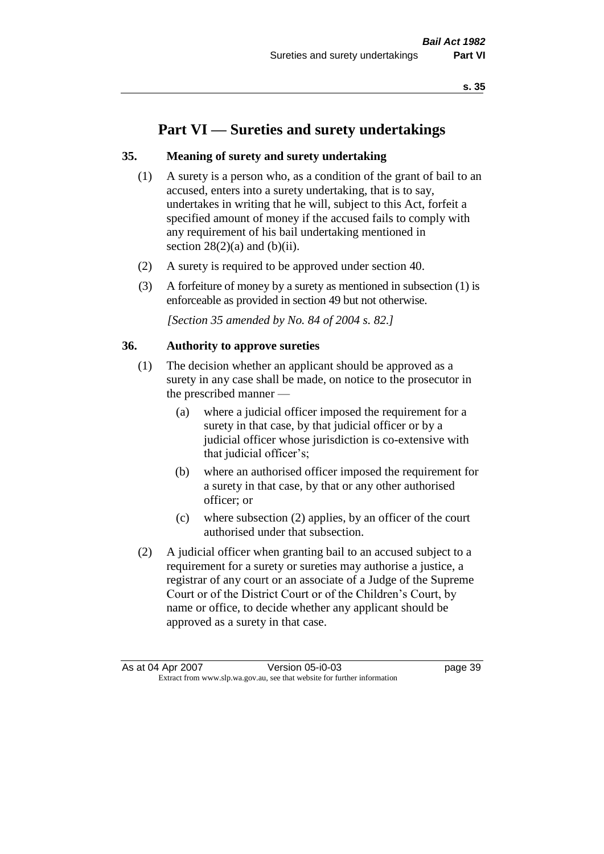# **Part VI — Sureties and surety undertakings**

### **35. Meaning of surety and surety undertaking**

- (1) A surety is a person who, as a condition of the grant of bail to an accused, enters into a surety undertaking, that is to say, undertakes in writing that he will, subject to this Act, forfeit a specified amount of money if the accused fails to comply with any requirement of his bail undertaking mentioned in section  $28(2)(a)$  and  $(b)(ii)$ .
- (2) A surety is required to be approved under section 40.
- (3) A forfeiture of money by a surety as mentioned in subsection (1) is enforceable as provided in section 49 but not otherwise.

*[Section 35 amended by No. 84 of 2004 s. 82.]* 

#### **36. Authority to approve sureties**

- (1) The decision whether an applicant should be approved as a surety in any case shall be made, on notice to the prosecutor in the prescribed manner —
	- (a) where a judicial officer imposed the requirement for a surety in that case, by that judicial officer or by a judicial officer whose jurisdiction is co-extensive with that judicial officer's;
	- (b) where an authorised officer imposed the requirement for a surety in that case, by that or any other authorised officer; or
	- (c) where subsection (2) applies, by an officer of the court authorised under that subsection.
- (2) A judicial officer when granting bail to an accused subject to a requirement for a surety or sureties may authorise a justice, a registrar of any court or an associate of a Judge of the Supreme Court or of the District Court or of the Children's Court, by name or office, to decide whether any applicant should be approved as a surety in that case.

As at 04 Apr 2007 Version 05-i0-03 page 39 Extract from www.slp.wa.gov.au, see that website for further information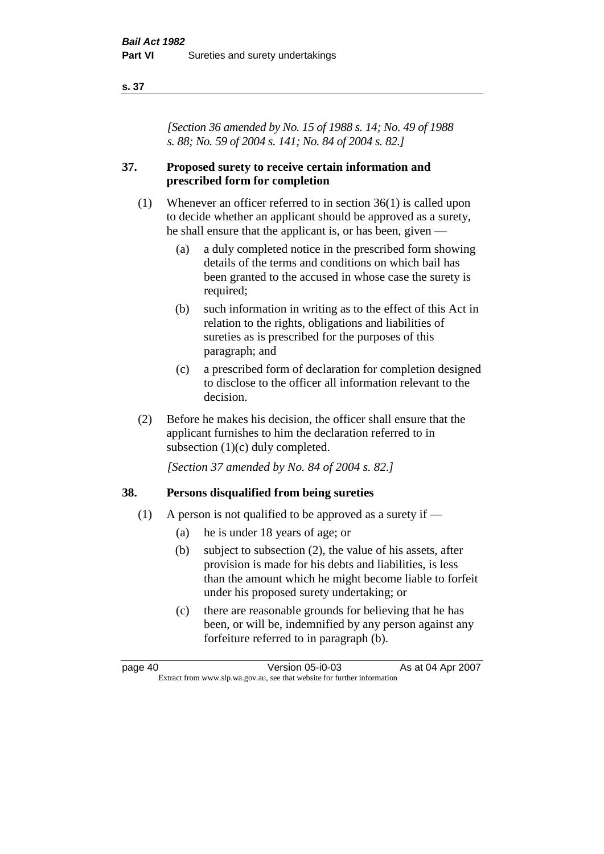#### **s. 37**

*[Section 36 amended by No. 15 of 1988 s. 14; No. 49 of 1988 s. 88; No. 59 of 2004 s. 141; No. 84 of 2004 s. 82.]* 

## **37. Proposed surety to receive certain information and prescribed form for completion**

- (1) Whenever an officer referred to in section 36(1) is called upon to decide whether an applicant should be approved as a surety, he shall ensure that the applicant is, or has been, given —
	- (a) a duly completed notice in the prescribed form showing details of the terms and conditions on which bail has been granted to the accused in whose case the surety is required;
	- (b) such information in writing as to the effect of this Act in relation to the rights, obligations and liabilities of sureties as is prescribed for the purposes of this paragraph; and
	- (c) a prescribed form of declaration for completion designed to disclose to the officer all information relevant to the decision.
- (2) Before he makes his decision, the officer shall ensure that the applicant furnishes to him the declaration referred to in subsection (1)(c) duly completed.

*[Section 37 amended by No. 84 of 2004 s. 82.]* 

### **38. Persons disqualified from being sureties**

- (1) A person is not qualified to be approved as a surety if  $-$ 
	- (a) he is under 18 years of age; or
	- (b) subject to subsection (2), the value of his assets, after provision is made for his debts and liabilities, is less than the amount which he might become liable to forfeit under his proposed surety undertaking; or
	- (c) there are reasonable grounds for believing that he has been, or will be, indemnified by any person against any forfeiture referred to in paragraph (b).

page 40 Version 05-i0-03 As at 04 Apr 2007 Extract from www.slp.wa.gov.au, see that website for further information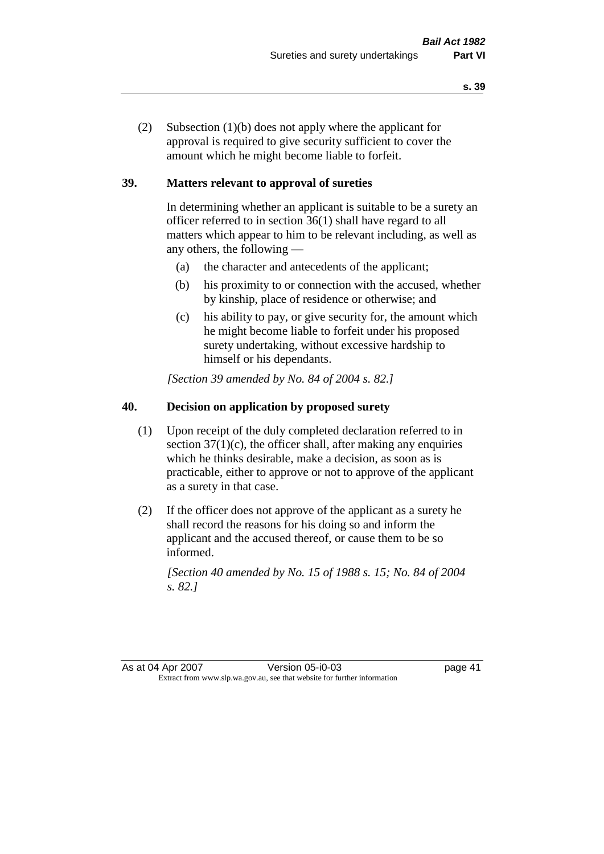(2) Subsection (1)(b) does not apply where the applicant for approval is required to give security sufficient to cover the amount which he might become liable to forfeit.

## **39. Matters relevant to approval of sureties**

In determining whether an applicant is suitable to be a surety an officer referred to in section 36(1) shall have regard to all matters which appear to him to be relevant including, as well as any others, the following —

- (a) the character and antecedents of the applicant;
- (b) his proximity to or connection with the accused, whether by kinship, place of residence or otherwise; and
- (c) his ability to pay, or give security for, the amount which he might become liable to forfeit under his proposed surety undertaking, without excessive hardship to himself or his dependants.

*[Section 39 amended by No. 84 of 2004 s. 82.]* 

# **40. Decision on application by proposed surety**

- (1) Upon receipt of the duly completed declaration referred to in section  $37(1)(c)$ , the officer shall, after making any enquiries which he thinks desirable, make a decision, as soon as is practicable, either to approve or not to approve of the applicant as a surety in that case.
- (2) If the officer does not approve of the applicant as a surety he shall record the reasons for his doing so and inform the applicant and the accused thereof, or cause them to be so informed.

*[Section 40 amended by No. 15 of 1988 s. 15; No. 84 of 2004 s. 82.]* 

As at 04 Apr 2007 Version 05-i0-03 page 41 Extract from www.slp.wa.gov.au, see that website for further information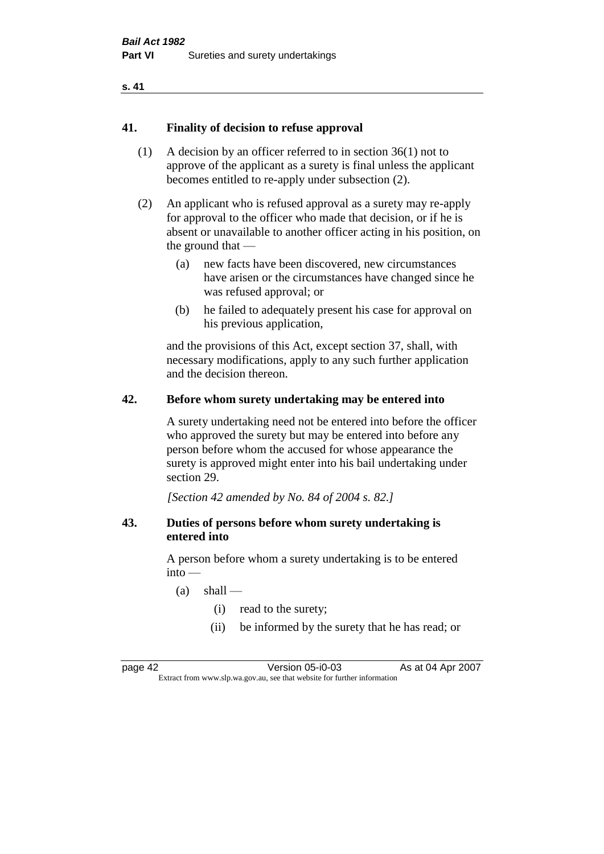#### **s. 41**

#### **41. Finality of decision to refuse approval**

- (1) A decision by an officer referred to in section 36(1) not to approve of the applicant as a surety is final unless the applicant becomes entitled to re-apply under subsection (2).
- (2) An applicant who is refused approval as a surety may re-apply for approval to the officer who made that decision, or if he is absent or unavailable to another officer acting in his position, on the ground that —
	- (a) new facts have been discovered, new circumstances have arisen or the circumstances have changed since he was refused approval; or
	- (b) he failed to adequately present his case for approval on his previous application,

and the provisions of this Act, except section 37, shall, with necessary modifications, apply to any such further application and the decision thereon.

#### **42. Before whom surety undertaking may be entered into**

A surety undertaking need not be entered into before the officer who approved the surety but may be entered into before any person before whom the accused for whose appearance the surety is approved might enter into his bail undertaking under section 29.

*[Section 42 amended by No. 84 of 2004 s. 82.]* 

#### **43. Duties of persons before whom surety undertaking is entered into**

A person before whom a surety undertaking is to be entered  $into -$ 

- $(a)$  shall
	- (i) read to the surety;
	- (ii) be informed by the surety that he has read; or

page 42 Version 05-i0-03 As at 04 Apr 2007 Extract from www.slp.wa.gov.au, see that website for further information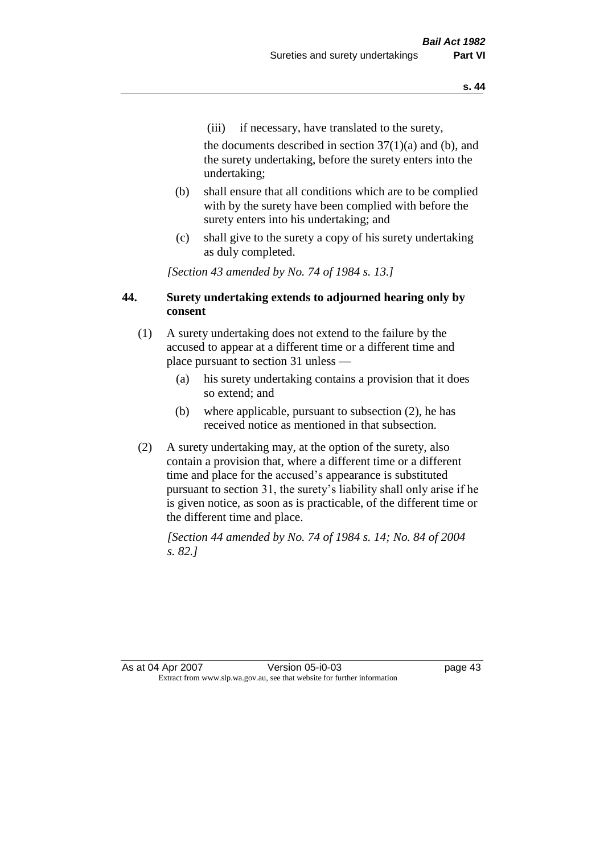(iii) if necessary, have translated to the surety,

the documents described in section  $37(1)(a)$  and (b), and the surety undertaking, before the surety enters into the undertaking;

- (b) shall ensure that all conditions which are to be complied with by the surety have been complied with before the surety enters into his undertaking; and
- (c) shall give to the surety a copy of his surety undertaking as duly completed.

*[Section 43 amended by No. 74 of 1984 s. 13.]* 

## **44. Surety undertaking extends to adjourned hearing only by consent**

- (1) A surety undertaking does not extend to the failure by the accused to appear at a different time or a different time and place pursuant to section 31 unless —
	- (a) his surety undertaking contains a provision that it does so extend; and
	- (b) where applicable, pursuant to subsection (2), he has received notice as mentioned in that subsection.
- (2) A surety undertaking may, at the option of the surety, also contain a provision that, where a different time or a different time and place for the accused's appearance is substituted pursuant to section 31, the surety's liability shall only arise if he is given notice, as soon as is practicable, of the different time or the different time and place.

*[Section 44 amended by No. 74 of 1984 s. 14; No. 84 of 2004 s. 82.]*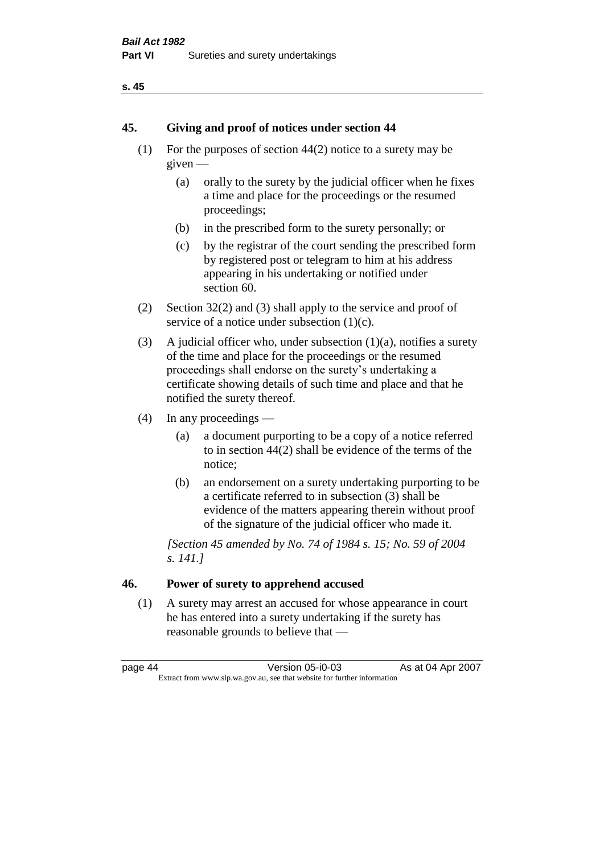#### **s. 45**

## **45. Giving and proof of notices under section 44**

- (1) For the purposes of section 44(2) notice to a surety may be given —
	- (a) orally to the surety by the judicial officer when he fixes a time and place for the proceedings or the resumed proceedings;
	- (b) in the prescribed form to the surety personally; or
	- (c) by the registrar of the court sending the prescribed form by registered post or telegram to him at his address appearing in his undertaking or notified under section 60.
- (2) Section 32(2) and (3) shall apply to the service and proof of service of a notice under subsection  $(1)(c)$ .
- (3) A judicial officer who, under subsection  $(1)(a)$ , notifies a surety of the time and place for the proceedings or the resumed proceedings shall endorse on the surety's undertaking a certificate showing details of such time and place and that he notified the surety thereof.
- (4) In any proceedings
	- (a) a document purporting to be a copy of a notice referred to in section 44(2) shall be evidence of the terms of the notice;
	- (b) an endorsement on a surety undertaking purporting to be a certificate referred to in subsection (3) shall be evidence of the matters appearing therein without proof of the signature of the judicial officer who made it.

*[Section 45 amended by No. 74 of 1984 s. 15; No. 59 of 2004 s. 141.]* 

# **46. Power of surety to apprehend accused**

(1) A surety may arrest an accused for whose appearance in court he has entered into a surety undertaking if the surety has reasonable grounds to believe that —

page 44 Version 05-i0-03 As at 04 Apr 2007 Extract from www.slp.wa.gov.au, see that website for further information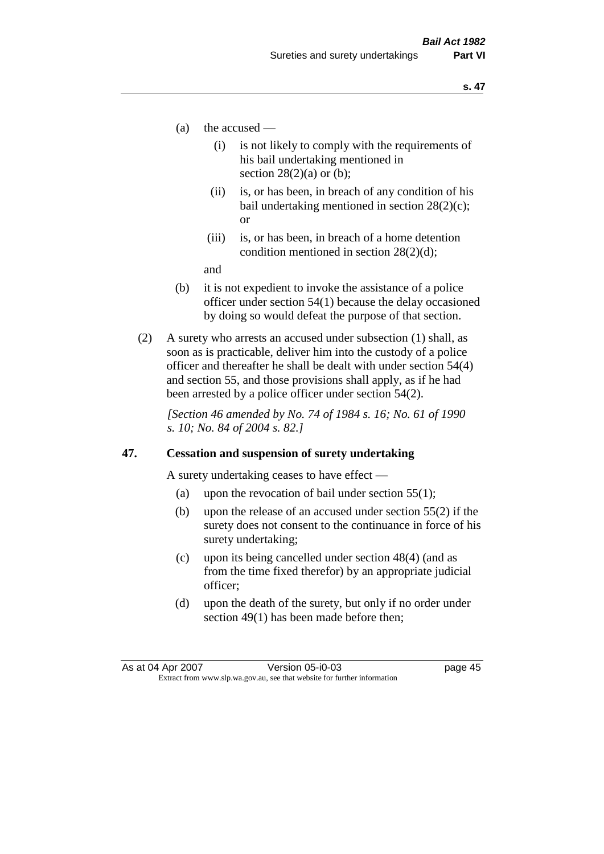- (a) the accused
	- (i) is not likely to comply with the requirements of his bail undertaking mentioned in section  $28(2)(a)$  or (b):
	- (ii) is, or has been, in breach of any condition of his bail undertaking mentioned in section 28(2)(c); or
	- (iii) is, or has been, in breach of a home detention condition mentioned in section 28(2)(d);

and

- (b) it is not expedient to invoke the assistance of a police officer under section 54(1) because the delay occasioned by doing so would defeat the purpose of that section.
- (2) A surety who arrests an accused under subsection (1) shall, as soon as is practicable, deliver him into the custody of a police officer and thereafter he shall be dealt with under section 54(4) and section 55, and those provisions shall apply, as if he had been arrested by a police officer under section 54(2).

*[Section 46 amended by No. 74 of 1984 s. 16; No. 61 of 1990 s. 10; No. 84 of 2004 s. 82.]* 

#### **47. Cessation and suspension of surety undertaking**

A surety undertaking ceases to have effect —

- (a) upon the revocation of bail under section  $55(1)$ ;
- (b) upon the release of an accused under section 55(2) if the surety does not consent to the continuance in force of his surety undertaking;
- (c) upon its being cancelled under section 48(4) (and as from the time fixed therefor) by an appropriate judicial officer;
- (d) upon the death of the surety, but only if no order under section 49(1) has been made before then;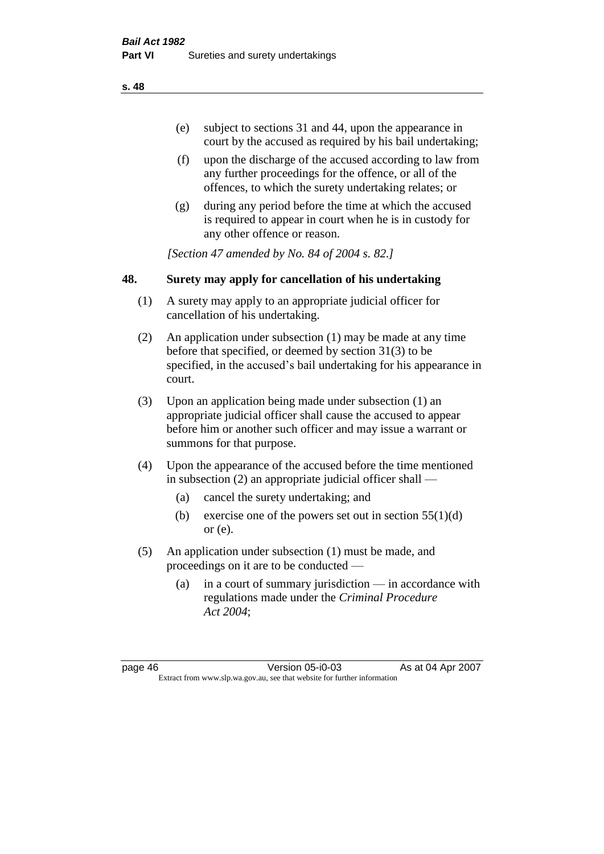- (e) subject to sections 31 and 44, upon the appearance in court by the accused as required by his bail undertaking;
- (f) upon the discharge of the accused according to law from any further proceedings for the offence, or all of the offences, to which the surety undertaking relates; or
- (g) during any period before the time at which the accused is required to appear in court when he is in custody for any other offence or reason.

*[Section 47 amended by No. 84 of 2004 s. 82.]* 

# **48. Surety may apply for cancellation of his undertaking**

- (1) A surety may apply to an appropriate judicial officer for cancellation of his undertaking.
- (2) An application under subsection (1) may be made at any time before that specified, or deemed by section 31(3) to be specified, in the accused's bail undertaking for his appearance in court.
- (3) Upon an application being made under subsection (1) an appropriate judicial officer shall cause the accused to appear before him or another such officer and may issue a warrant or summons for that purpose.
- (4) Upon the appearance of the accused before the time mentioned in subsection (2) an appropriate judicial officer shall —
	- (a) cancel the surety undertaking; and
	- (b) exercise one of the powers set out in section  $55(1)(d)$ or (e).
- (5) An application under subsection (1) must be made, and proceedings on it are to be conducted —
	- (a) in a court of summary jurisdiction in accordance with regulations made under the *Criminal Procedure Act 2004*;

page 46 Version 05-i0-03 As at 04 Apr 2007 Extract from www.slp.wa.gov.au, see that website for further information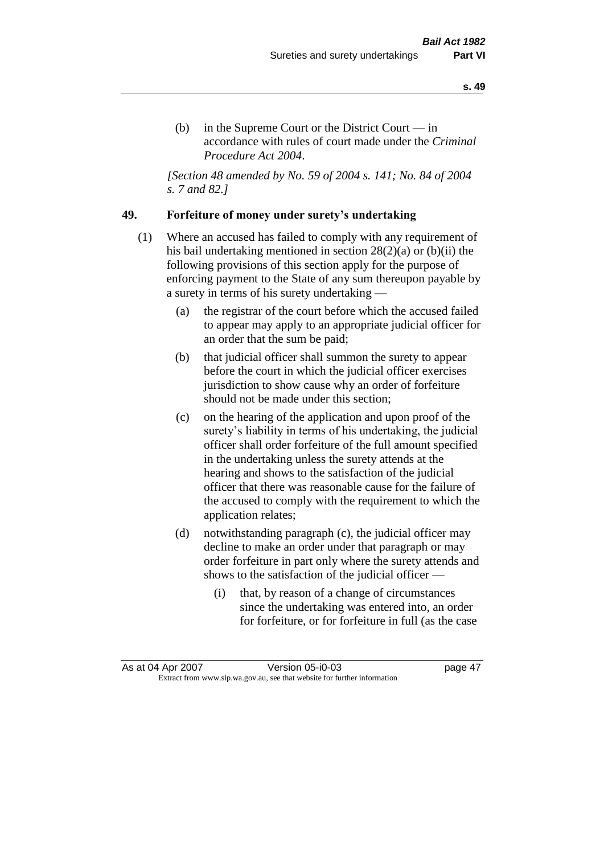(b) in the Supreme Court or the District Court — in accordance with rules of court made under the *Criminal Procedure Act 2004*.

*[Section 48 amended by No. 59 of 2004 s. 141; No. 84 of 2004 s. 7 and 82.]* 

## **49. Forfeiture of money under surety's undertaking**

- (1) Where an accused has failed to comply with any requirement of his bail undertaking mentioned in section 28(2)(a) or (b)(ii) the following provisions of this section apply for the purpose of enforcing payment to the State of any sum thereupon payable by a surety in terms of his surety undertaking —
	- (a) the registrar of the court before which the accused failed to appear may apply to an appropriate judicial officer for an order that the sum be paid;
	- (b) that judicial officer shall summon the surety to appear before the court in which the judicial officer exercises jurisdiction to show cause why an order of forfeiture should not be made under this section;
	- (c) on the hearing of the application and upon proof of the surety's liability in terms of his undertaking, the judicial officer shall order forfeiture of the full amount specified in the undertaking unless the surety attends at the hearing and shows to the satisfaction of the judicial officer that there was reasonable cause for the failure of the accused to comply with the requirement to which the application relates;
	- (d) notwithstanding paragraph (c), the judicial officer may decline to make an order under that paragraph or may order forfeiture in part only where the surety attends and shows to the satisfaction of the judicial officer —
		- (i) that, by reason of a change of circumstances since the undertaking was entered into, an order for forfeiture, or for forfeiture in full (as the case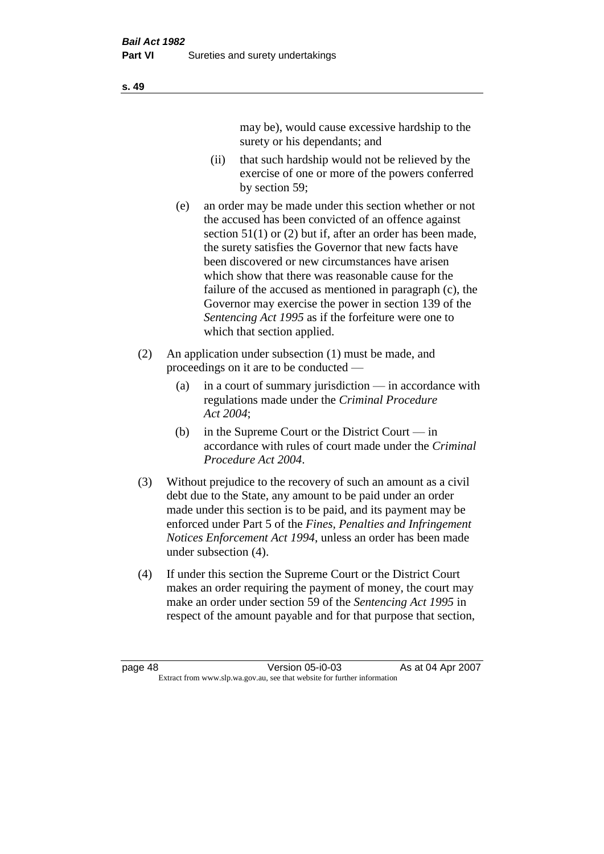may be), would cause excessive hardship to the surety or his dependants; and

- (ii) that such hardship would not be relieved by the exercise of one or more of the powers conferred by section 59;
- (e) an order may be made under this section whether or not the accused has been convicted of an offence against section 51(1) or (2) but if, after an order has been made, the surety satisfies the Governor that new facts have been discovered or new circumstances have arisen which show that there was reasonable cause for the failure of the accused as mentioned in paragraph (c), the Governor may exercise the power in section 139 of the *Sentencing Act 1995* as if the forfeiture were one to which that section applied.
- (2) An application under subsection (1) must be made, and proceedings on it are to be conducted —
	- (a) in a court of summary jurisdiction in accordance with regulations made under the *Criminal Procedure Act 2004*;
	- (b) in the Supreme Court or the District Court  $-\text{in}$ accordance with rules of court made under the *Criminal Procedure Act 2004*.
- (3) Without prejudice to the recovery of such an amount as a civil debt due to the State, any amount to be paid under an order made under this section is to be paid, and its payment may be enforced under Part 5 of the *Fines, Penalties and Infringement Notices Enforcement Act 1994*, unless an order has been made under subsection (4).
- (4) If under this section the Supreme Court or the District Court makes an order requiring the payment of money, the court may make an order under section 59 of the *Sentencing Act 1995* in respect of the amount payable and for that purpose that section,

**s. 49**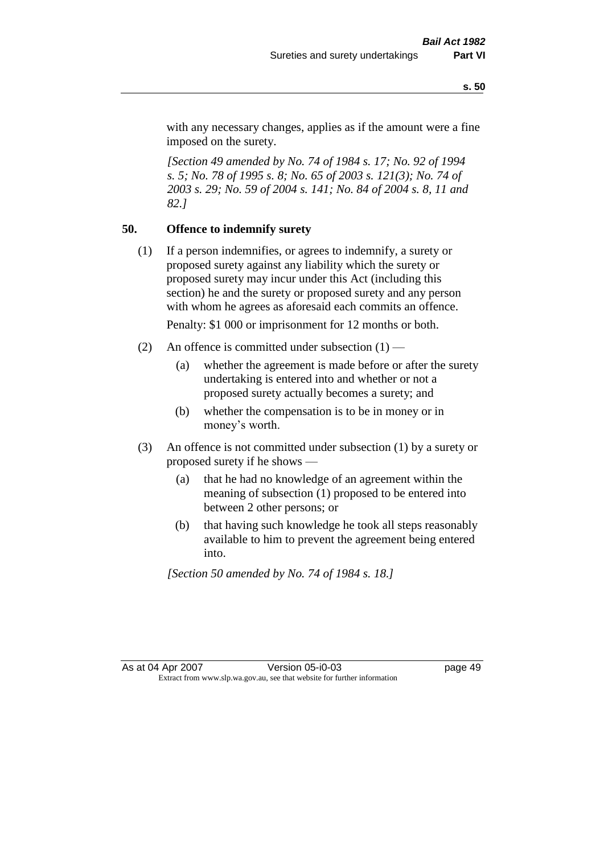with any necessary changes, applies as if the amount were a fine imposed on the surety.

*[Section 49 amended by No. 74 of 1984 s. 17; No. 92 of 1994 s. 5; No. 78 of 1995 s. 8; No. 65 of 2003 s. 121(3); No. 74 of 2003 s. 29; No. 59 of 2004 s. 141; No. 84 of 2004 s. 8, 11 and 82.]* 

## **50. Offence to indemnify surety**

(1) If a person indemnifies, or agrees to indemnify, a surety or proposed surety against any liability which the surety or proposed surety may incur under this Act (including this section) he and the surety or proposed surety and any person with whom he agrees as aforesaid each commits an offence.

Penalty: \$1 000 or imprisonment for 12 months or both.

- (2) An offence is committed under subsection  $(1)$ 
	- (a) whether the agreement is made before or after the surety undertaking is entered into and whether or not a proposed surety actually becomes a surety; and
	- (b) whether the compensation is to be in money or in money's worth.
- (3) An offence is not committed under subsection (1) by a surety or proposed surety if he shows —
	- (a) that he had no knowledge of an agreement within the meaning of subsection (1) proposed to be entered into between 2 other persons; or
	- (b) that having such knowledge he took all steps reasonably available to him to prevent the agreement being entered into.

*[Section 50 amended by No. 74 of 1984 s. 18.]*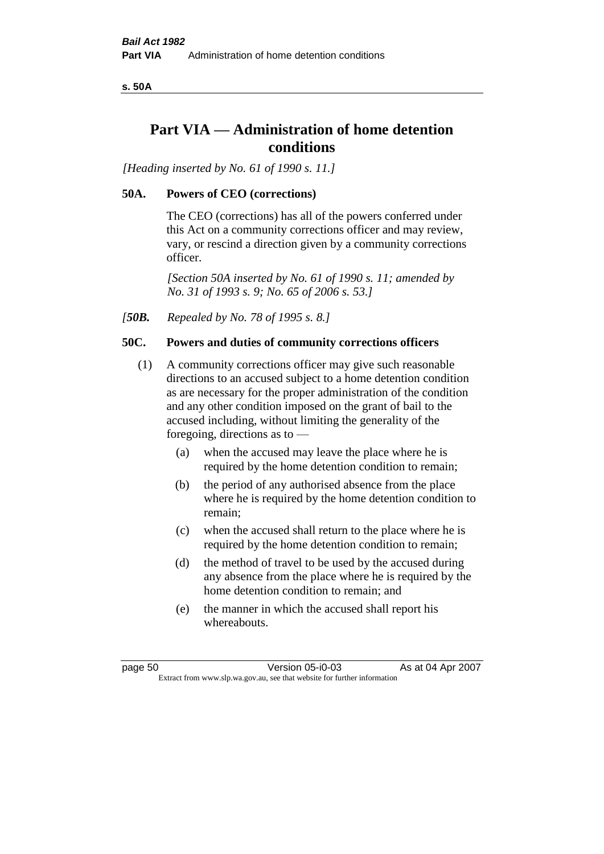**s. 50A**

# **Part VIA — Administration of home detention conditions**

*[Heading inserted by No. 61 of 1990 s. 11.]* 

# **50A. Powers of CEO (corrections)**

The CEO (corrections) has all of the powers conferred under this Act on a community corrections officer and may review, vary, or rescind a direction given by a community corrections officer.

*[Section 50A inserted by No. 61 of 1990 s. 11; amended by No. 31 of 1993 s. 9; No. 65 of 2006 s. 53.]* 

*[50B. Repealed by No. 78 of 1995 s. 8.]* 

# **50C. Powers and duties of community corrections officers**

- (1) A community corrections officer may give such reasonable directions to an accused subject to a home detention condition as are necessary for the proper administration of the condition and any other condition imposed on the grant of bail to the accused including, without limiting the generality of the foregoing, directions as to —
	- (a) when the accused may leave the place where he is required by the home detention condition to remain;
	- (b) the period of any authorised absence from the place where he is required by the home detention condition to remain;
	- (c) when the accused shall return to the place where he is required by the home detention condition to remain;
	- (d) the method of travel to be used by the accused during any absence from the place where he is required by the home detention condition to remain; and
	- (e) the manner in which the accused shall report his whereabouts.

page 50 Version 05-i0-03 As at 04 Apr 2007 Extract from www.slp.wa.gov.au, see that website for further information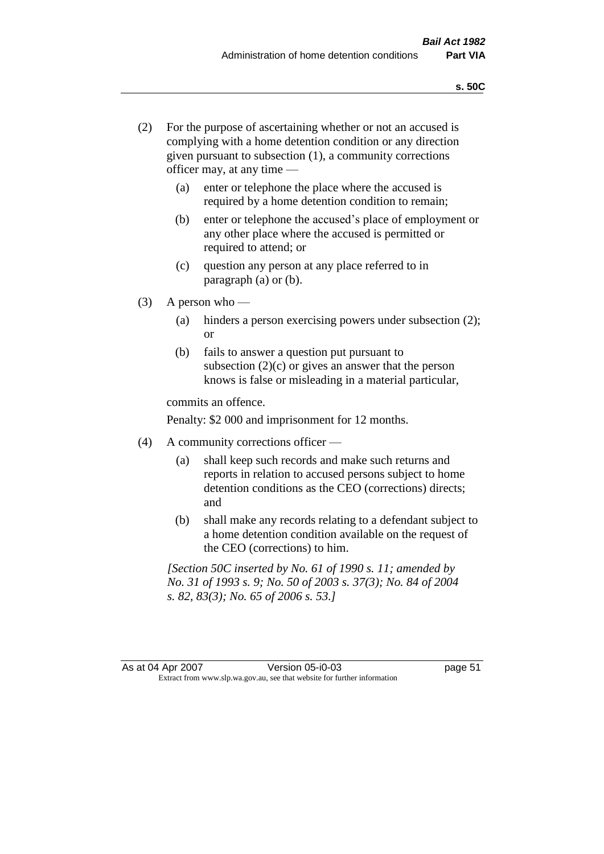- (2) For the purpose of ascertaining whether or not an accused is complying with a home detention condition or any direction given pursuant to subsection (1), a community corrections officer may, at any time —
	- (a) enter or telephone the place where the accused is required by a home detention condition to remain;
	- (b) enter or telephone the accused's place of employment or any other place where the accused is permitted or required to attend; or
	- (c) question any person at any place referred to in paragraph (a) or (b).
- $(3)$  A person who
	- (a) hinders a person exercising powers under subsection (2); or
	- (b) fails to answer a question put pursuant to subsection  $(2)(c)$  or gives an answer that the person knows is false or misleading in a material particular,

commits an offence.

Penalty: \$2 000 and imprisonment for 12 months.

- (4) A community corrections officer
	- (a) shall keep such records and make such returns and reports in relation to accused persons subject to home detention conditions as the CEO (corrections) directs; and
	- (b) shall make any records relating to a defendant subject to a home detention condition available on the request of the CEO (corrections) to him.

*[Section 50C inserted by No. 61 of 1990 s. 11; amended by No. 31 of 1993 s. 9; No. 50 of 2003 s. 37(3); No. 84 of 2004 s. 82, 83(3); No. 65 of 2006 s. 53.]*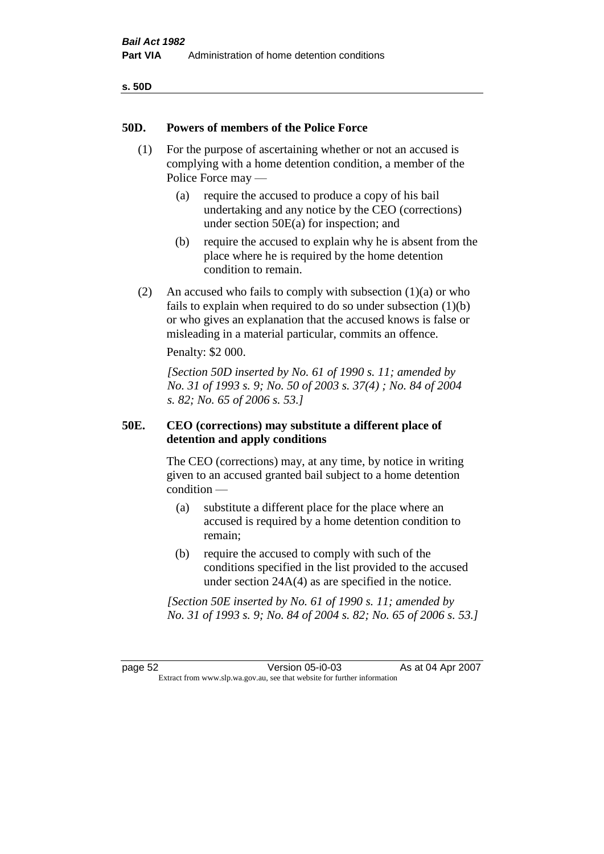| ۰.<br>٠<br>۰.<br>×<br>v<br>۰, |  |
|-------------------------------|--|
|-------------------------------|--|

### **50D. Powers of members of the Police Force**

- (1) For the purpose of ascertaining whether or not an accused is complying with a home detention condition, a member of the Police Force may —
	- (a) require the accused to produce a copy of his bail undertaking and any notice by the CEO (corrections) under section 50E(a) for inspection; and
	- (b) require the accused to explain why he is absent from the place where he is required by the home detention condition to remain.
- (2) An accused who fails to comply with subsection  $(1)(a)$  or who fails to explain when required to do so under subsection (1)(b) or who gives an explanation that the accused knows is false or misleading in a material particular, commits an offence.

Penalty: \$2 000.

*[Section 50D inserted by No. 61 of 1990 s. 11; amended by No. 31 of 1993 s. 9; No. 50 of 2003 s. 37(4) ; No. 84 of 2004 s. 82; No. 65 of 2006 s. 53.]* 

### **50E. CEO (corrections) may substitute a different place of detention and apply conditions**

The CEO (corrections) may, at any time, by notice in writing given to an accused granted bail subject to a home detention condition —

- (a) substitute a different place for the place where an accused is required by a home detention condition to remain;
- (b) require the accused to comply with such of the conditions specified in the list provided to the accused under section 24A(4) as are specified in the notice.

*[Section 50E inserted by No. 61 of 1990 s. 11; amended by No. 31 of 1993 s. 9; No. 84 of 2004 s. 82; No. 65 of 2006 s. 53.]* 

page 52 Version 05-i0-03 As at 04 Apr 2007 Extract from www.slp.wa.gov.au, see that website for further information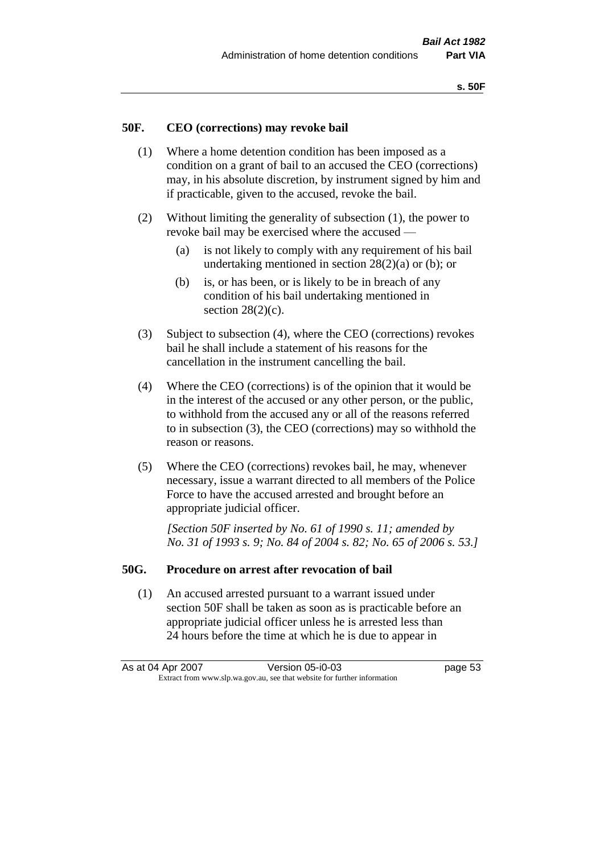#### **50F. CEO (corrections) may revoke bail**

- (1) Where a home detention condition has been imposed as a condition on a grant of bail to an accused the CEO (corrections) may, in his absolute discretion, by instrument signed by him and if practicable, given to the accused, revoke the bail.
- (2) Without limiting the generality of subsection (1), the power to revoke bail may be exercised where the accused —
	- (a) is not likely to comply with any requirement of his bail undertaking mentioned in section  $28(2)(a)$  or (b); or
	- (b) is, or has been, or is likely to be in breach of any condition of his bail undertaking mentioned in section  $28(2)(c)$ .
- (3) Subject to subsection (4), where the CEO (corrections) revokes bail he shall include a statement of his reasons for the cancellation in the instrument cancelling the bail.
- (4) Where the CEO (corrections) is of the opinion that it would be in the interest of the accused or any other person, or the public, to withhold from the accused any or all of the reasons referred to in subsection (3), the CEO (corrections) may so withhold the reason or reasons.
- (5) Where the CEO (corrections) revokes bail, he may, whenever necessary, issue a warrant directed to all members of the Police Force to have the accused arrested and brought before an appropriate judicial officer.

*[Section 50F inserted by No. 61 of 1990 s. 11; amended by No. 31 of 1993 s. 9; No. 84 of 2004 s. 82; No. 65 of 2006 s. 53.]* 

#### **50G. Procedure on arrest after revocation of bail**

(1) An accused arrested pursuant to a warrant issued under section 50F shall be taken as soon as is practicable before an appropriate judicial officer unless he is arrested less than 24 hours before the time at which he is due to appear in

As at 04 Apr 2007 Version 05-i0-03 page 53 Extract from www.slp.wa.gov.au, see that website for further information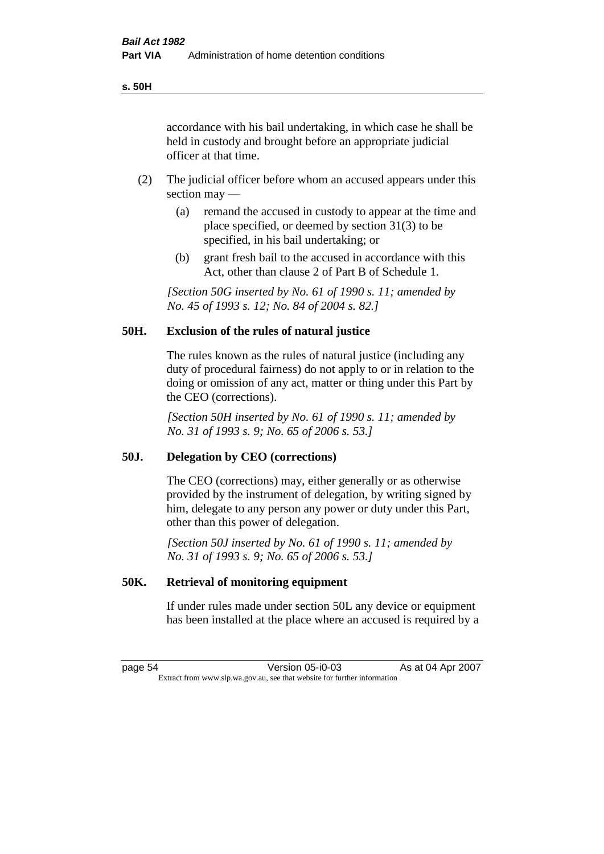accordance with his bail undertaking, in which case he shall be held in custody and brought before an appropriate judicial officer at that time.

- (2) The judicial officer before whom an accused appears under this section may —
	- (a) remand the accused in custody to appear at the time and place specified, or deemed by section 31(3) to be specified, in his bail undertaking; or
	- (b) grant fresh bail to the accused in accordance with this Act, other than clause 2 of Part B of Schedule 1.

*[Section 50G inserted by No. 61 of 1990 s. 11; amended by No. 45 of 1993 s. 12; No. 84 of 2004 s. 82.]* 

## **50H. Exclusion of the rules of natural justice**

The rules known as the rules of natural justice (including any duty of procedural fairness) do not apply to or in relation to the doing or omission of any act, matter or thing under this Part by the CEO (corrections).

*[Section 50H inserted by No. 61 of 1990 s. 11; amended by No. 31 of 1993 s. 9; No. 65 of 2006 s. 53.]* 

#### **50J. Delegation by CEO (corrections)**

The CEO (corrections) may, either generally or as otherwise provided by the instrument of delegation, by writing signed by him, delegate to any person any power or duty under this Part, other than this power of delegation.

*[Section 50J inserted by No. 61 of 1990 s. 11; amended by No. 31 of 1993 s. 9; No. 65 of 2006 s. 53.]* 

#### **50K. Retrieval of monitoring equipment**

If under rules made under section 50L any device or equipment has been installed at the place where an accused is required by a

page 54 Version 05-i0-03 As at 04 Apr 2007 Extract from www.slp.wa.gov.au, see that website for further information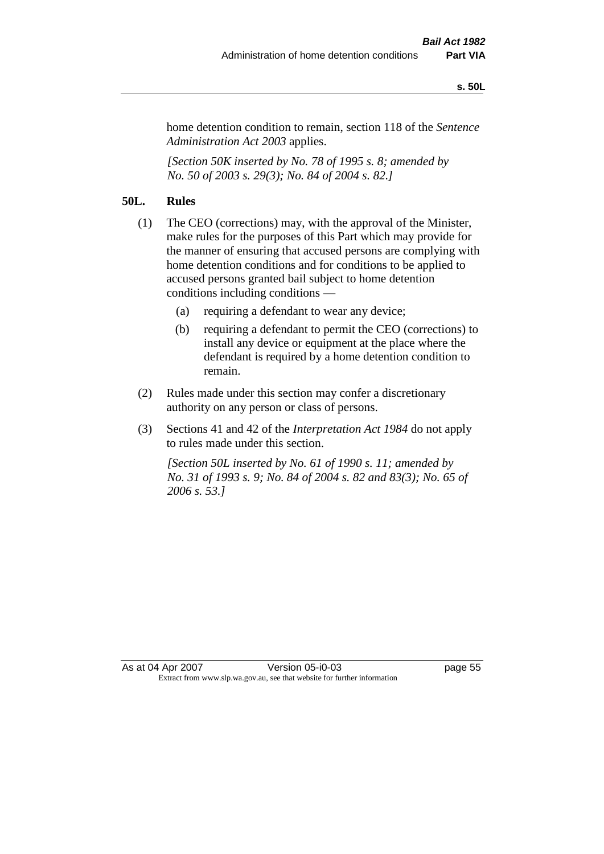#### **s. 50L**

home detention condition to remain, section 118 of the *Sentence Administration Act 2003* applies.

*[Section 50K inserted by No. 78 of 1995 s. 8; amended by No. 50 of 2003 s. 29(3); No. 84 of 2004 s. 82.]* 

# **50L. Rules**

- (1) The CEO (corrections) may, with the approval of the Minister, make rules for the purposes of this Part which may provide for the manner of ensuring that accused persons are complying with home detention conditions and for conditions to be applied to accused persons granted bail subject to home detention conditions including conditions —
	- (a) requiring a defendant to wear any device;
	- (b) requiring a defendant to permit the CEO (corrections) to install any device or equipment at the place where the defendant is required by a home detention condition to remain.
- (2) Rules made under this section may confer a discretionary authority on any person or class of persons.
- (3) Sections 41 and 42 of the *Interpretation Act 1984* do not apply to rules made under this section.

*[Section 50L inserted by No. 61 of 1990 s. 11; amended by No. 31 of 1993 s. 9; No. 84 of 2004 s. 82 and 83(3); No. 65 of 2006 s. 53.]*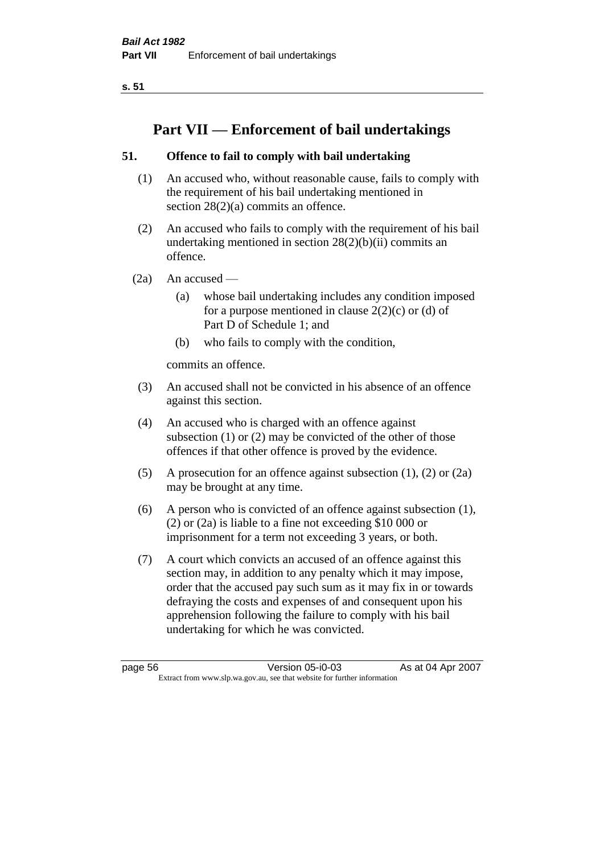**s. 51**

# **Part VII — Enforcement of bail undertakings**

# **51. Offence to fail to comply with bail undertaking**

- (1) An accused who, without reasonable cause, fails to comply with the requirement of his bail undertaking mentioned in section 28(2)(a) commits an offence.
- (2) An accused who fails to comply with the requirement of his bail undertaking mentioned in section  $28(2)(b)(ii)$  commits an offence.
- $(2a)$  An accused
	- (a) whose bail undertaking includes any condition imposed for a purpose mentioned in clause  $2(2)(c)$  or (d) of Part D of Schedule 1; and
	- (b) who fails to comply with the condition,

commits an offence.

- (3) An accused shall not be convicted in his absence of an offence against this section.
- (4) An accused who is charged with an offence against subsection (1) or (2) may be convicted of the other of those offences if that other offence is proved by the evidence.
- (5) A prosecution for an offence against subsection (1), (2) or (2a) may be brought at any time.
- (6) A person who is convicted of an offence against subsection (1), (2) or (2a) is liable to a fine not exceeding \$10 000 or imprisonment for a term not exceeding 3 years, or both.
- (7) A court which convicts an accused of an offence against this section may, in addition to any penalty which it may impose, order that the accused pay such sum as it may fix in or towards defraying the costs and expenses of and consequent upon his apprehension following the failure to comply with his bail undertaking for which he was convicted.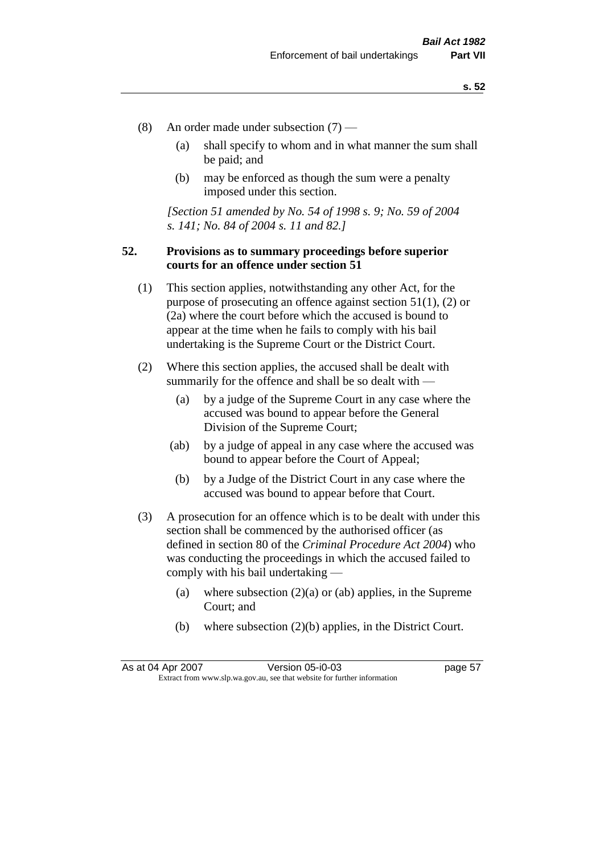- (8) An order made under subsection (7)
	- (a) shall specify to whom and in what manner the sum shall be paid; and
	- (b) may be enforced as though the sum were a penalty imposed under this section.

*[Section 51 amended by No. 54 of 1998 s. 9; No. 59 of 2004 s. 141; No. 84 of 2004 s. 11 and 82.]*

## **52. Provisions as to summary proceedings before superior courts for an offence under section 51**

- (1) This section applies, notwithstanding any other Act, for the purpose of prosecuting an offence against section 51(1), (2) or (2a) where the court before which the accused is bound to appear at the time when he fails to comply with his bail undertaking is the Supreme Court or the District Court.
- (2) Where this section applies, the accused shall be dealt with summarily for the offence and shall be so dealt with —
	- (a) by a judge of the Supreme Court in any case where the accused was bound to appear before the General Division of the Supreme Court;
	- (ab) by a judge of appeal in any case where the accused was bound to appear before the Court of Appeal;
	- (b) by a Judge of the District Court in any case where the accused was bound to appear before that Court.
- (3) A prosecution for an offence which is to be dealt with under this section shall be commenced by the authorised officer (as defined in section 80 of the *Criminal Procedure Act 2004*) who was conducting the proceedings in which the accused failed to comply with his bail undertaking —
	- (a) where subsection  $(2)(a)$  or (ab) applies, in the Supreme Court; and
	- (b) where subsection (2)(b) applies, in the District Court.

As at 04 Apr 2007 Version 05-i0-03 page 57 Extract from www.slp.wa.gov.au, see that website for further information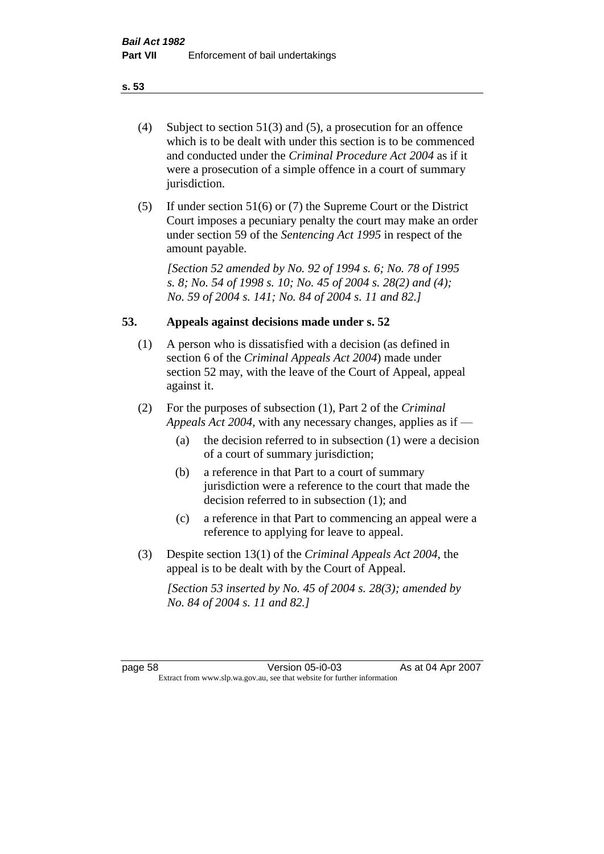- (4) Subject to section 51(3) and (5), a prosecution for an offence which is to be dealt with under this section is to be commenced and conducted under the *Criminal Procedure Act 2004* as if it were a prosecution of a simple offence in a court of summary jurisdiction.
- (5) If under section 51(6) or (7) the Supreme Court or the District Court imposes a pecuniary penalty the court may make an order under section 59 of the *Sentencing Act 1995* in respect of the amount payable.

*[Section 52 amended by No. 92 of 1994 s. 6; No. 78 of 1995 s. 8; No. 54 of 1998 s. 10; No. 45 of 2004 s. 28(2) and (4); No. 59 of 2004 s. 141; No. 84 of 2004 s. 11 and 82.]* 

### **53. Appeals against decisions made under s. 52**

- (1) A person who is dissatisfied with a decision (as defined in section 6 of the *Criminal Appeals Act 2004*) made under section 52 may, with the leave of the Court of Appeal, appeal against it.
- (2) For the purposes of subsection (1), Part 2 of the *Criminal Appeals Act 2004*, with any necessary changes, applies as if —
	- (a) the decision referred to in subsection (1) were a decision of a court of summary jurisdiction;
	- (b) a reference in that Part to a court of summary jurisdiction were a reference to the court that made the decision referred to in subsection (1); and
	- (c) a reference in that Part to commencing an appeal were a reference to applying for leave to appeal.
- (3) Despite section 13(1) of the *Criminal Appeals Act 2004*, the appeal is to be dealt with by the Court of Appeal.

*[Section 53 inserted by No. 45 of 2004 s. 28(3); amended by No. 84 of 2004 s. 11 and 82.]*

page 58 Version 05-i0-03 As at 04 Apr 2007 Extract from www.slp.wa.gov.au, see that website for further information

#### **s. 53**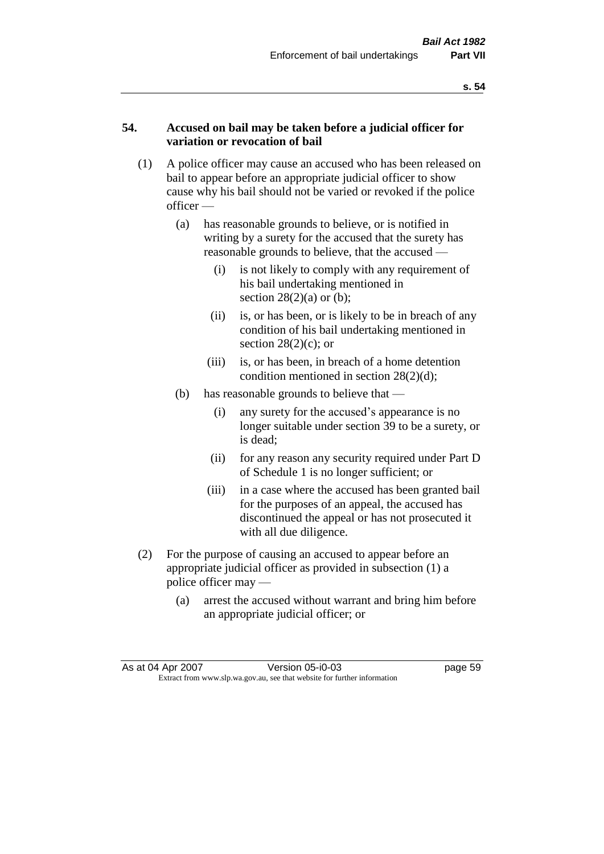### **54. Accused on bail may be taken before a judicial officer for variation or revocation of bail**

- (1) A police officer may cause an accused who has been released on bail to appear before an appropriate judicial officer to show cause why his bail should not be varied or revoked if the police officer —
	- (a) has reasonable grounds to believe, or is notified in writing by a surety for the accused that the surety has reasonable grounds to believe, that the accused —
		- (i) is not likely to comply with any requirement of his bail undertaking mentioned in section  $28(2)(a)$  or (b);
		- (ii) is, or has been, or is likely to be in breach of any condition of his bail undertaking mentioned in section  $28(2)(c)$ ; or
		- (iii) is, or has been, in breach of a home detention condition mentioned in section 28(2)(d);
	- (b) has reasonable grounds to believe that
		- (i) any surety for the accused's appearance is no longer suitable under section 39 to be a surety, or is dead;
		- (ii) for any reason any security required under Part D of Schedule 1 is no longer sufficient; or
		- (iii) in a case where the accused has been granted bail for the purposes of an appeal, the accused has discontinued the appeal or has not prosecuted it with all due diligence.
- (2) For the purpose of causing an accused to appear before an appropriate judicial officer as provided in subsection (1) a police officer may —
	- (a) arrest the accused without warrant and bring him before an appropriate judicial officer; or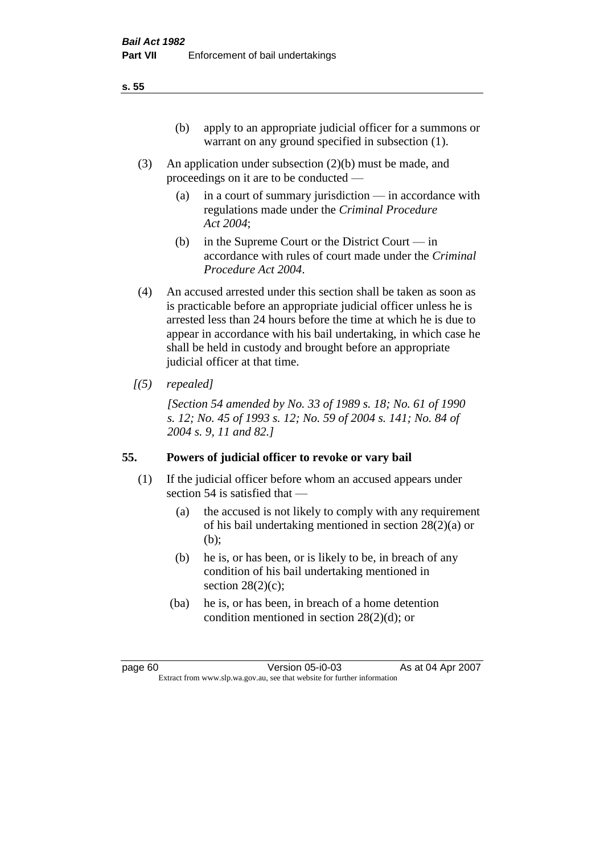- (3) An application under subsection (2)(b) must be made, and proceedings on it are to be conducted —
	- (a) in a court of summary jurisdiction in accordance with regulations made under the *Criminal Procedure Act 2004*;
	- (b) in the Supreme Court or the District Court  $-\text{in}$ accordance with rules of court made under the *Criminal Procedure Act 2004*.
- (4) An accused arrested under this section shall be taken as soon as is practicable before an appropriate judicial officer unless he is arrested less than 24 hours before the time at which he is due to appear in accordance with his bail undertaking, in which case he shall be held in custody and brought before an appropriate judicial officer at that time.
- *[(5) repealed]*

*[Section 54 amended by No. 33 of 1989 s. 18; No. 61 of 1990 s. 12; No. 45 of 1993 s. 12; No. 59 of 2004 s. 141; No. 84 of 2004 s. 9, 11 and 82.]* 

# **55. Powers of judicial officer to revoke or vary bail**

- (1) If the judicial officer before whom an accused appears under section 54 is satisfied that —
	- (a) the accused is not likely to comply with any requirement of his bail undertaking mentioned in section 28(2)(a) or (b);
	- (b) he is, or has been, or is likely to be, in breach of any condition of his bail undertaking mentioned in section  $28(2)(c)$ ;
	- (ba) he is, or has been, in breach of a home detention condition mentioned in section 28(2)(d); or

page 60 Version 05-i0-03 As at 04 Apr 2007 Extract from www.slp.wa.gov.au, see that website for further information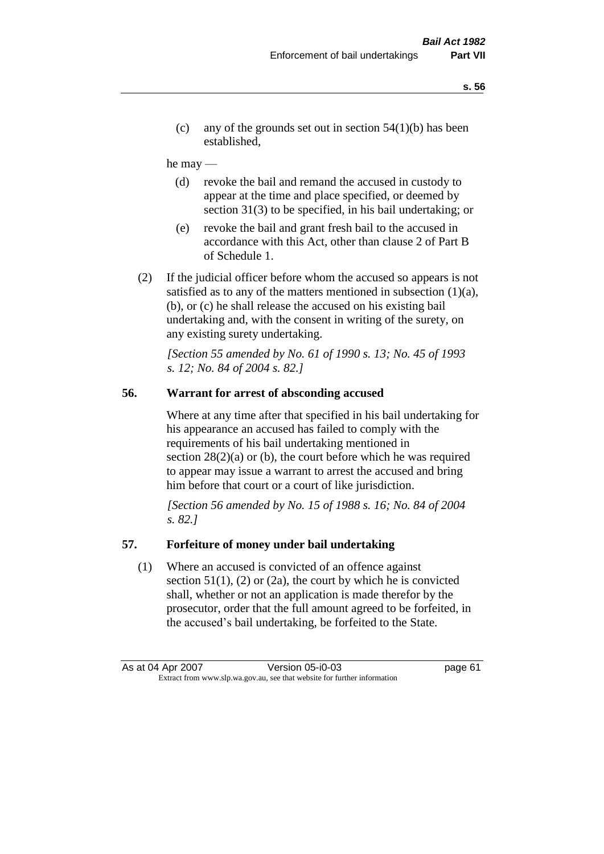(c) any of the grounds set out in section  $54(1)(b)$  has been established,

#### he may —

- (d) revoke the bail and remand the accused in custody to appear at the time and place specified, or deemed by section 31(3) to be specified, in his bail undertaking; or
- (e) revoke the bail and grant fresh bail to the accused in accordance with this Act, other than clause 2 of Part B of Schedule 1.
- (2) If the judicial officer before whom the accused so appears is not satisfied as to any of the matters mentioned in subsection  $(1)(a)$ , (b), or (c) he shall release the accused on his existing bail undertaking and, with the consent in writing of the surety, on any existing surety undertaking.

*[Section 55 amended by No. 61 of 1990 s. 13; No. 45 of 1993 s. 12; No. 84 of 2004 s. 82.]* 

## **56. Warrant for arrest of absconding accused**

Where at any time after that specified in his bail undertaking for his appearance an accused has failed to comply with the requirements of his bail undertaking mentioned in section  $28(2)(a)$  or (b), the court before which he was required to appear may issue a warrant to arrest the accused and bring him before that court or a court of like jurisdiction.

*[Section 56 amended by No. 15 of 1988 s. 16; No. 84 of 2004 s. 82.]* 

#### **57. Forfeiture of money under bail undertaking**

(1) Where an accused is convicted of an offence against section  $51(1)$ ,  $(2)$  or  $(2a)$ , the court by which he is convicted shall, whether or not an application is made therefor by the prosecutor, order that the full amount agreed to be forfeited, in the accused's bail undertaking, be forfeited to the State.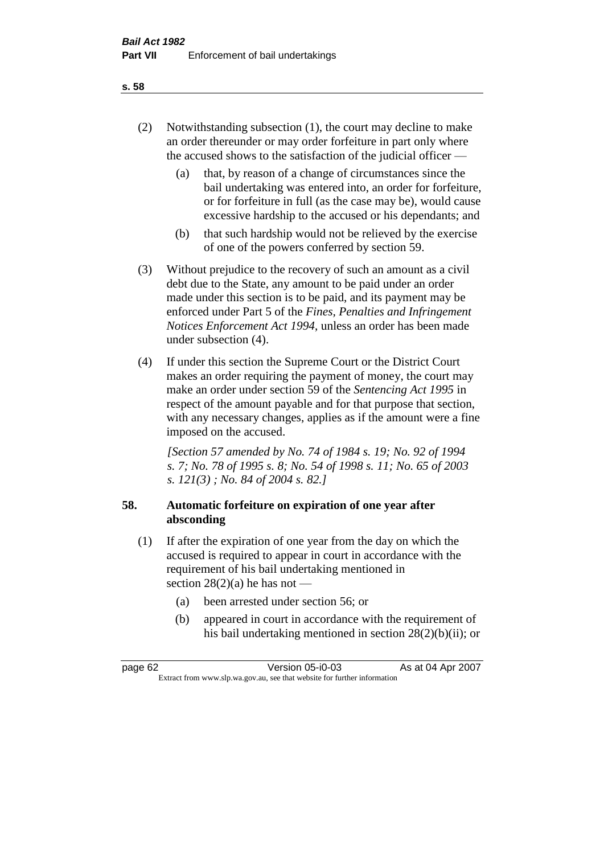- (2) Notwithstanding subsection (1), the court may decline to make an order thereunder or may order forfeiture in part only where the accused shows to the satisfaction of the judicial officer —
	- (a) that, by reason of a change of circumstances since the bail undertaking was entered into, an order for forfeiture, or for forfeiture in full (as the case may be), would cause excessive hardship to the accused or his dependants; and
	- (b) that such hardship would not be relieved by the exercise of one of the powers conferred by section 59.
- (3) Without prejudice to the recovery of such an amount as a civil debt due to the State, any amount to be paid under an order made under this section is to be paid, and its payment may be enforced under Part 5 of the *Fines, Penalties and Infringement Notices Enforcement Act 1994*, unless an order has been made under subsection (4).
- (4) If under this section the Supreme Court or the District Court makes an order requiring the payment of money, the court may make an order under section 59 of the *Sentencing Act 1995* in respect of the amount payable and for that purpose that section, with any necessary changes, applies as if the amount were a fine imposed on the accused.

*[Section 57 amended by No. 74 of 1984 s. 19; No. 92 of 1994 s. 7; No. 78 of 1995 s. 8; No. 54 of 1998 s. 11; No. 65 of 2003 s. 121(3) ; No. 84 of 2004 s. 82.]* 

# **58. Automatic forfeiture on expiration of one year after absconding**

- (1) If after the expiration of one year from the day on which the accused is required to appear in court in accordance with the requirement of his bail undertaking mentioned in section  $28(2)(a)$  he has not —
	- (a) been arrested under section 56; or
	- (b) appeared in court in accordance with the requirement of his bail undertaking mentioned in section 28(2)(b)(ii); or

**s. 58**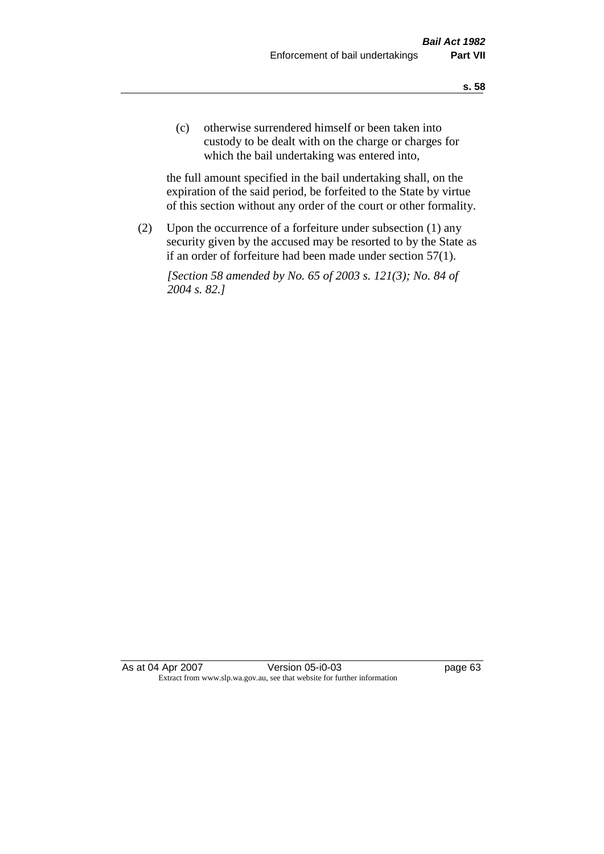(c) otherwise surrendered himself or been taken into custody to be dealt with on the charge or charges for which the bail undertaking was entered into,

the full amount specified in the bail undertaking shall, on the expiration of the said period, be forfeited to the State by virtue of this section without any order of the court or other formality.

(2) Upon the occurrence of a forfeiture under subsection (1) any security given by the accused may be resorted to by the State as if an order of forfeiture had been made under section 57(1).

*[Section 58 amended by No. 65 of 2003 s. 121(3); No. 84 of 2004 s. 82.]*

As at 04 Apr 2007 Version 05-i0-03 page 63 Extract from www.slp.wa.gov.au, see that website for further information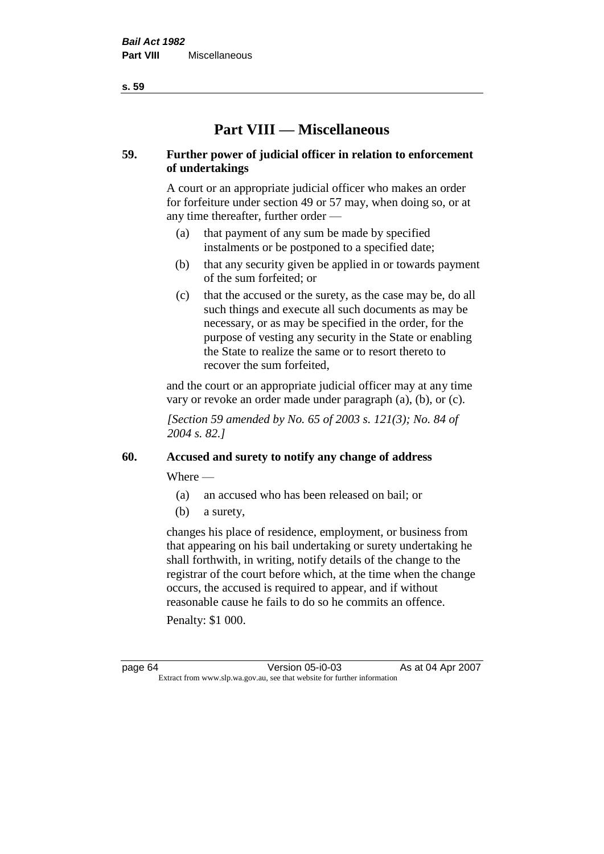**s. 59**

# **Part VIII — Miscellaneous**

# **59. Further power of judicial officer in relation to enforcement of undertakings**

A court or an appropriate judicial officer who makes an order for forfeiture under section 49 or 57 may, when doing so, or at any time thereafter, further order —

- (a) that payment of any sum be made by specified instalments or be postponed to a specified date;
- (b) that any security given be applied in or towards payment of the sum forfeited; or
- (c) that the accused or the surety, as the case may be, do all such things and execute all such documents as may be necessary, or as may be specified in the order, for the purpose of vesting any security in the State or enabling the State to realize the same or to resort thereto to recover the sum forfeited,

and the court or an appropriate judicial officer may at any time vary or revoke an order made under paragraph (a), (b), or (c).

*[Section 59 amended by No. 65 of 2003 s. 121(3); No. 84 of 2004 s. 82.]*

# **60. Accused and surety to notify any change of address**

Where —

- (a) an accused who has been released on bail; or
- (b) a surety,

changes his place of residence, employment, or business from that appearing on his bail undertaking or surety undertaking he shall forthwith, in writing, notify details of the change to the registrar of the court before which, at the time when the change occurs, the accused is required to appear, and if without reasonable cause he fails to do so he commits an offence.

Penalty: \$1 000.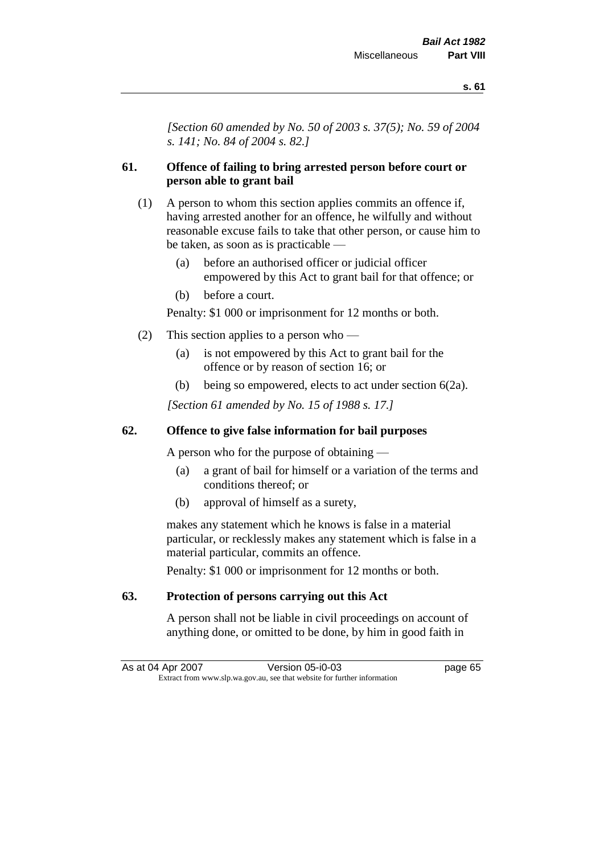*[Section 60 amended by No. 50 of 2003 s. 37(5); No. 59 of 2004 s. 141; No. 84 of 2004 s. 82.]*

# **61. Offence of failing to bring arrested person before court or person able to grant bail**

- (1) A person to whom this section applies commits an offence if, having arrested another for an offence, he wilfully and without reasonable excuse fails to take that other person, or cause him to be taken, as soon as is practicable —
	- (a) before an authorised officer or judicial officer empowered by this Act to grant bail for that offence; or
	- (b) before a court.

Penalty: \$1 000 or imprisonment for 12 months or both.

- (2) This section applies to a person who
	- (a) is not empowered by this Act to grant bail for the offence or by reason of section 16; or
	- (b) being so empowered, elects to act under section 6(2a).

*[Section 61 amended by No. 15 of 1988 s. 17.]* 

# **62. Offence to give false information for bail purposes**

A person who for the purpose of obtaining —

- (a) a grant of bail for himself or a variation of the terms and conditions thereof; or
- (b) approval of himself as a surety,

makes any statement which he knows is false in a material particular, or recklessly makes any statement which is false in a material particular, commits an offence.

Penalty: \$1 000 or imprisonment for 12 months or both.

# **63. Protection of persons carrying out this Act**

A person shall not be liable in civil proceedings on account of anything done, or omitted to be done, by him in good faith in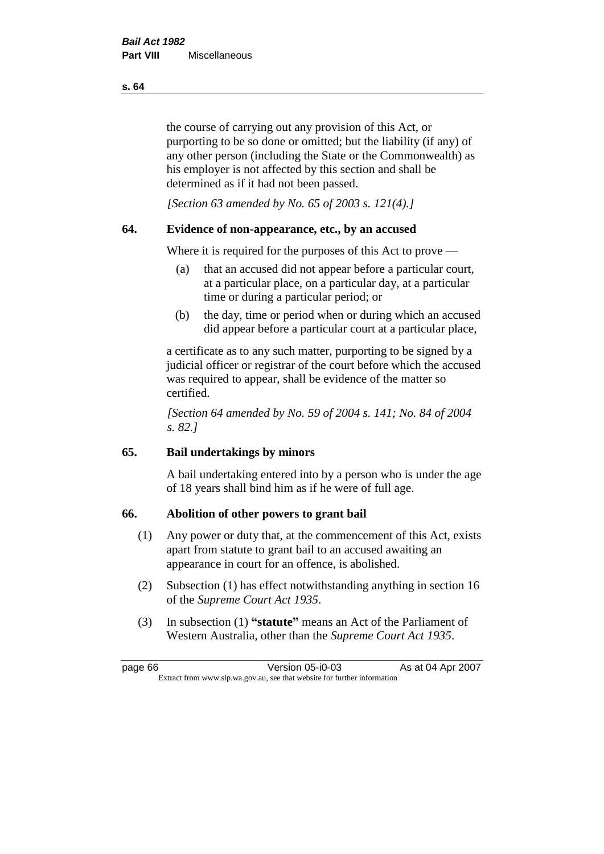the course of carrying out any provision of this Act, or purporting to be so done or omitted; but the liability (if any) of any other person (including the State or the Commonwealth) as his employer is not affected by this section and shall be determined as if it had not been passed.

*[Section 63 amended by No. 65 of 2003 s. 121(4).]*

# **64. Evidence of non-appearance, etc., by an accused**

Where it is required for the purposes of this Act to prove —

- (a) that an accused did not appear before a particular court, at a particular place, on a particular day, at a particular time or during a particular period; or
- (b) the day, time or period when or during which an accused did appear before a particular court at a particular place,

a certificate as to any such matter, purporting to be signed by a judicial officer or registrar of the court before which the accused was required to appear, shall be evidence of the matter so certified.

*[Section 64 amended by No. 59 of 2004 s. 141; No. 84 of 2004 s. 82.]* 

# **65. Bail undertakings by minors**

A bail undertaking entered into by a person who is under the age of 18 years shall bind him as if he were of full age.

### **66. Abolition of other powers to grant bail**

- (1) Any power or duty that, at the commencement of this Act, exists apart from statute to grant bail to an accused awaiting an appearance in court for an offence, is abolished.
- (2) Subsection (1) has effect notwithstanding anything in section 16 of the *Supreme Court Act 1935*.
- (3) In subsection (1) **"statute"** means an Act of the Parliament of Western Australia, other than the *Supreme Court Act 1935*.

page 66 Version 05-i0-03 As at 04 Apr 2007 Extract from www.slp.wa.gov.au, see that website for further information

**s. 64**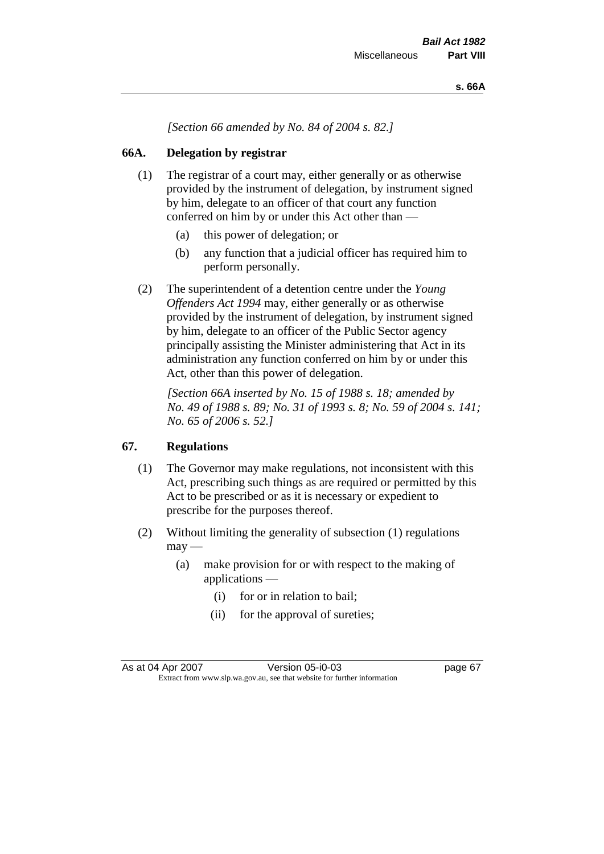*[Section 66 amended by No. 84 of 2004 s. 82.]*

# **66A. Delegation by registrar**

- (1) The registrar of a court may, either generally or as otherwise provided by the instrument of delegation, by instrument signed by him, delegate to an officer of that court any function conferred on him by or under this Act other than —
	- (a) this power of delegation; or
	- (b) any function that a judicial officer has required him to perform personally.
- (2) The superintendent of a detention centre under the *Young Offenders Act 1994* may, either generally or as otherwise provided by the instrument of delegation, by instrument signed by him, delegate to an officer of the Public Sector agency principally assisting the Minister administering that Act in its administration any function conferred on him by or under this Act, other than this power of delegation.

*[Section 66A inserted by No. 15 of 1988 s. 18; amended by No. 49 of 1988 s. 89; No. 31 of 1993 s. 8; No. 59 of 2004 s. 141; No. 65 of 2006 s. 52.]* 

### **67. Regulations**

- (1) The Governor may make regulations, not inconsistent with this Act, prescribing such things as are required or permitted by this Act to be prescribed or as it is necessary or expedient to prescribe for the purposes thereof.
- (2) Without limiting the generality of subsection (1) regulations  $may -$ 
	- (a) make provision for or with respect to the making of applications —
		- (i) for or in relation to bail;
		- (ii) for the approval of sureties;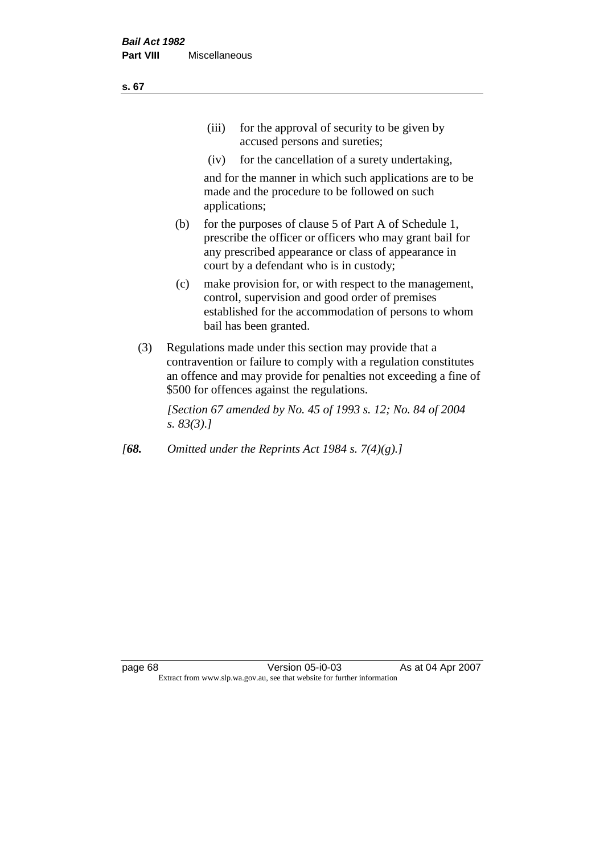(iv) for the cancellation of a surety undertaking,

and for the manner in which such applications are to be made and the procedure to be followed on such applications;

- (b) for the purposes of clause 5 of Part A of Schedule 1, prescribe the officer or officers who may grant bail for any prescribed appearance or class of appearance in court by a defendant who is in custody;
- (c) make provision for, or with respect to the management, control, supervision and good order of premises established for the accommodation of persons to whom bail has been granted.
- (3) Regulations made under this section may provide that a contravention or failure to comply with a regulation constitutes an offence and may provide for penalties not exceeding a fine of \$500 for offences against the regulations.

*[Section 67 amended by No. 45 of 1993 s. 12; No. 84 of 2004 s. 83(3).]* 

*[68. Omitted under the Reprints Act 1984 s. 7(4)(g).]*

**s. 67**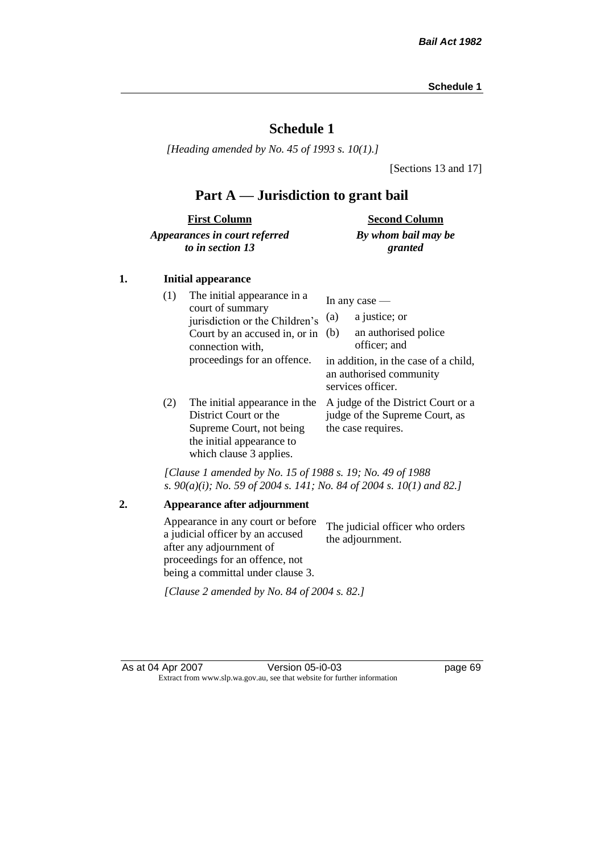# **Schedule 1**

*[Heading amended by No. 45 of 1993 s. 10(1).]*

[Sections 13 and 17]

# **Part A — Jurisdiction to grant bail**

| <b>First Column</b>           | <b>Second Column</b> |
|-------------------------------|----------------------|
| Appearances in court referred | By whom bail may be  |
| to in section 13              | granted              |

### **1. Initial appearance**

| (1) | The initial appearance in a<br>court of summary<br>jurisdiction or the Children's<br>Court by an accused in, or in<br>connection with,<br>proceedings for an offence. | In any case $-$<br>a justice; or<br>(a)<br>an authorised police<br>(b)<br>officer; and<br>in addition, in the case of a child,<br>an authorised community |
|-----|-----------------------------------------------------------------------------------------------------------------------------------------------------------------------|-----------------------------------------------------------------------------------------------------------------------------------------------------------|
| (2) | The initial appearance in the<br>District Court or the<br>Supreme Court, not being<br>the initial appearance to<br>which clause 3 applies.                            | services officer.<br>A judge of the District Court or a<br>judge of the Supreme Court, as<br>the case requires.                                           |

*[Clause 1 amended by No. 15 of 1988 s. 19; No. 49 of 1988 s. 90(a)(i); No. 59 of 2004 s. 141; No. 84 of 2004 s. 10(1) and 82.]*

**2. Appearance after adjournment** Appearance in any court or before a judicial officer by an accused after any adjournment of proceedings for an offence, not being a committal under clause 3. The judicial officer who orders the adjournment. *[Clause 2 amended by No. 84 of 2004 s. 82.]*

As at 04 Apr 2007 Version 05-i0-03 page 69 Extract from www.slp.wa.gov.au, see that website for further information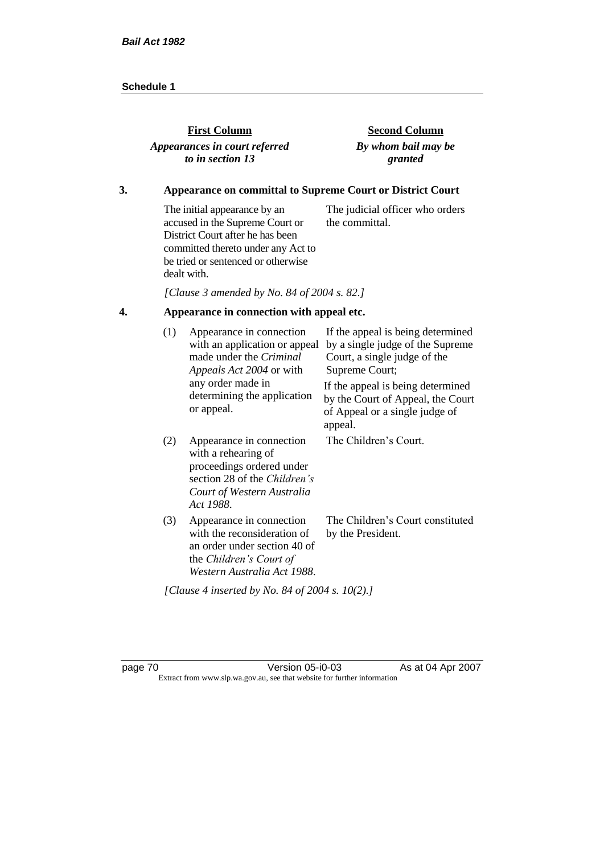| <b>First Column</b>           | <b>Second Column</b> |
|-------------------------------|----------------------|
| Appearances in court referred | By whom bail may be  |
| to in section 13              | granted              |

## **3. Appearance on committal to Supreme Court or District Court**

The initial appearance by an accused in the Supreme Court or District Court after he has been committed thereto under any Act to be tried or sentenced or otherwise dealt with. The judicial officer who orders the committal.

*[Clause 3 amended by No. 84 of 2004 s. 82.]*

# **4. Appearance in connection with appeal etc.**

| (1) | Appearance in connection<br>with an application or appeal<br>made under the <i>Criminal</i><br>Appeals Act 2004 or with                                  | If the appeal is being determined<br>by a single judge of the Supreme<br>Court, a single judge of the<br>Supreme Court; |
|-----|----------------------------------------------------------------------------------------------------------------------------------------------------------|-------------------------------------------------------------------------------------------------------------------------|
|     | any order made in<br>determining the application<br>or appeal.                                                                                           | If the appeal is being determined<br>by the Court of Appeal, the Court<br>of Appeal or a single judge of<br>appeal.     |
| (2) | Appearance in connection<br>with a rehearing of<br>proceedings ordered under<br>section 28 of the Children's<br>Court of Western Australia<br>Act 1988.  | The Children's Court.                                                                                                   |
| (3) | Appearance in connection<br>with the reconsideration of<br>an order under section 40 of<br>the <i>Children's Court of</i><br>Western Australia Act 1988. | The Children's Court constituted<br>by the President.                                                                   |
|     | [Clause 4 inserted by No. 84 of 2004 s. 10(2).]                                                                                                          |                                                                                                                         |

page 70 Version 05-i0-03 As at 04 Apr 2007 Extract from www.slp.wa.gov.au, see that website for further information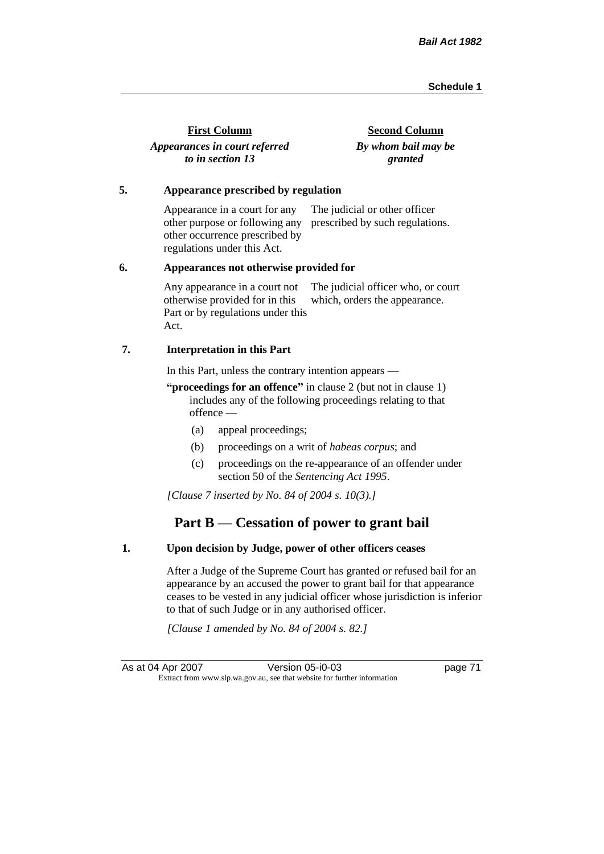| <b>First Column</b>           | <b>Second Column</b> |
|-------------------------------|----------------------|
| Appearances in court referred | By whom bail may be  |
| to in section 13              | granted              |

#### **5. Appearance prescribed by regulation**

Appearance in a court for any other purpose or following any prescribed by such regulations. other occurrence prescribed by regulations under this Act. The judicial or other officer

#### **6. Appearances not otherwise provided for**

Any appearance in a court not otherwise provided for in this Part or by regulations under this Act. The judicial officer who, or court which, orders the appearance.

#### **7. Interpretation in this Part**

In this Part, unless the contrary intention appears —

**"proceedings for an offence"** in clause 2 (but not in clause 1) includes any of the following proceedings relating to that offence —

- (a) appeal proceedings;
- (b) proceedings on a writ of *habeas corpus*; and
- (c) proceedings on the re-appearance of an offender under section 50 of the *Sentencing Act 1995*.

*[Clause 7 inserted by No. 84 of 2004 s. 10(3).]*

# **Part B — Cessation of power to grant bail**

#### **1. Upon decision by Judge, power of other officers ceases**

After a Judge of the Supreme Court has granted or refused bail for an appearance by an accused the power to grant bail for that appearance ceases to be vested in any judicial officer whose jurisdiction is inferior to that of such Judge or in any authorised officer.

*[Clause 1 amended by No. 84 of 2004 s. 82.]*

As at 04 Apr 2007 Version 05-i0-03 page 71 Extract from www.slp.wa.gov.au, see that website for further information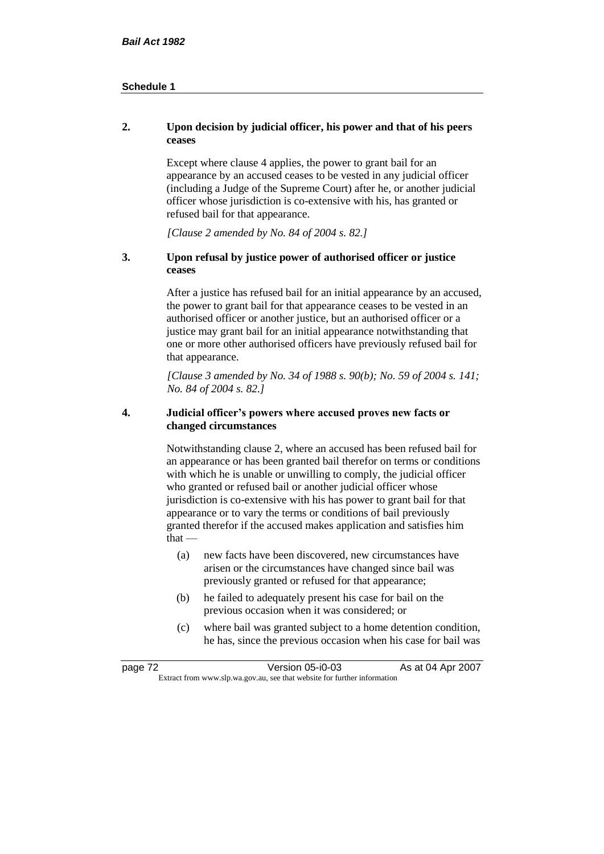### **2. Upon decision by judicial officer, his power and that of his peers ceases**

Except where clause 4 applies, the power to grant bail for an appearance by an accused ceases to be vested in any judicial officer (including a Judge of the Supreme Court) after he, or another judicial officer whose jurisdiction is co-extensive with his, has granted or refused bail for that appearance.

*[Clause 2 amended by No. 84 of 2004 s. 82.]*

### **3. Upon refusal by justice power of authorised officer or justice ceases**

After a justice has refused bail for an initial appearance by an accused, the power to grant bail for that appearance ceases to be vested in an authorised officer or another justice, but an authorised officer or a justice may grant bail for an initial appearance notwithstanding that one or more other authorised officers have previously refused bail for that appearance.

*[Clause 3 amended by No. 34 of 1988 s. 90(b); No. 59 of 2004 s. 141; No. 84 of 2004 s. 82.]*

#### **4. Judicial officer's powers where accused proves new facts or changed circumstances**

Notwithstanding clause 2, where an accused has been refused bail for an appearance or has been granted bail therefor on terms or conditions with which he is unable or unwilling to comply, the judicial officer who granted or refused bail or another judicial officer whose jurisdiction is co-extensive with his has power to grant bail for that appearance or to vary the terms or conditions of bail previously granted therefor if the accused makes application and satisfies him  $that -$ 

- (a) new facts have been discovered, new circumstances have arisen or the circumstances have changed since bail was previously granted or refused for that appearance;
- (b) he failed to adequately present his case for bail on the previous occasion when it was considered; or
- (c) where bail was granted subject to a home detention condition, he has, since the previous occasion when his case for bail was

| page 72 | Version 05-i0-03                                                         | As at 04 Apr 2007 |
|---------|--------------------------------------------------------------------------|-------------------|
|         | Extract from www.slp.wa.gov.au, see that website for further information |                   |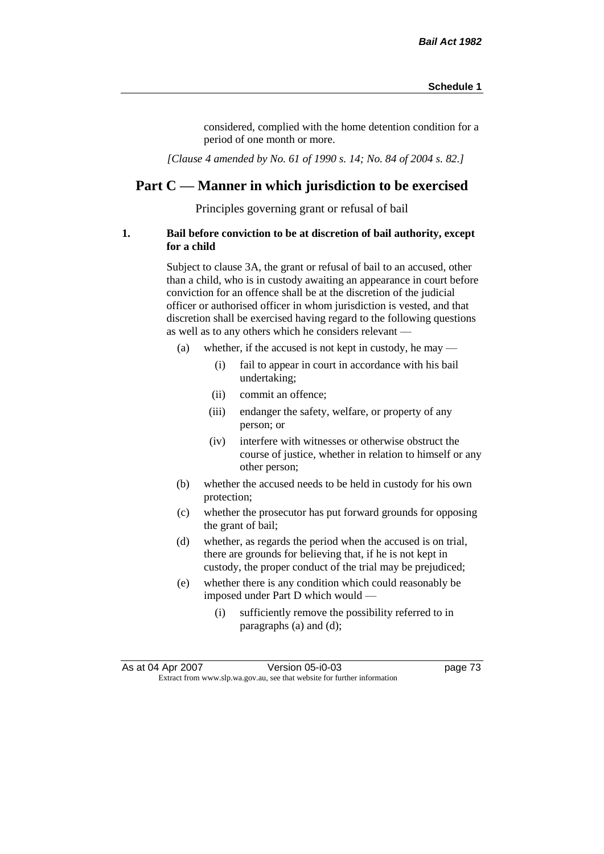considered, complied with the home detention condition for a period of one month or more.

*[Clause 4 amended by No. 61 of 1990 s. 14; No. 84 of 2004 s. 82.]*

# **Part C — Manner in which jurisdiction to be exercised**

Principles governing grant or refusal of bail

### **1. Bail before conviction to be at discretion of bail authority, except for a child**

Subject to clause 3A, the grant or refusal of bail to an accused, other than a child, who is in custody awaiting an appearance in court before conviction for an offence shall be at the discretion of the judicial officer or authorised officer in whom jurisdiction is vested, and that discretion shall be exercised having regard to the following questions as well as to any others which he considers relevant —

- (a) whether, if the accused is not kept in custody, he may
	- (i) fail to appear in court in accordance with his bail undertaking;
	- (ii) commit an offence;
	- (iii) endanger the safety, welfare, or property of any person; or
	- (iv) interfere with witnesses or otherwise obstruct the course of justice, whether in relation to himself or any other person;
- (b) whether the accused needs to be held in custody for his own protection;
- (c) whether the prosecutor has put forward grounds for opposing the grant of bail;
- (d) whether, as regards the period when the accused is on trial, there are grounds for believing that, if he is not kept in custody, the proper conduct of the trial may be prejudiced;
- (e) whether there is any condition which could reasonably be imposed under Part D which would —
	- (i) sufficiently remove the possibility referred to in paragraphs (a) and (d);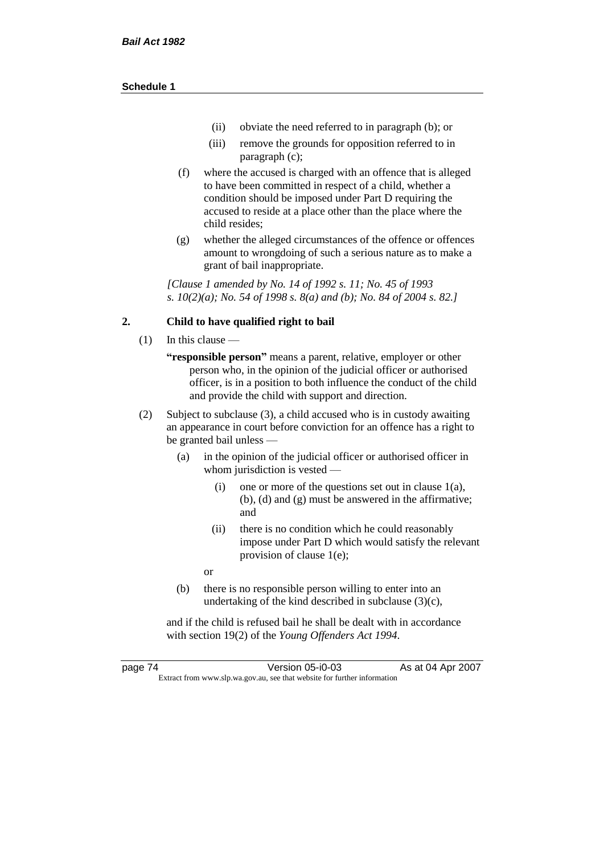- (ii) obviate the need referred to in paragraph (b); or
- (iii) remove the grounds for opposition referred to in paragraph (c);
- (f) where the accused is charged with an offence that is alleged to have been committed in respect of a child, whether a condition should be imposed under Part D requiring the accused to reside at a place other than the place where the child resides;
- (g) whether the alleged circumstances of the offence or offences amount to wrongdoing of such a serious nature as to make a grant of bail inappropriate.

*[Clause 1 amended by No. 14 of 1992 s. 11; No. 45 of 1993 s. 10(2)(a); No. 54 of 1998 s. 8(a) and (b); No. 84 of 2004 s. 82.]*

### **2. Child to have qualified right to bail**

- (1) In this clause
	- **"responsible person"** means a parent, relative, employer or other person who, in the opinion of the judicial officer or authorised officer, is in a position to both influence the conduct of the child and provide the child with support and direction.
- (2) Subject to subclause (3), a child accused who is in custody awaiting an appearance in court before conviction for an offence has a right to be granted bail unless —
	- (a) in the opinion of the judicial officer or authorised officer in whom jurisdiction is vested —
		- (i) one or more of the questions set out in clause 1(a), (b), (d) and (g) must be answered in the affirmative; and
		- (ii) there is no condition which he could reasonably impose under Part D which would satisfy the relevant provision of clause 1(e);
		- or
	- (b) there is no responsible person willing to enter into an undertaking of the kind described in subclause (3)(c),

and if the child is refused bail he shall be dealt with in accordance with section 19(2) of the *Young Offenders Act 1994*.

page 74 Version 05-i0-03 As at 04 Apr 2007 Extract from www.slp.wa.gov.au, see that website for further information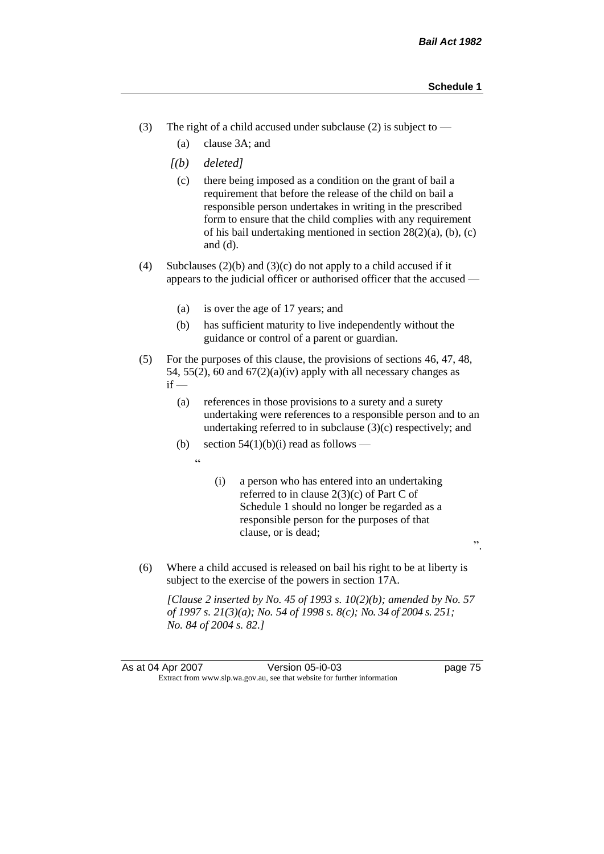".

- (3) The right of a child accused under subclause (2) is subject to  $-$ 
	- (a) clause 3A; and
	- *[(b) deleted]*
		- (c) there being imposed as a condition on the grant of bail a requirement that before the release of the child on bail a responsible person undertakes in writing in the prescribed form to ensure that the child complies with any requirement of his bail undertaking mentioned in section 28(2)(a), (b), (c) and (d).
- (4) Subclauses (2)(b) and (3)(c) do not apply to a child accused if it appears to the judicial officer or authorised officer that the accused —
	- (a) is over the age of 17 years; and
	- (b) has sufficient maturity to live independently without the guidance or control of a parent or guardian.
- (5) For the purposes of this clause, the provisions of sections 46, 47, 48, 54, 55(2), 60 and  $67(2)(a)(iv)$  apply with all necessary changes as  $if -$ 
	- (a) references in those provisions to a surety and a surety undertaking were references to a responsible person and to an undertaking referred to in subclause  $(3)(c)$  respectively; and
	- (b) section  $54(1)(b)(i)$  read as follows
		- "
- (i) a person who has entered into an undertaking referred to in clause 2(3)(c) of Part C of Schedule 1 should no longer be regarded as a responsible person for the purposes of that clause, or is dead;
- (6) Where a child accused is released on bail his right to be at liberty is subject to the exercise of the powers in section 17A.

*[Clause 2 inserted by No. 45 of 1993 s. 10(2)(b); amended by No. 57 of 1997 s. 21(3)(a); No. 54 of 1998 s. 8(c); No. 34 of 2004 s. 251; No. 84 of 2004 s. 82.]*

As at 04 Apr 2007 Version 05-i0-03 page 75 Extract from www.slp.wa.gov.au, see that website for further information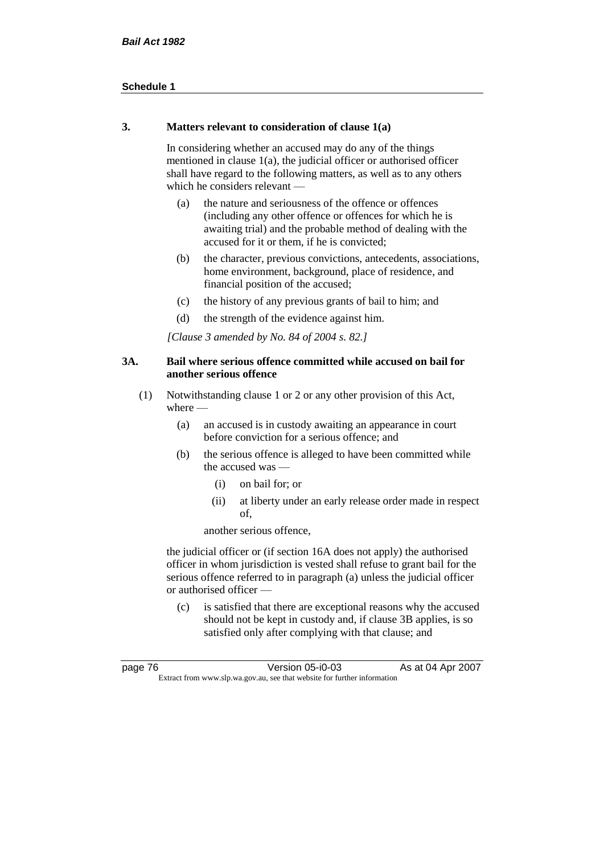### **3. Matters relevant to consideration of clause 1(a)**

In considering whether an accused may do any of the things mentioned in clause 1(a), the judicial officer or authorised officer shall have regard to the following matters, as well as to any others which he considers relevant —

- (a) the nature and seriousness of the offence or offences (including any other offence or offences for which he is awaiting trial) and the probable method of dealing with the accused for it or them, if he is convicted;
- (b) the character, previous convictions, antecedents, associations, home environment, background, place of residence, and financial position of the accused;
- (c) the history of any previous grants of bail to him; and
- (d) the strength of the evidence against him.

*[Clause 3 amended by No. 84 of 2004 s. 82.]*

### **3A. Bail where serious offence committed while accused on bail for another serious offence**

- (1) Notwithstanding clause 1 or 2 or any other provision of this Act, where —
	- (a) an accused is in custody awaiting an appearance in court before conviction for a serious offence; and
	- (b) the serious offence is alleged to have been committed while the accused was —
		- (i) on bail for; or
		- (ii) at liberty under an early release order made in respect of,

another serious offence,

the judicial officer or (if section 16A does not apply) the authorised officer in whom jurisdiction is vested shall refuse to grant bail for the serious offence referred to in paragraph (a) unless the judicial officer or authorised officer —

(c) is satisfied that there are exceptional reasons why the accused should not be kept in custody and, if clause 3B applies, is so satisfied only after complying with that clause; and

| page 76                                                                  | Version 05-i0-03 | As at 04 Apr 2007 |
|--------------------------------------------------------------------------|------------------|-------------------|
| Extract from www.slp.wa.gov.au, see that website for further information |                  |                   |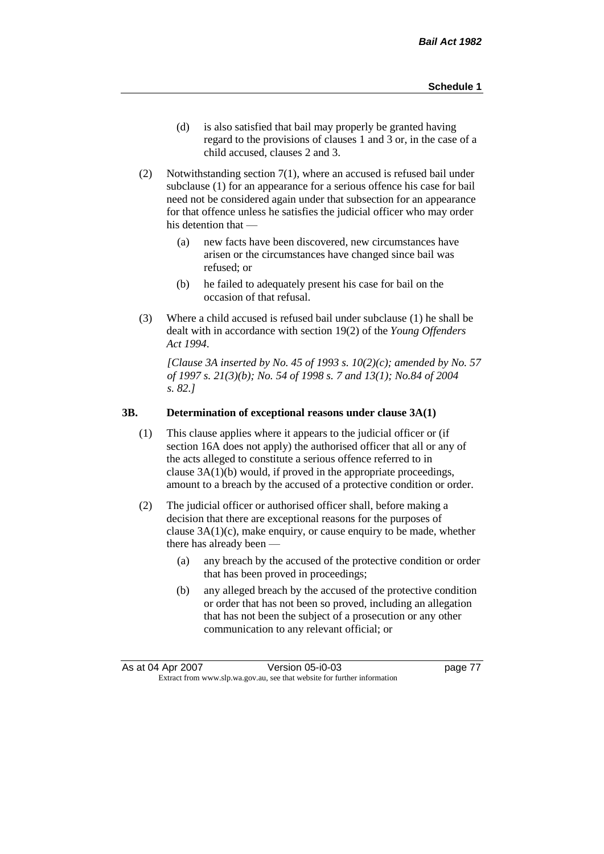- (d) is also satisfied that bail may properly be granted having regard to the provisions of clauses 1 and 3 or, in the case of a child accused, clauses 2 and 3.
- (2) Notwithstanding section 7(1), where an accused is refused bail under subclause (1) for an appearance for a serious offence his case for bail need not be considered again under that subsection for an appearance for that offence unless he satisfies the judicial officer who may order his detention that —
	- (a) new facts have been discovered, new circumstances have arisen or the circumstances have changed since bail was refused; or
	- (b) he failed to adequately present his case for bail on the occasion of that refusal.
- (3) Where a child accused is refused bail under subclause (1) he shall be dealt with in accordance with section 19(2) of the *Young Offenders Act 1994*.

*[Clause 3A inserted by No. 45 of 1993 s. 10(2)(c); amended by No. 57 of 1997 s. 21(3)(b); No. 54 of 1998 s. 7 and 13(1); No.84 of 2004 s. 82.]*

#### **3B. Determination of exceptional reasons under clause 3A(1)**

- (1) This clause applies where it appears to the judicial officer or (if section 16A does not apply) the authorised officer that all or any of the acts alleged to constitute a serious offence referred to in clause 3A(1)(b) would, if proved in the appropriate proceedings, amount to a breach by the accused of a protective condition or order.
- (2) The judicial officer or authorised officer shall, before making a decision that there are exceptional reasons for the purposes of clause  $3A(1)(c)$ , make enquiry, or cause enquiry to be made, whether there has already been -
	- (a) any breach by the accused of the protective condition or order that has been proved in proceedings;
	- (b) any alleged breach by the accused of the protective condition or order that has not been so proved, including an allegation that has not been the subject of a prosecution or any other communication to any relevant official; or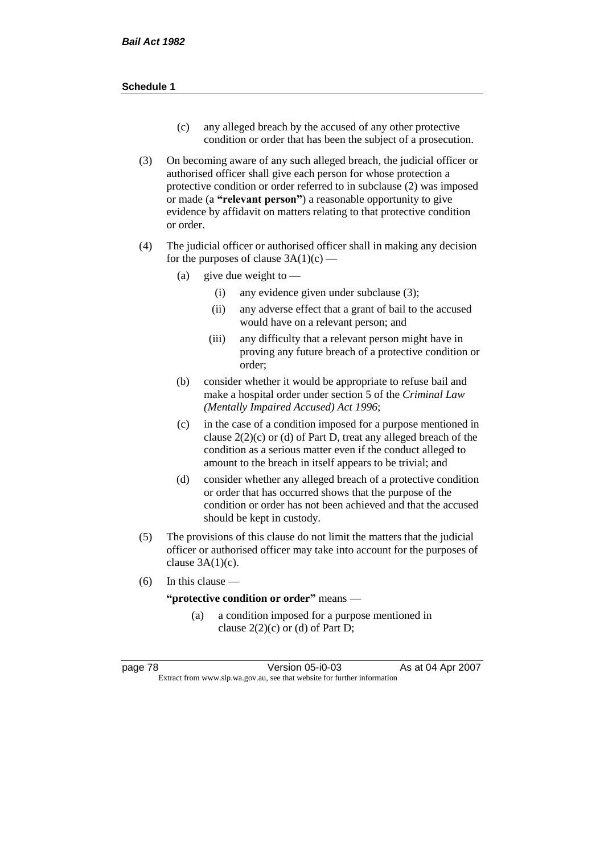- (c) any alleged breach by the accused of any other protective condition or order that has been the subject of a prosecution.
- (3) On becoming aware of any such alleged breach, the judicial officer or authorised officer shall give each person for whose protection a protective condition or order referred to in subclause (2) was imposed or made (a **"relevant person"**) a reasonable opportunity to give evidence by affidavit on matters relating to that protective condition or order.
- (4) The judicial officer or authorised officer shall in making any decision for the purposes of clause  $3A(1)(c)$  —
	- (a) give due weight to  $-$ 
		- (i) any evidence given under subclause (3);
		- (ii) any adverse effect that a grant of bail to the accused would have on a relevant person; and
		- (iii) any difficulty that a relevant person might have in proving any future breach of a protective condition or order;
	- (b) consider whether it would be appropriate to refuse bail and make a hospital order under section 5 of the *Criminal Law (Mentally Impaired Accused) Act 1996*;
	- (c) in the case of a condition imposed for a purpose mentioned in clause  $2(2)(c)$  or (d) of Part D, treat any alleged breach of the condition as a serious matter even if the conduct alleged to amount to the breach in itself appears to be trivial; and
	- (d) consider whether any alleged breach of a protective condition or order that has occurred shows that the purpose of the condition or order has not been achieved and that the accused should be kept in custody.
- (5) The provisions of this clause do not limit the matters that the judicial officer or authorised officer may take into account for the purposes of clause  $3A(1)(c)$ .
- $(6)$  In this clause —

**"protective condition or order"** means —

(a) a condition imposed for a purpose mentioned in clause  $2(2)(c)$  or (d) of Part D;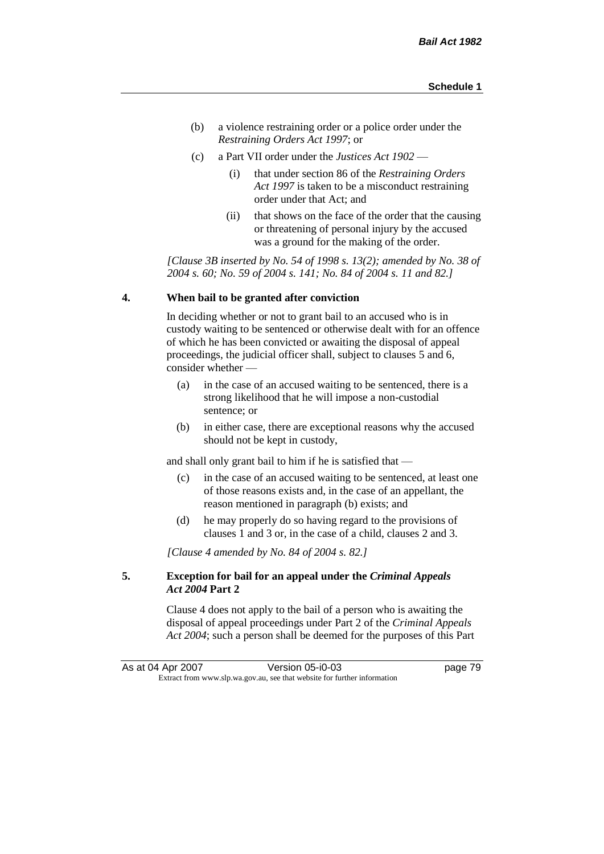- (b) a violence restraining order or a police order under the *Restraining Orders Act 1997*; or
- (c) a Part VII order under the *Justices Act 1902*
	- (i) that under section 86 of the *Restraining Orders Act 1997* is taken to be a misconduct restraining order under that Act; and
	- (ii) that shows on the face of the order that the causing or threatening of personal injury by the accused was a ground for the making of the order.

*[Clause 3B inserted by No. 54 of 1998 s. 13(2); amended by No. 38 of 2004 s. 60; No. 59 of 2004 s. 141; No. 84 of 2004 s. 11 and 82.]*

#### **4. When bail to be granted after conviction**

In deciding whether or not to grant bail to an accused who is in custody waiting to be sentenced or otherwise dealt with for an offence of which he has been convicted or awaiting the disposal of appeal proceedings, the judicial officer shall, subject to clauses 5 and 6, consider whether —

- (a) in the case of an accused waiting to be sentenced, there is a strong likelihood that he will impose a non-custodial sentence; or
- (b) in either case, there are exceptional reasons why the accused should not be kept in custody,

and shall only grant bail to him if he is satisfied that —

- (c) in the case of an accused waiting to be sentenced, at least one of those reasons exists and, in the case of an appellant, the reason mentioned in paragraph (b) exists; and
- (d) he may properly do so having regard to the provisions of clauses 1 and 3 or, in the case of a child, clauses 2 and 3.

*[Clause 4 amended by No. 84 of 2004 s. 82.]*

### **5. Exception for bail for an appeal under the** *Criminal Appeals Act 2004* **Part 2**

Clause 4 does not apply to the bail of a person who is awaiting the disposal of appeal proceedings under Part 2 of the *Criminal Appeals Act 2004*; such a person shall be deemed for the purposes of this Part

As at 04 Apr 2007 Version 05-i0-03 page 79 Extract from www.slp.wa.gov.au, see that website for further information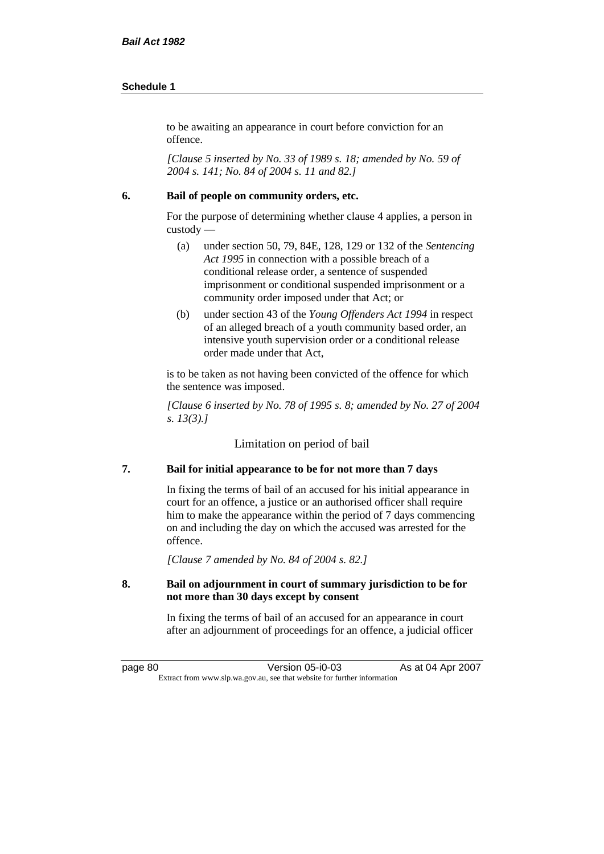to be awaiting an appearance in court before conviction for an offence.

*[Clause 5 inserted by No. 33 of 1989 s. 18; amended by No. 59 of 2004 s. 141; No. 84 of 2004 s. 11 and 82.]*

#### **6. Bail of people on community orders, etc.**

For the purpose of determining whether clause 4 applies, a person in custody —

- (a) under section 50, 79, 84E, 128, 129 or 132 of the *Sentencing Act 1995* in connection with a possible breach of a conditional release order, a sentence of suspended imprisonment or conditional suspended imprisonment or a community order imposed under that Act; or
- (b) under section 43 of the *Young Offenders Act 1994* in respect of an alleged breach of a youth community based order, an intensive youth supervision order or a conditional release order made under that Act,

is to be taken as not having been convicted of the offence for which the sentence was imposed.

*[Clause 6 inserted by No. 78 of 1995 s. 8; amended by No. 27 of 2004 s. 13(3).]*

Limitation on period of bail

# **7. Bail for initial appearance to be for not more than 7 days**

In fixing the terms of bail of an accused for his initial appearance in court for an offence, a justice or an authorised officer shall require him to make the appearance within the period of 7 days commencing on and including the day on which the accused was arrested for the offence.

*[Clause 7 amended by No. 84 of 2004 s. 82.]*

### **8. Bail on adjournment in court of summary jurisdiction to be for not more than 30 days except by consent**

In fixing the terms of bail of an accused for an appearance in court after an adjournment of proceedings for an offence, a judicial officer

page 80 Version 05-i0-03 As at 04 Apr 2007 Extract from www.slp.wa.gov.au, see that website for further information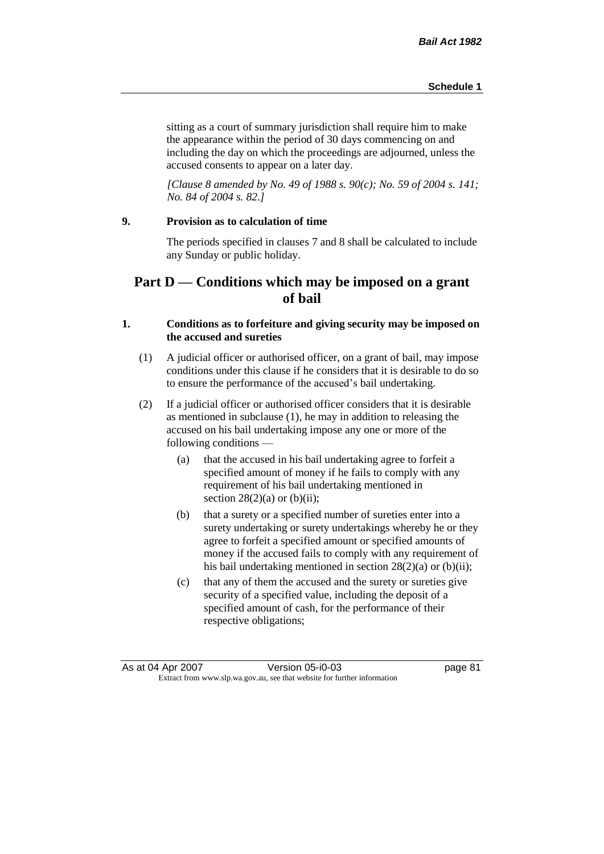sitting as a court of summary jurisdiction shall require him to make the appearance within the period of 30 days commencing on and including the day on which the proceedings are adjourned, unless the accused consents to appear on a later day.

*[Clause 8 amended by No. 49 of 1988 s. 90(c); No. 59 of 2004 s. 141; No. 84 of 2004 s. 82.]*

# **9. Provision as to calculation of time**

The periods specified in clauses 7 and 8 shall be calculated to include any Sunday or public holiday.

# **Part D — Conditions which may be imposed on a grant of bail**

### **1. Conditions as to forfeiture and giving security may be imposed on the accused and sureties**

- (1) A judicial officer or authorised officer, on a grant of bail, may impose conditions under this clause if he considers that it is desirable to do so to ensure the performance of the accused's bail undertaking.
- (2) If a judicial officer or authorised officer considers that it is desirable as mentioned in subclause (1), he may in addition to releasing the accused on his bail undertaking impose any one or more of the following conditions —
	- (a) that the accused in his bail undertaking agree to forfeit a specified amount of money if he fails to comply with any requirement of his bail undertaking mentioned in section  $28(2)(a)$  or  $(b)(ii)$ ;
	- (b) that a surety or a specified number of sureties enter into a surety undertaking or surety undertakings whereby he or they agree to forfeit a specified amount or specified amounts of money if the accused fails to comply with any requirement of his bail undertaking mentioned in section 28(2)(a) or (b)(ii);
	- (c) that any of them the accused and the surety or sureties give security of a specified value, including the deposit of a specified amount of cash, for the performance of their respective obligations;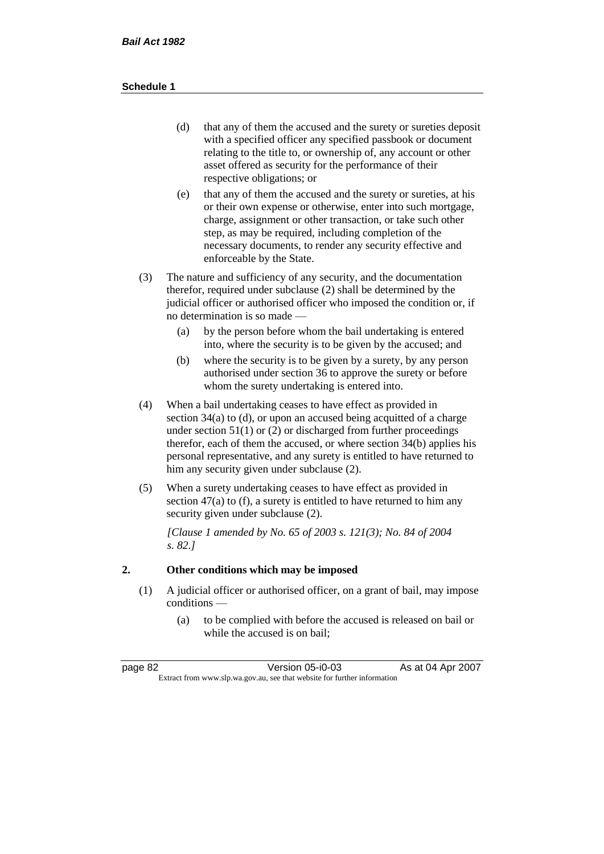- (d) that any of them the accused and the surety or sureties deposit with a specified officer any specified passbook or document relating to the title to, or ownership of, any account or other asset offered as security for the performance of their respective obligations; or
- (e) that any of them the accused and the surety or sureties, at his or their own expense or otherwise, enter into such mortgage, charge, assignment or other transaction, or take such other step, as may be required, including completion of the necessary documents, to render any security effective and enforceable by the State.
- (3) The nature and sufficiency of any security, and the documentation therefor, required under subclause (2) shall be determined by the judicial officer or authorised officer who imposed the condition or, if no determination is so made —
	- (a) by the person before whom the bail undertaking is entered into, where the security is to be given by the accused; and
	- (b) where the security is to be given by a surety, by any person authorised under section 36 to approve the surety or before whom the surety undertaking is entered into.
- (4) When a bail undertaking ceases to have effect as provided in section 34(a) to (d), or upon an accused being acquitted of a charge under section  $51(1)$  or (2) or discharged from further proceedings therefor, each of them the accused, or where section 34(b) applies his personal representative, and any surety is entitled to have returned to him any security given under subclause (2).
- (5) When a surety undertaking ceases to have effect as provided in section 47(a) to (f), a surety is entitled to have returned to him any security given under subclause  $(2)$ .

*[Clause 1 amended by No. 65 of 2003 s. 121(3); No. 84 of 2004 s. 82.]*

# **2. Other conditions which may be imposed**

- (1) A judicial officer or authorised officer, on a grant of bail, may impose conditions —
	- (a) to be complied with before the accused is released on bail or while the accused is on bail;

| page 82 | Version 05-i0-03                                                         | As at 04 Apr 2007 |
|---------|--------------------------------------------------------------------------|-------------------|
|         | Extract from www.slp.wa.gov.au, see that website for further information |                   |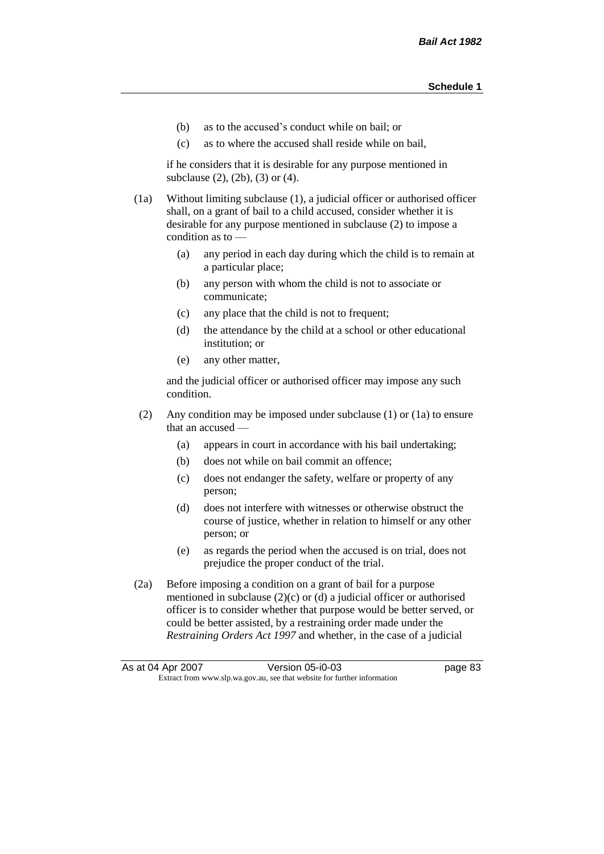- (b) as to the accused's conduct while on bail; or
- (c) as to where the accused shall reside while on bail,

if he considers that it is desirable for any purpose mentioned in subclause (2), (2b), (3) or (4).

(1a) Without limiting subclause (1), a judicial officer or authorised officer shall, on a grant of bail to a child accused, consider whether it is desirable for any purpose mentioned in subclause (2) to impose a condition as to —

- (a) any period in each day during which the child is to remain at a particular place;
- (b) any person with whom the child is not to associate or communicate;
- (c) any place that the child is not to frequent;
- (d) the attendance by the child at a school or other educational institution; or
- (e) any other matter,

and the judicial officer or authorised officer may impose any such condition.

- (2) Any condition may be imposed under subclause (1) or (1a) to ensure that an accused —
	- (a) appears in court in accordance with his bail undertaking;
	- (b) does not while on bail commit an offence;
	- (c) does not endanger the safety, welfare or property of any person;
	- (d) does not interfere with witnesses or otherwise obstruct the course of justice, whether in relation to himself or any other person; or
	- (e) as regards the period when the accused is on trial, does not prejudice the proper conduct of the trial.
- (2a) Before imposing a condition on a grant of bail for a purpose mentioned in subclause (2)(c) or (d) a judicial officer or authorised officer is to consider whether that purpose would be better served, or could be better assisted, by a restraining order made under the *Restraining Orders Act 1997* and whether, in the case of a judicial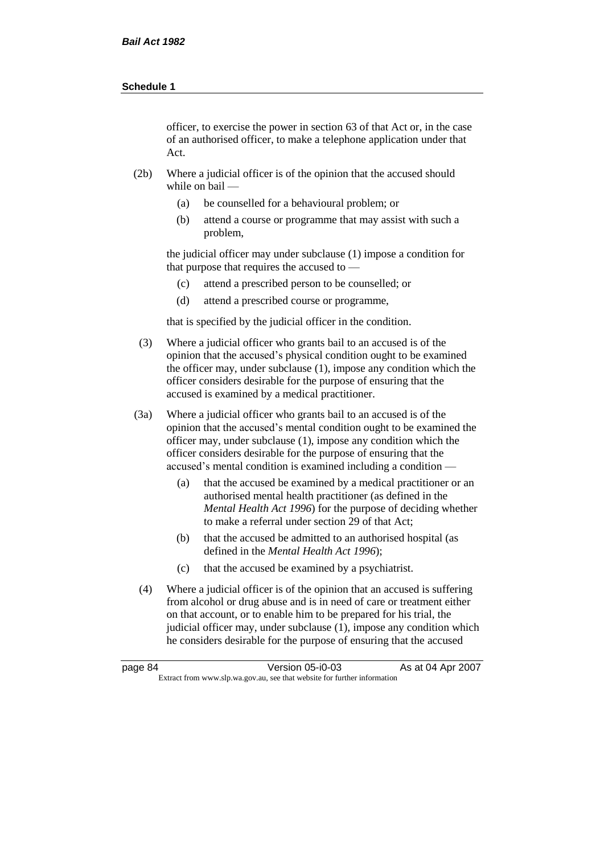officer, to exercise the power in section 63 of that Act or, in the case of an authorised officer, to make a telephone application under that Act.

- (2b) Where a judicial officer is of the opinion that the accused should while on bail —
	- (a) be counselled for a behavioural problem; or
	- (b) attend a course or programme that may assist with such a problem,

the judicial officer may under subclause (1) impose a condition for that purpose that requires the accused to —

- (c) attend a prescribed person to be counselled; or
- (d) attend a prescribed course or programme,

that is specified by the judicial officer in the condition.

- (3) Where a judicial officer who grants bail to an accused is of the opinion that the accused's physical condition ought to be examined the officer may, under subclause (1), impose any condition which the officer considers desirable for the purpose of ensuring that the accused is examined by a medical practitioner.
- (3a) Where a judicial officer who grants bail to an accused is of the opinion that the accused's mental condition ought to be examined the officer may, under subclause (1), impose any condition which the officer considers desirable for the purpose of ensuring that the accused's mental condition is examined including a condition —
	- (a) that the accused be examined by a medical practitioner or an authorised mental health practitioner (as defined in the *Mental Health Act 1996*) for the purpose of deciding whether to make a referral under section 29 of that Act;
	- (b) that the accused be admitted to an authorised hospital (as defined in the *Mental Health Act 1996*);
	- (c) that the accused be examined by a psychiatrist.
- (4) Where a judicial officer is of the opinion that an accused is suffering from alcohol or drug abuse and is in need of care or treatment either on that account, or to enable him to be prepared for his trial, the judicial officer may, under subclause (1), impose any condition which he considers desirable for the purpose of ensuring that the accused

| page 84 | Version 05-i0-03                                                         | As at 04 Apr 2007 |
|---------|--------------------------------------------------------------------------|-------------------|
|         | Extract from www.slp.wa.gov.au, see that website for further information |                   |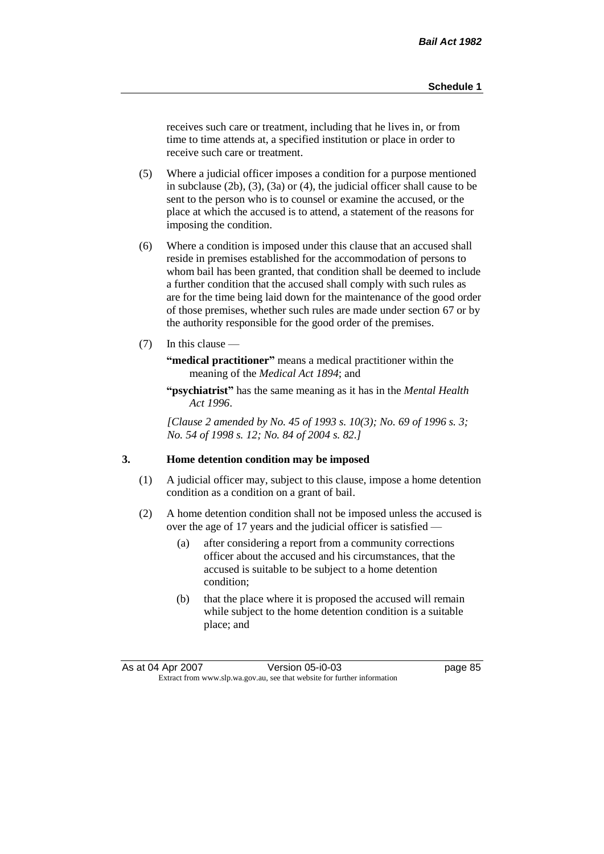receives such care or treatment, including that he lives in, or from time to time attends at, a specified institution or place in order to receive such care or treatment.

- (5) Where a judicial officer imposes a condition for a purpose mentioned in subclause (2b), (3), (3a) or (4), the judicial officer shall cause to be sent to the person who is to counsel or examine the accused, or the place at which the accused is to attend, a statement of the reasons for imposing the condition.
- (6) Where a condition is imposed under this clause that an accused shall reside in premises established for the accommodation of persons to whom bail has been granted, that condition shall be deemed to include a further condition that the accused shall comply with such rules as are for the time being laid down for the maintenance of the good order of those premises, whether such rules are made under section 67 or by the authority responsible for the good order of the premises.
- (7) In this clause —

**"medical practitioner"** means a medical practitioner within the meaning of the *Medical Act 1894*; and

**"psychiatrist"** has the same meaning as it has in the *Mental Health Act 1996*.

*[Clause 2 amended by No. 45 of 1993 s. 10(3); No. 69 of 1996 s. 3; No. 54 of 1998 s. 12; No. 84 of 2004 s. 82.]*

#### **3. Home detention condition may be imposed**

- (1) A judicial officer may, subject to this clause, impose a home detention condition as a condition on a grant of bail.
- (2) A home detention condition shall not be imposed unless the accused is over the age of 17 years and the judicial officer is satisfied —
	- (a) after considering a report from a community corrections officer about the accused and his circumstances, that the accused is suitable to be subject to a home detention condition;
	- (b) that the place where it is proposed the accused will remain while subject to the home detention condition is a suitable place; and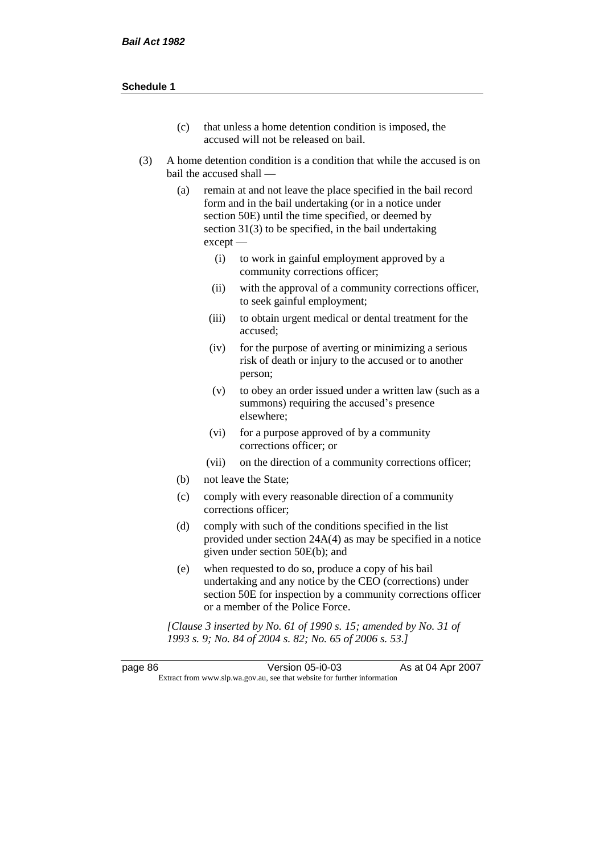- (c) that unless a home detention condition is imposed, the accused will not be released on bail.
- (3) A home detention condition is a condition that while the accused is on bail the accused shall —
	- (a) remain at and not leave the place specified in the bail record form and in the bail undertaking (or in a notice under section 50E) until the time specified, or deemed by section 31(3) to be specified, in the bail undertaking except —
		- (i) to work in gainful employment approved by a community corrections officer;
		- (ii) with the approval of a community corrections officer, to seek gainful employment;
		- (iii) to obtain urgent medical or dental treatment for the accused;
		- (iv) for the purpose of averting or minimizing a serious risk of death or injury to the accused or to another person;
		- (v) to obey an order issued under a written law (such as a summons) requiring the accused's presence elsewhere;
		- (vi) for a purpose approved of by a community corrections officer; or
		- (vii) on the direction of a community corrections officer;
	- (b) not leave the State;
	- (c) comply with every reasonable direction of a community corrections officer;
	- (d) comply with such of the conditions specified in the list provided under section 24A(4) as may be specified in a notice given under section 50E(b); and
	- (e) when requested to do so, produce a copy of his bail undertaking and any notice by the CEO (corrections) under section 50E for inspection by a community corrections officer or a member of the Police Force.

*[Clause 3 inserted by No. 61 of 1990 s. 15; amended by No. 31 of 1993 s. 9; No. 84 of 2004 s. 82; No. 65 of 2006 s. 53.]*

| page 86 | Version 05-i0-03                                                         | As at 04 Apr 2007 |
|---------|--------------------------------------------------------------------------|-------------------|
|         | Extract from www.slp.wa.gov.au, see that website for further information |                   |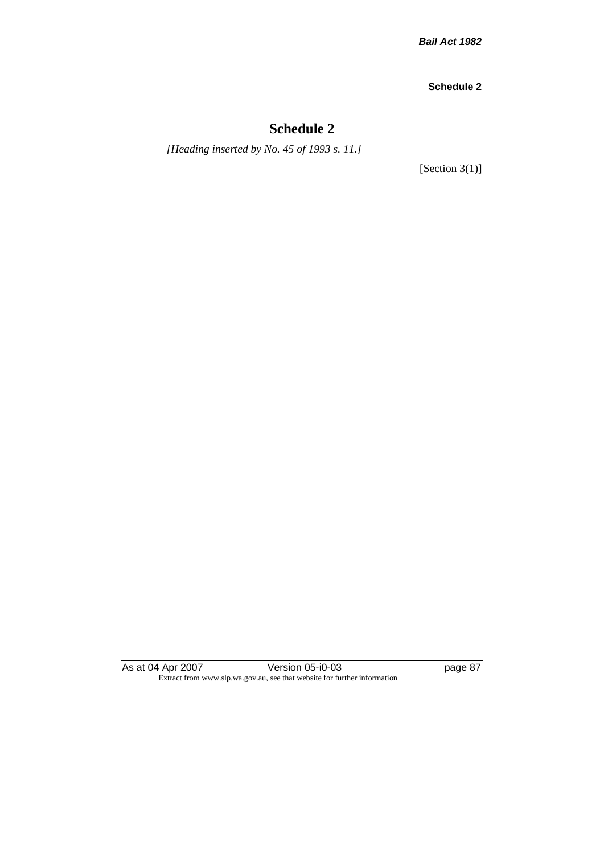# **Schedule 2**

*[Heading inserted by No. 45 of 1993 s. 11.]*

[Section 3(1)]

As at 04 Apr 2007 Version 05-i0-03 page 87 Extract from www.slp.wa.gov.au, see that website for further information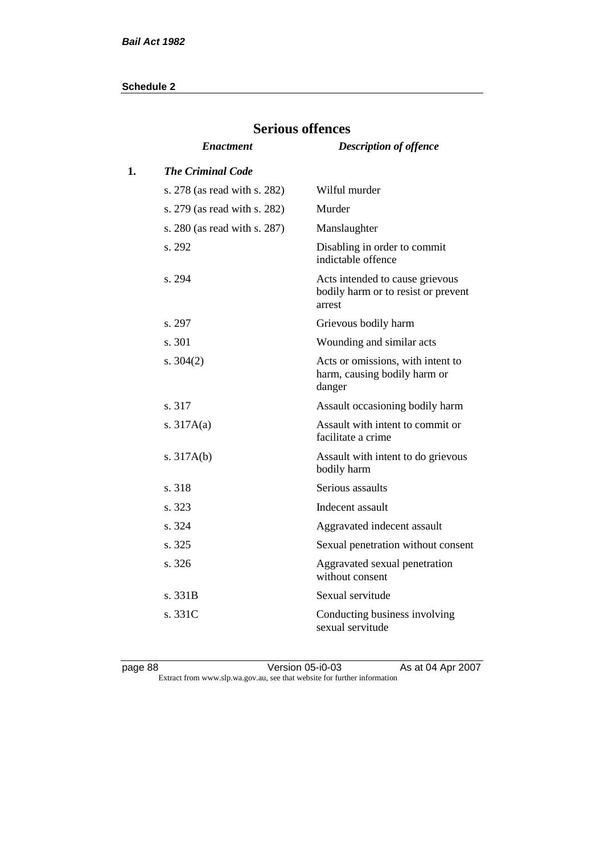|    | del ious offences            |                                                                                  |
|----|------------------------------|----------------------------------------------------------------------------------|
|    | <i><b>Enactment</b></i>      | <b>Description of offence</b>                                                    |
| 1. | <b>The Criminal Code</b>     |                                                                                  |
|    | s. 278 (as read with s. 282) | Wilful murder                                                                    |
|    | s. 279 (as read with s. 282) | Murder                                                                           |
|    | s. 280 (as read with s. 287) | Manslaughter                                                                     |
|    | s. 292                       | Disabling in order to commit<br>indictable offence                               |
|    | s. 294                       | Acts intended to cause grievous<br>bodily harm or to resist or prevent<br>arrest |
|    | s. 297                       | Grievous bodily harm                                                             |
|    | s. 301                       | Wounding and similar acts                                                        |
|    | s. $304(2)$                  | Acts or omissions, with intent to<br>harm, causing bodily harm or<br>danger      |
|    | s. 317                       | Assault occasioning bodily harm                                                  |
|    | s. $317A(a)$                 | Assault with intent to commit or<br>facilitate a crime                           |
|    | s. $317A(b)$                 | Assault with intent to do grievous<br>bodily harm                                |
|    | s. 318                       | Serious assaults                                                                 |
|    | s. 323                       | Indecent assault                                                                 |
|    | s. 324                       | Aggravated indecent assault                                                      |
|    | s. 325                       | Sexual penetration without consent                                               |
|    | s. 326                       | Aggravated sexual penetration<br>without consent                                 |
|    | s. 331B                      | Sexual servitude                                                                 |
|    | s. 331C                      | Conducting business involving<br>sexual servitude                                |

# **Serious offences**

page 88 Version 05-i0-03 As at 04 Apr 2007 Extract from www.slp.wa.gov.au, see that website for further information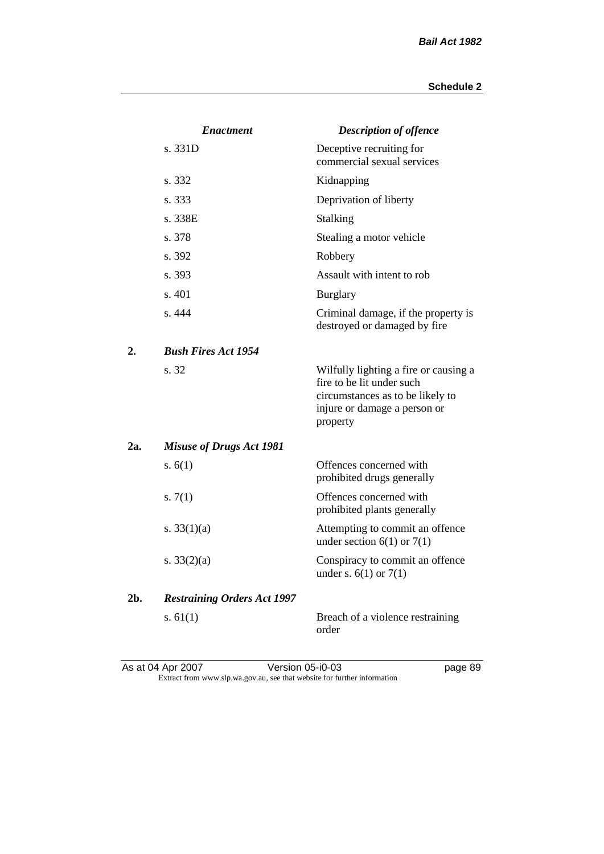|     | <b>Enactment</b>                   | <b>Description of offence</b>                                                                                                                      |
|-----|------------------------------------|----------------------------------------------------------------------------------------------------------------------------------------------------|
|     | s. 331D                            | Deceptive recruiting for<br>commercial sexual services                                                                                             |
|     | s. 332                             | Kidnapping                                                                                                                                         |
|     | s. 333                             | Deprivation of liberty                                                                                                                             |
|     | s. 338E                            | Stalking                                                                                                                                           |
|     | s. 378                             | Stealing a motor vehicle                                                                                                                           |
|     | s. 392                             | Robbery                                                                                                                                            |
|     | s. 393                             | Assault with intent to rob                                                                                                                         |
|     | s. 401                             | <b>Burglary</b>                                                                                                                                    |
|     | s. 444                             | Criminal damage, if the property is<br>destroyed or damaged by fire                                                                                |
| 2.  | <b>Bush Fires Act 1954</b>         |                                                                                                                                                    |
|     | s. 32                              | Wilfully lighting a fire or causing a<br>fire to be lit under such<br>circumstances as to be likely to<br>injure or damage a person or<br>property |
| 2a. | <b>Misuse of Drugs Act 1981</b>    |                                                                                                                                                    |
|     | s. $6(1)$                          | Offences concerned with<br>prohibited drugs generally                                                                                              |
|     | s. $7(1)$                          | Offences concerned with<br>prohibited plants generally                                                                                             |
|     | s. $33(1)(a)$                      | Attempting to commit an offence<br>under section $6(1)$ or $7(1)$                                                                                  |
|     | s. $33(2)(a)$                      | Conspiracy to commit an offence<br>under s. $6(1)$ or $7(1)$                                                                                       |
| 2b. | <b>Restraining Orders Act 1997</b> |                                                                                                                                                    |
|     | s. $61(1)$                         | Breach of a violence restraining<br>order                                                                                                          |

As at 04 Apr 2007 Version 05-i0-03 page 89 Extract from www.slp.wa.gov.au, see that website for further information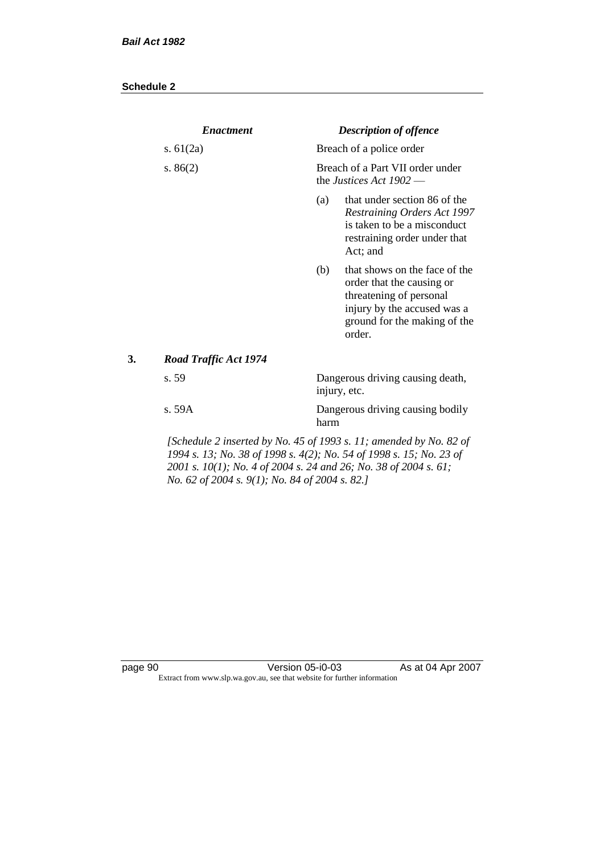|    | <b>Enactment</b>                                                                                                                                                                          |      | <b>Description of offence</b>                                                                                                                                  |
|----|-------------------------------------------------------------------------------------------------------------------------------------------------------------------------------------------|------|----------------------------------------------------------------------------------------------------------------------------------------------------------------|
|    | s. $61(2a)$                                                                                                                                                                               |      | Breach of a police order                                                                                                                                       |
|    | s. $86(2)$                                                                                                                                                                                |      | Breach of a Part VII order under<br>the Justices Act $1902$ —                                                                                                  |
|    |                                                                                                                                                                                           | (a)  | that under section 86 of the<br><b>Restraining Orders Act 1997</b><br>is taken to be a misconduct<br>restraining order under that<br>Act; and                  |
|    |                                                                                                                                                                                           | (b)  | that shows on the face of the<br>order that the causing or<br>threatening of personal<br>injury by the accused was a<br>ground for the making of the<br>order. |
| 3. | <b>Road Traffic Act 1974</b>                                                                                                                                                              |      |                                                                                                                                                                |
|    | s. 59                                                                                                                                                                                     |      | Dangerous driving causing death,<br>injury, etc.                                                                                                               |
|    | s. 59A                                                                                                                                                                                    | harm | Dangerous driving causing bodily                                                                                                                               |
|    | 1994 s. 13; No. 38 of 1998 s. 4(2); No. 54 of 1998 s. 15; No. 23 of<br>2001 s. 10(1); No. 4 of 2004 s. 24 and 26; No. 38 of 2004 s. 61;<br>No. 62 of 2004 s. 9(1); No. 84 of 2004 s. 82.] |      | [Schedule 2 inserted by No. 45 of 1993 s. 11; amended by No. 82 of                                                                                             |

page 90 Version 05-i0-03 As at 04 Apr 2007 Extract from www.slp.wa.gov.au, see that website for further information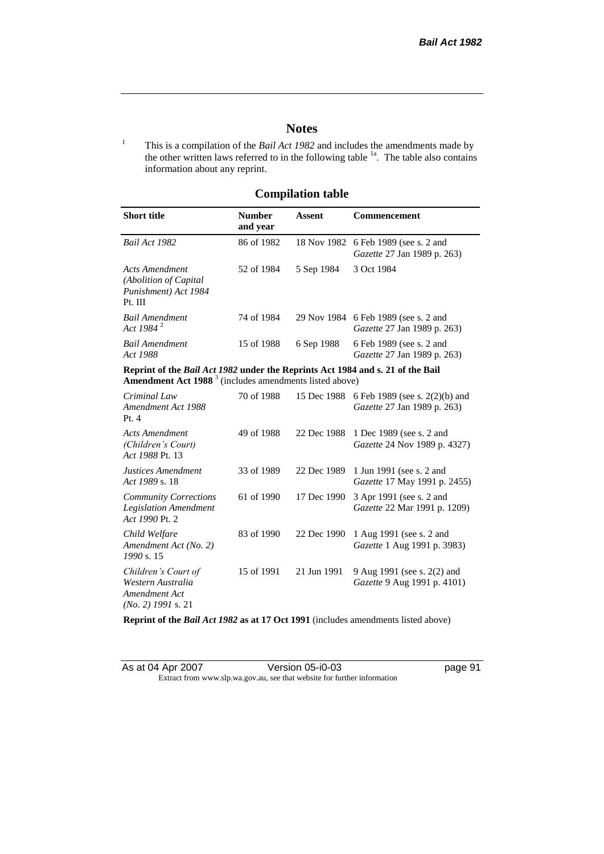page  $91$ 

# **Notes**

<sup>1</sup> This is a compilation of the *Bail Act 1982* and includes the amendments made by the other written laws referred to in the following table  $1a$ . The table also contains information about any reprint.

# **Compilation table**

| <b>Short title</b>                                                          | <b>Number</b><br>and year | Assent     | <b>Commencement</b>                                                        |
|-----------------------------------------------------------------------------|---------------------------|------------|----------------------------------------------------------------------------|
| Bail Act 1982                                                               | 86 of 1982                |            | 18 Nov 1982 6 Feb 1989 (see s. 2 and<br><i>Gazette</i> 27 Jan 1989 p. 263) |
| Acts Amendment<br>(Abolition of Capital)<br>Punishment) Act 1984<br>Pt. III | 52 of 1984                | 5 Sep 1984 | 3 Oct 1984                                                                 |
| <b>Bail Amendment</b><br>Act 1984 <sup>2</sup>                              | 74 of 1984                |            | 29 Nov 1984 6 Feb 1989 (see s. 2 and<br><i>Gazette</i> 27 Jan 1989 p. 263) |
| <b>Bail Amendment</b><br>Act 1988                                           | 15 of 1988                | 6 Sep 1988 | 6 Feb 1989 (see s. 2 and<br><i>Gazette</i> 27 Jan 1989 p. 263)             |
|                                                                             |                           |            |                                                                            |

**Reprint of the** *Bail Act 1982* **under the Reprints Act 1984 and s. 21 of the Bail Amendment Act 1988** <sup>3</sup> (includes amendments listed above)

| Criminal Law<br>Amendment Act 1988<br>Pt.4                                        | 70 of 1988 | 15 Dec 1988 | 6 Feb 1989 (see s. 2(2)(b) and<br>Gazette 27 Jan 1989 p. 263)     |
|-----------------------------------------------------------------------------------|------------|-------------|-------------------------------------------------------------------|
| Acts Amendment<br>(Children's Court)<br>Act 1988 Pt. 13                           | 49 of 1988 | 22 Dec 1988 | 1 Dec 1989 (see s. 2 and<br><i>Gazette</i> 24 Nov 1989 p. 4327)   |
| Justices Amendment<br>Act 1989 s. 18                                              | 33 of 1989 | 22 Dec 1989 | 1 Jun 1991 (see s. 2 and<br><i>Gazette</i> 17 May 1991 p. 2455)   |
| <b>Community Corrections</b><br><b>Legislation Amendment</b><br>Act 1990 Pt. 2    | 61 of 1990 | 17 Dec 1990 | 3 Apr 1991 (see s. 2 and<br><i>Gazette</i> 22 Mar 1991 p. 1209)   |
| Child Welfare<br>Amendment Act (No. 2)<br>1990 s. 15                              | 83 of 1990 | 22 Dec 1990 | 1 Aug 1991 (see s. 2 and<br><i>Gazette</i> 1 Aug 1991 p. 3983)    |
| Children's Court of<br>Western Australia<br>Amendment Act<br>$(No. 2)$ 1991 s. 21 | 15 of 1991 | 21 Jun 1991 | 9 Aug 1991 (see s. 2(2) and<br><i>Gazette</i> 9 Aug 1991 p. 4101) |

**Reprint of the** *Bail Act 1982* **as at 17 Oct 1991** (includes amendments listed above)

| As at 04 Apr 2007 | Version 05-i0-03                                                         |  |
|-------------------|--------------------------------------------------------------------------|--|
|                   | Extract from www.slp.wa.gov.au, see that website for further information |  |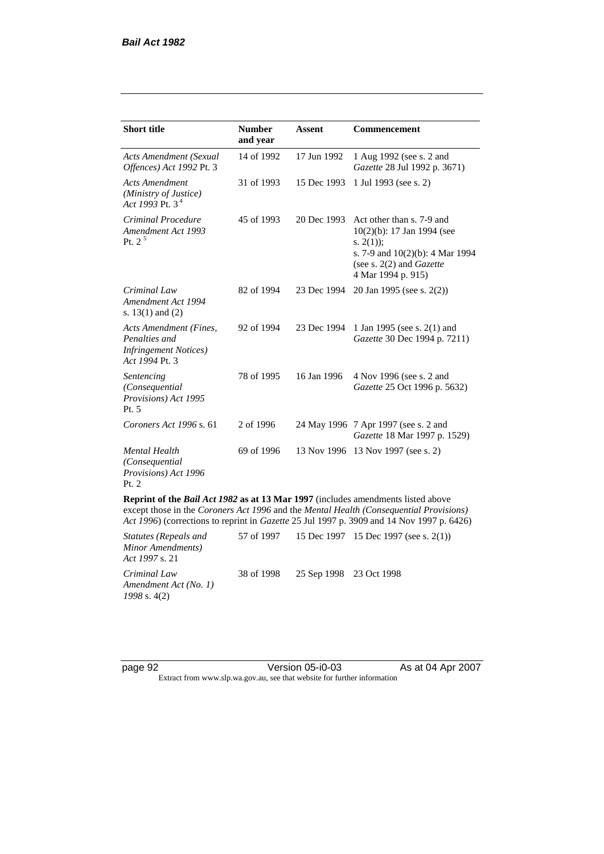| <b>Short title</b>                                                                         | <b>Number</b><br>and year | Assent      | Commencement                                                                                                                                                         |
|--------------------------------------------------------------------------------------------|---------------------------|-------------|----------------------------------------------------------------------------------------------------------------------------------------------------------------------|
| <b>Acts Amendment (Sexual</b><br>Offences) Act 1992 Pt. 3                                  | 14 of 1992                | 17 Jun 1992 | 1 Aug 1992 (see s. 2 and<br>Gazette 28 Jul 1992 p. 3671)                                                                                                             |
| <b>Acts Amendment</b><br>(Ministry of Justice)<br>Act 1993 Pt. 3 <sup>4</sup>              | 31 of 1993                | 15 Dec 1993 | 1 Jul 1993 (see s. 2)                                                                                                                                                |
| Criminal Procedure<br>Amendment Act 1993<br>Pt. $2^5$                                      | 45 of 1993                | 20 Dec 1993 | Act other than s. 7-9 and<br>10(2)(b): 17 Jan 1994 (see<br>s. $2(1)$ ;<br>s. 7-9 and 10(2)(b): 4 Mar 1994<br>(see s. $2(2)$ and <i>Gazette</i><br>4 Mar 1994 p. 915) |
| Criminal Law<br>Amendment Act 1994<br>s. $13(1)$ and $(2)$                                 | 82 of 1994                | 23 Dec 1994 | 20 Jan 1995 (see s. 2(2))                                                                                                                                            |
| Acts Amendment (Fines,<br>Penalties and<br><b>Infringement Notices</b> )<br>Act 1994 Pt. 3 | 92 of 1994                | 23 Dec 1994 | 1 Jan 1995 (see s. 2(1) and<br>Gazette 30 Dec 1994 p. 7211)                                                                                                          |
| Sentencing<br>(Consequential<br>Provisions) Act 1995<br>Pt. 5                              | 78 of 1995                | 16 Jan 1996 | 4 Nov 1996 (see s. 2 and<br>Gazette 25 Oct 1996 p. 5632)                                                                                                             |
| Coroners Act 1996 s. 61                                                                    | 2 of 1996                 |             | 24 May 1996 7 Apr 1997 (see s. 2 and<br>Gazette 18 Mar 1997 p. 1529)                                                                                                 |
| <b>Mental Health</b><br>(Consequential<br>Provisions) Act 1996<br>Pt. 2                    | 69 of 1996                |             | 13 Nov 1996 13 Nov 1997 (see s. 2)                                                                                                                                   |
| Reprint of the Bail Act 1982 as at 13 Mar 1997 (includes amendments listed above           |                           |             | except those in the Coroners Act 1996 and the Mental Health (Consequential Provisions)                                                                               |

*Act 1996*) (corrections to reprint in *Gazette* 25 Jul 1997 p. 3909 and 14 Nov 1997 p. 6426)

| Statutes (Repeals and<br>Minor Amendments)<br><i>Act 1997 s.</i> 21 |                                    | 57 of 1997 15 Dec 1997 15 Dec 1997 (see s. 2(1)) |
|---------------------------------------------------------------------|------------------------------------|--------------------------------------------------|
| Criminal Law<br>Amendment Act (No. 1)<br>$1998$ s. 4(2)             | 38 of 1998 25 Sep 1998 23 Oct 1998 |                                                  |

page 92 Version 05-i0-03 As at 04 Apr 2007 Extract from www.slp.wa.gov.au, see that website for further information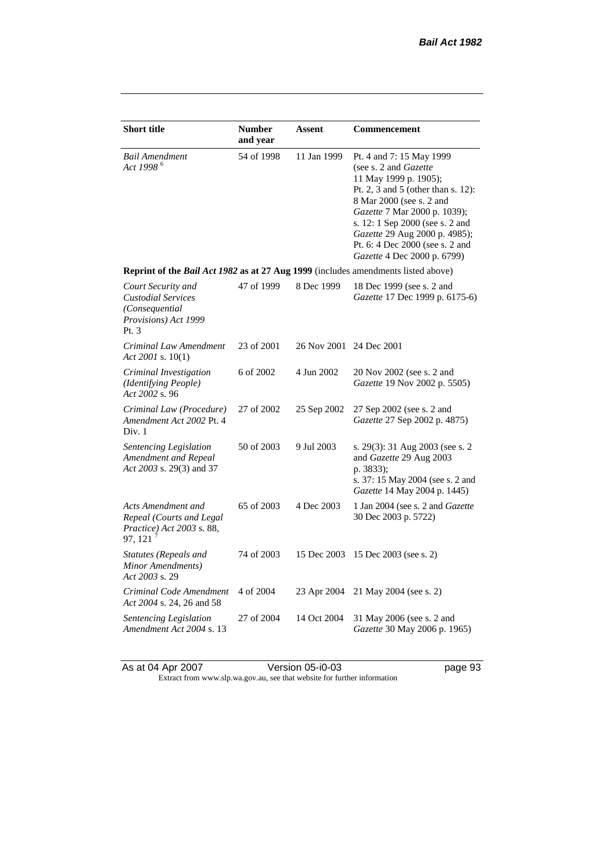| <b>Short title</b>                                                                                | <b>Number</b><br>and year | Assent                  | Commencement                                                                                                                                                                                                                                                                                                                |
|---------------------------------------------------------------------------------------------------|---------------------------|-------------------------|-----------------------------------------------------------------------------------------------------------------------------------------------------------------------------------------------------------------------------------------------------------------------------------------------------------------------------|
| <b>Bail Amendment</b><br>Act 1998 <sup>6</sup>                                                    | 54 of 1998                | 11 Jan 1999             | Pt. 4 and 7: 15 May 1999<br>(see s. 2 and <i>Gazette</i> )<br>11 May 1999 p. 1905);<br>Pt. 2, 3 and 5 (other than s. 12):<br>8 Mar 2000 (see s. 2 and<br>Gazette 7 Mar 2000 p. 1039);<br>s. 12: 1 Sep 2000 (see s. 2 and<br>Gazette 29 Aug 2000 p. 4985);<br>Pt. 6: 4 Dec 2000 (see s. 2 and<br>Gazette 4 Dec 2000 p. 6799) |
| Reprint of the Bail Act 1982 as at 27 Aug 1999 (includes amendments listed above)                 |                           |                         |                                                                                                                                                                                                                                                                                                                             |
| Court Security and<br><b>Custodial Services</b><br>(Consequential<br>Provisions) Act 1999<br>Pt.3 | 47 of 1999                | 8 Dec 1999              | 18 Dec 1999 (see s. 2 and<br>Gazette 17 Dec 1999 p. 6175-6)                                                                                                                                                                                                                                                                 |
| Criminal Law Amendment<br>Act 2001 s. $10(1)$                                                     | 23 of 2001                | 26 Nov 2001 24 Dec 2001 |                                                                                                                                                                                                                                                                                                                             |
| Criminal Investigation<br>(Identifying People)<br>Act 2002 s. 96                                  | 6 of 2002                 | 4 Jun 2002              | 20 Nov 2002 (see s. 2 and<br>Gazette 19 Nov 2002 p. 5505)                                                                                                                                                                                                                                                                   |
| Criminal Law (Procedure)<br>Amendment Act 2002 Pt. 4<br>Div. 1                                    | 27 of 2002                | 25 Sep 2002             | 27 Sep 2002 (see s. 2 and<br>Gazette 27 Sep 2002 p. 4875)                                                                                                                                                                                                                                                                   |
| <b>Sentencing Legislation</b><br>Amendment and Repeal<br>Act 2003 s. 29(3) and 37                 | 50 of 2003                | 9 Jul 2003              | s. 29(3): 31 Aug 2003 (see s. 2<br>and Gazette 29 Aug 2003<br>p. 3833);<br>s. 37: 15 May 2004 (see s. 2 and<br><i>Gazette</i> 14 May 2004 p. 1445)                                                                                                                                                                          |
| Acts Amendment and<br>Repeal (Courts and Legal<br>Practice) Act 2003 s. 88,<br>97, 121            | 65 of 2003                | 4 Dec 2003              | 1 Jan 2004 (see s. 2 and <i>Gazette</i><br>30 Dec 2003 p. 5722)                                                                                                                                                                                                                                                             |
| Statutes (Repeals and<br>Minor Amendments)<br>Act 2003 s. 29                                      | 74 of 2003                | 15 Dec 2003             | 15 Dec 2003 (see s. 2)                                                                                                                                                                                                                                                                                                      |
| Criminal Code Amendment<br>Act 2004 s. 24, 26 and 58                                              | 4 of 2004                 | 23 Apr 2004             | 21 May 2004 (see s. 2)                                                                                                                                                                                                                                                                                                      |
| <b>Sentencing Legislation</b><br>Amendment Act 2004 s. 13                                         | 27 of 2004                | 14 Oct 2004             | 31 May 2006 (see s. 2 and<br>Gazette 30 May 2006 p. 1965)                                                                                                                                                                                                                                                                   |

As at 04 Apr 2007 Version 05-i0-03 page 93 Extract from www.slp.wa.gov.au, see that website for further information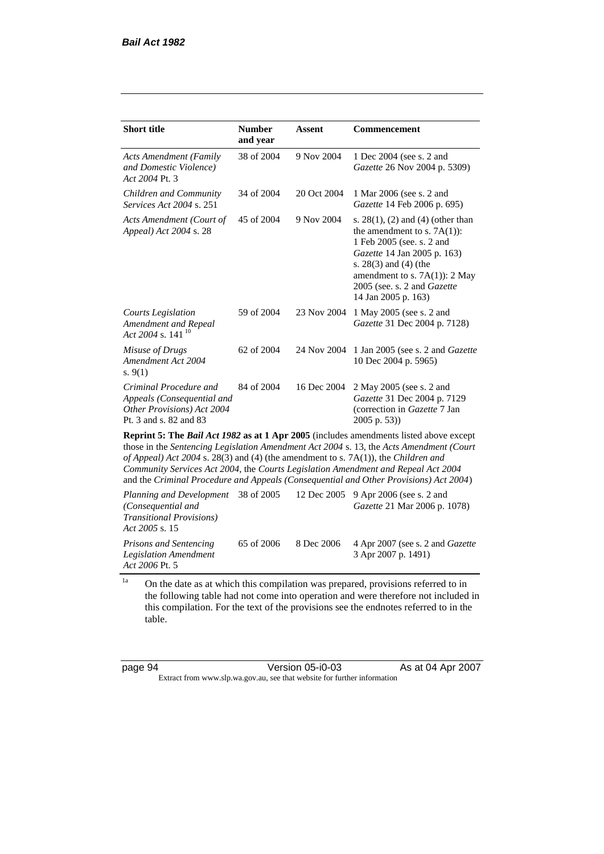| <b>Short title</b>                                                                                           | <b>Number</b><br>and year | <b>Assent</b> | <b>Commencement</b>                                                                                                                                                                                                                                            |  |
|--------------------------------------------------------------------------------------------------------------|---------------------------|---------------|----------------------------------------------------------------------------------------------------------------------------------------------------------------------------------------------------------------------------------------------------------------|--|
| <b>Acts Amendment (Family</b><br>and Domestic Violence)<br>Act 2004 Pt. 3                                    | 38 of 2004                | 9 Nov 2004    | 1 Dec 2004 (see s. 2 and<br>Gazette 26 Nov 2004 p. 5309)                                                                                                                                                                                                       |  |
| Children and Community<br><i>Services Act 2004 s. 251</i>                                                    | 34 of 2004                | 20 Oct 2004   | 1 Mar 2006 (see s. 2 and<br>Gazette 14 Feb 2006 p. 695)                                                                                                                                                                                                        |  |
| Acts Amendment (Court of<br>Appeal) Act 2004 s. 28                                                           | 45 of 2004                | 9 Nov 2004    | s. $28(1)$ , (2) and (4) (other than<br>the amendment to s. $7A(1)$ :<br>1 Feb 2005 (see, s. 2 and<br><i>Gazette</i> 14 Jan 2005 p. 163)<br>s. $28(3)$ and $(4)$ (the<br>amendment to s. $7A(1)$ : 2 May<br>2005 (see. s. 2 and Gazette<br>14 Jan 2005 p. 163) |  |
| Courts Legislation<br>Amendment and Repeal<br>Act 2004 s. 141 <sup>10</sup>                                  | 59 of 2004                | 23 Nov 2004   | 1 May 2005 (see s. 2 and<br>Gazette 31 Dec 2004 p. 7128)                                                                                                                                                                                                       |  |
| Misuse of Drugs<br>Amendment Act 2004<br>s. $9(1)$                                                           | 62 of 2004                | 24 Nov 2004   | 1 Jan 2005 (see s. 2 and <i>Gazette</i><br>10 Dec 2004 p. 5965)                                                                                                                                                                                                |  |
| Criminal Procedure and<br>Appeals (Consequential and<br>Other Provisions) Act 2004<br>Pt. 3 and s. 82 and 83 | 84 of 2004                | 16 Dec 2004   | 2 May 2005 (see s. 2 and<br>Gazette 31 Dec 2004 p. 7129<br>(correction in Gazette 7 Jan<br>2005 p. 53))                                                                                                                                                        |  |
| <b>Reprint 5: The Bail Act 1982 as at 1 Apr 2005</b> (includes amendments listed above except                |                           |               |                                                                                                                                                                                                                                                                |  |

those in the *Sentencing Legislation Amendment Act 2004* s. 13, the *Acts Amendment (Court of Appeal) Act 2004* s. 28(3) and (4) (the amendment to s. 7A(1)), the *Children and Community Services Act 2004*, the *Courts Legislation Amendment and Repeal Act 2004* and the *Criminal Procedure and Appeals (Consequential and Other Provisions) Act 2004*)

*Planning and Development (Consequential and Transitional Provisions) Act 2005* s. 15 12 Dec 2005 9 Apr 2006 (see s. 2 and *Gazette* 21 Mar 2006 p. 1078) *Prisons and Sentencing Legislation Amendment Act 2006* Pt. 5 65 of 2006 8 Dec 2006 4 Apr 2007 (see s. 2 and *Gazette* 3 Apr 2007 p. 1491)

<sup>1a</sup> On the date as at which this compilation was prepared, provisions referred to in the following table had not come into operation and were therefore not included in this compilation. For the text of the provisions see the endnotes referred to in the table.

page 94 Version 05-i0-03 As at 04 Apr 2007 Extract from www.slp.wa.gov.au, see that website for further information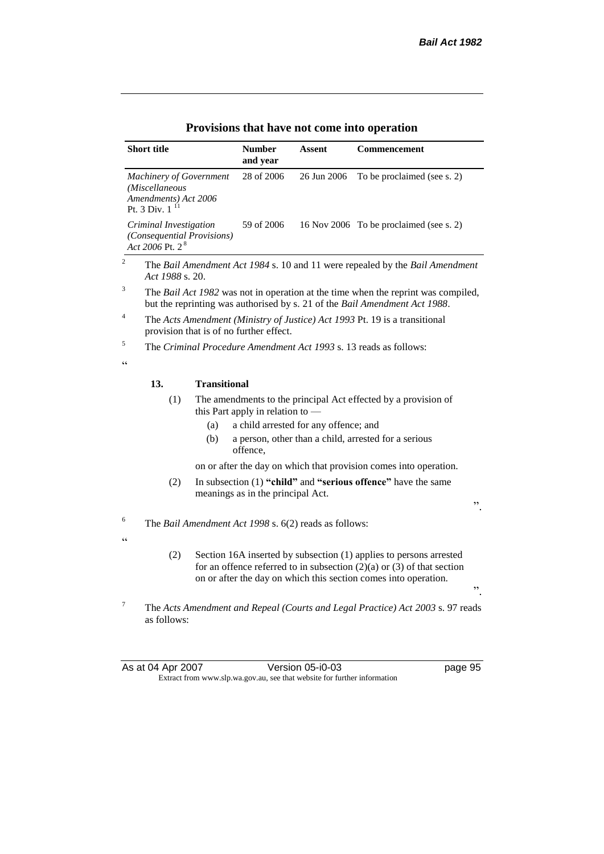|                 | <b>Short title</b>                                                                             |                     | <b>Number</b><br>and year               | Assent                                                | Commencement                                                                                                                                                                                                              |
|-----------------|------------------------------------------------------------------------------------------------|---------------------|-----------------------------------------|-------------------------------------------------------|---------------------------------------------------------------------------------------------------------------------------------------------------------------------------------------------------------------------------|
|                 | <b>Machinery of Government</b><br>(Miscellaneous<br>Amendments) Act 2006<br>11<br>Pt. 3 Div. 1 |                     | 28 of 2006                              | 26 Jun 2006                                           | To be proclaimed (see s. 2)                                                                                                                                                                                               |
|                 | Criminal Investigation<br>(Consequential Provisions)<br>Act 2006 Pt. $2^8$                     |                     | 59 of 2006                              |                                                       | 16 Nov 2006 To be proclaimed (see s. 2)                                                                                                                                                                                   |
| $\overline{c}$  | Act 1988 s. 20.                                                                                |                     |                                         |                                                       | The Bail Amendment Act 1984 s. 10 and 11 were repealed by the Bail Amendment                                                                                                                                              |
| 3               |                                                                                                |                     |                                         |                                                       | The Bail Act 1982 was not in operation at the time when the reprint was compiled,<br>but the reprinting was authorised by s. 21 of the Bail Amendment Act 1988.                                                           |
| 4               |                                                                                                |                     | provision that is of no further effect. |                                                       | The Acts Amendment (Ministry of Justice) Act 1993 Pt. 19 is a transitional                                                                                                                                                |
| 5               |                                                                                                |                     |                                         |                                                       | The Criminal Procedure Amendment Act 1993 s. 13 reads as follows:                                                                                                                                                         |
| C C             |                                                                                                |                     |                                         |                                                       |                                                                                                                                                                                                                           |
|                 | 13.                                                                                            | <b>Transitional</b> |                                         |                                                       |                                                                                                                                                                                                                           |
|                 | (1)                                                                                            |                     | this Part apply in relation to $-$      |                                                       | The amendments to the principal Act effected by a provision of                                                                                                                                                            |
|                 |                                                                                                | (a)                 |                                         | a child arrested for any offence; and                 |                                                                                                                                                                                                                           |
|                 |                                                                                                | (b)                 | offence,                                |                                                       | a person, other than a child, arrested for a serious                                                                                                                                                                      |
|                 |                                                                                                |                     |                                         |                                                       | on or after the day on which that provision comes into operation.                                                                                                                                                         |
|                 | (2)                                                                                            |                     | meanings as in the principal Act.       |                                                       | In subsection (1) "child" and "serious offence" have the same<br>,,                                                                                                                                                       |
| 6               |                                                                                                |                     |                                         | The Bail Amendment Act 1998 s. 6(2) reads as follows: |                                                                                                                                                                                                                           |
| $\epsilon$      |                                                                                                |                     |                                         |                                                       |                                                                                                                                                                                                                           |
|                 | (2)                                                                                            |                     |                                         |                                                       | Section 16A inserted by subsection (1) applies to persons arrested<br>for an offence referred to in subsection $(2)(a)$ or $(3)$ of that section<br>on or after the day on which this section comes into operation.<br>,, |
| $7\phantom{.0}$ | as follows:                                                                                    |                     |                                         |                                                       | The Acts Amendment and Repeal (Courts and Legal Practice) Act 2003 s. 97 reads                                                                                                                                            |

As at 04 Apr 2007 Version 05-i0-03 page 95 Extract from www.slp.wa.gov.au, see that website for further information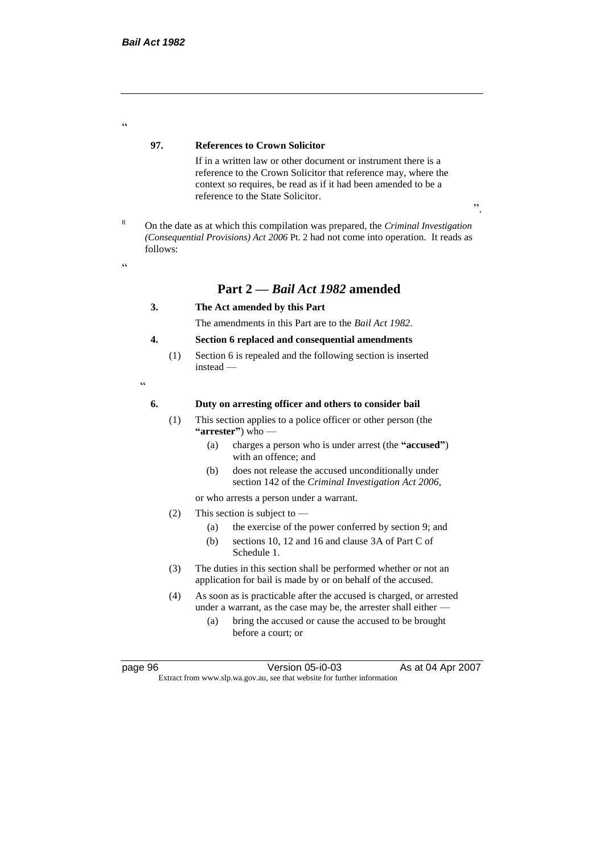#### **97. References to Crown Solicitor**

If in a written law or other document or instrument there is a reference to the Crown Solicitor that reference may, where the context so requires, be read as if it had been amended to be a reference to the State Solicitor.

<sup>8</sup> On the date as at which this compilation was prepared, the *Criminal Investigation (Consequential Provisions) Act 2006* Pt. 2 had not come into operation. It reads as follows:

<u>،</u>

.<br>.

# **Part 2 —** *Bail Act 1982* **amended**

#### **3. The Act amended by this Part**

The amendments in this Part are to the *Bail Act 1982*.

#### **4. Section 6 replaced and consequential amendments**

(1) Section 6 is repealed and the following section is inserted instead —

"

#### **6. Duty on arresting officer and others to consider bail**

- (1) This section applies to a police officer or other person (the **"arrester"**) who —
	- (a) charges a person who is under arrest (the **"accused"**) with an offence; and
	- (b) does not release the accused unconditionally under section 142 of the *Criminal Investigation Act 2006*,

or who arrests a person under a warrant.

- (2) This section is subject to
	- (a) the exercise of the power conferred by section 9; and
	- (b) sections 10, 12 and 16 and clause 3A of Part C of Schedule 1.
- (3) The duties in this section shall be performed whether or not an application for bail is made by or on behalf of the accused.
- (4) As soon as is practicable after the accused is charged, or arrested under a warrant, as the case may be, the arrester shall either —
	- (a) bring the accused or cause the accused to be brought before a court; or

page 96 Version 05-i0-03 As at 04 Apr 2007 Extract from www.slp.wa.gov.au, see that website for further information

".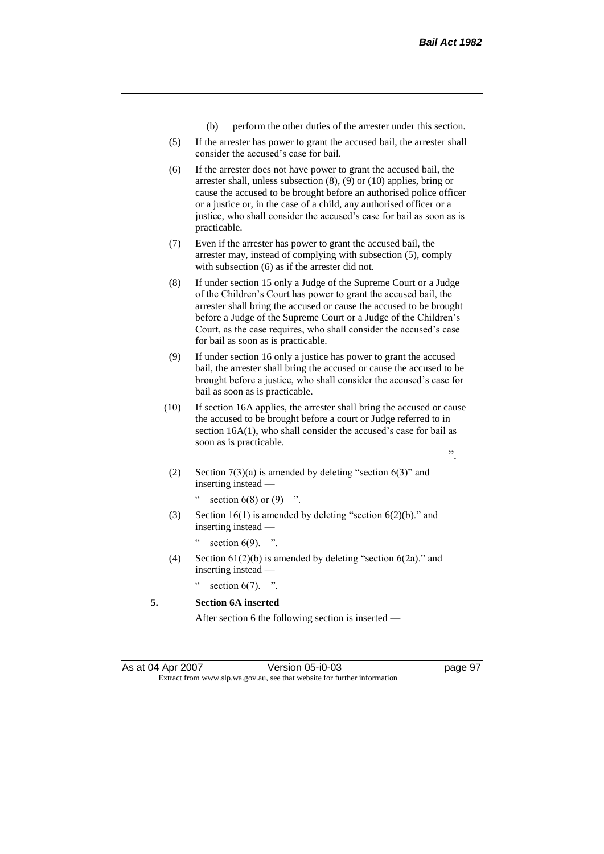- (b) perform the other duties of the arrester under this section.
- (5) If the arrester has power to grant the accused bail, the arrester shall consider the accused's case for bail.
- (6) If the arrester does not have power to grant the accused bail, the arrester shall, unless subsection (8), (9) or (10) applies, bring or cause the accused to be brought before an authorised police officer or a justice or, in the case of a child, any authorised officer or a justice, who shall consider the accused's case for bail as soon as is practicable.
- (7) Even if the arrester has power to grant the accused bail, the arrester may, instead of complying with subsection (5), comply with subsection (6) as if the arrester did not.
- (8) If under section 15 only a Judge of the Supreme Court or a Judge of the Children's Court has power to grant the accused bail, the arrester shall bring the accused or cause the accused to be brought before a Judge of the Supreme Court or a Judge of the Children's Court, as the case requires, who shall consider the accused's case for bail as soon as is practicable.
- (9) If under section 16 only a justice has power to grant the accused bail, the arrester shall bring the accused or cause the accused to be brought before a justice, who shall consider the accused's case for bail as soon as is practicable.
- (10) If section 16A applies, the arrester shall bring the accused or cause the accused to be brought before a court or Judge referred to in section 16A(1), who shall consider the accused's case for bail as soon as is practicable.
	- ".
	- (2) Section  $7(3)(a)$  is amended by deleting "section  $6(3)$ " and inserting instead —

" section  $6(8)$  or  $(9)$  ".

(3) Section  $16(1)$  is amended by deleting "section  $6(2)(b)$ ." and inserting instead —

section  $6(9)$ . ".

(4) Section  $61(2)(b)$  is amended by deleting "section  $6(2a)$ ." and inserting instead —

section  $6(7)$ . ".

**5. Section 6A inserted**

After section 6 the following section is inserted —

As at 04 Apr 2007 Version 05-i0-03 page 97 Extract from www.slp.wa.gov.au, see that website for further information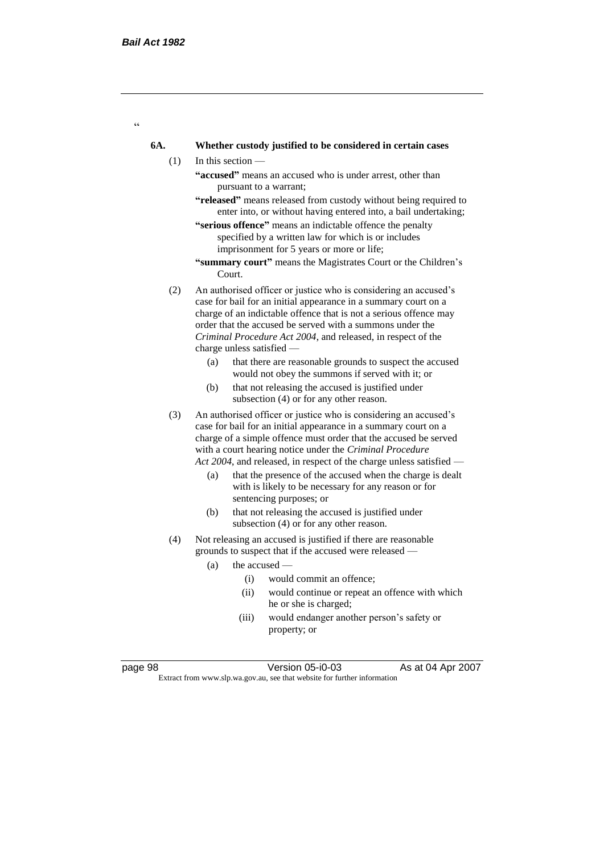$\epsilon$ 

#### **6A. Whether custody justified to be considered in certain cases**

- (1) In this section
	- **"accused"** means an accused who is under arrest, other than pursuant to a warrant;
	- **"released"** means released from custody without being required to enter into, or without having entered into, a bail undertaking;
	- **"serious offence"** means an indictable offence the penalty specified by a written law for which is or includes imprisonment for 5 years or more or life;
	- **"summary court"** means the Magistrates Court or the Children's Court.
- (2) An authorised officer or justice who is considering an accused's case for bail for an initial appearance in a summary court on a charge of an indictable offence that is not a serious offence may order that the accused be served with a summons under the *Criminal Procedure Act 2004*, and released, in respect of the charge unless satisfied —
	- (a) that there are reasonable grounds to suspect the accused would not obey the summons if served with it; or
	- (b) that not releasing the accused is justified under subsection (4) or for any other reason.
- (3) An authorised officer or justice who is considering an accused's case for bail for an initial appearance in a summary court on a charge of a simple offence must order that the accused be served with a court hearing notice under the *Criminal Procedure Act 2004*, and released, in respect of the charge unless satisfied —
	- (a) that the presence of the accused when the charge is dealt with is likely to be necessary for any reason or for sentencing purposes; or
	- (b) that not releasing the accused is justified under subsection (4) or for any other reason.
- (4) Not releasing an accused is justified if there are reasonable grounds to suspect that if the accused were released —
	- (a) the accused
		- (i) would commit an offence;
		- (ii) would continue or repeat an offence with which he or she is charged;
		- (iii) would endanger another person's safety or property; or

page 98 Version 05-i0-03 As at 04 Apr 2007

Extract from www.slp.wa.gov.au, see that website for further information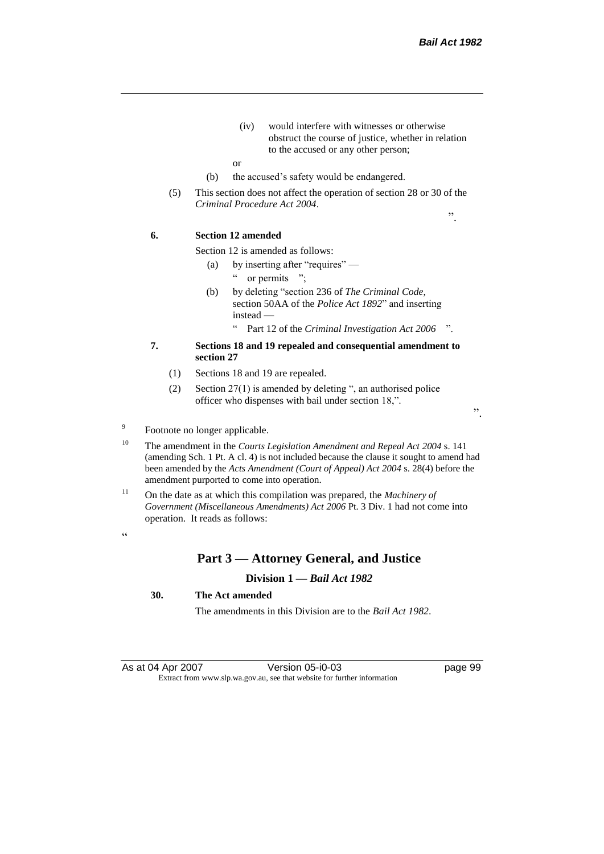".

- (iv) would interfere with witnesses or otherwise obstruct the course of justice, whether in relation to the accused or any other person;
- or
- (b) the accused's safety would be endangered.
- (5) This section does not affect the operation of section 28 or 30 of the *Criminal Procedure Act 2004*.

**6. Section 12 amended**

Section 12 is amended as follows:

- (a) by inserting after "requires" " or permits ";
- (b) by deleting "section 236 of *The Criminal Code*, section 50AA of the *Police Act 1892*" and inserting instead —
	- " Part 12 of the *Criminal Investigation Act 2006* ".
- **7. Sections 18 and 19 repealed and consequential amendment to section 27**
	- (1) Sections 18 and 19 are repealed.
	- (2) Section 27(1) is amended by deleting ", an authorised police officer who dispenses with bail under section 18,".

".

#### 9 Footnote no longer applicable.

- <sup>10</sup> The amendment in the *Courts Legislation Amendment and Repeal Act 2004* s. 141 (amending Sch. 1 Pt. A cl. 4) is not included because the clause it sought to amend had been amended by the *Acts Amendment (Court of Appeal) Act 2004* s. 28(4) before the amendment purported to come into operation.
- <sup>11</sup> On the date as at which this compilation was prepared, the *Machinery of Government (Miscellaneous Amendments) Act 2006* Pt. 3 Div. 1 had not come into operation. It reads as follows:

 $\epsilon$   $\epsilon$ 

#### **Part 3 — Attorney General, and Justice**

#### **Division 1 —** *Bail Act 1982*

#### **30. The Act amended**

The amendments in this Division are to the *Bail Act 1982*.

As at 04 Apr 2007 Version 05-i0-03 page 99 Extract from www.slp.wa.gov.au, see that website for further information